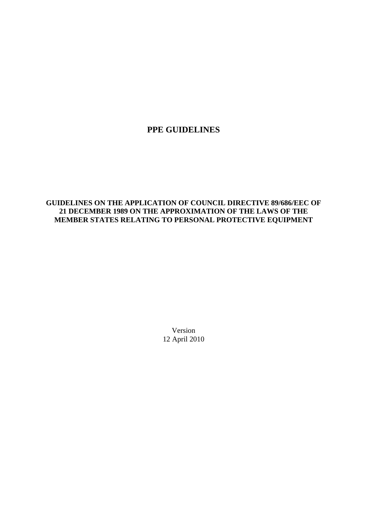# **PPE GUIDELINES**

### **GUIDELINES ON THE APPLICATION OF COUNCIL DIRECTIVE 89/686/EEC OF 21 DECEMBER 1989 ON THE APPROXIMATION OF THE LAWS OF THE MEMBER STATES RELATING TO PERSONAL PROTECTIVE EQUIPMENT**

Version 12 April 2010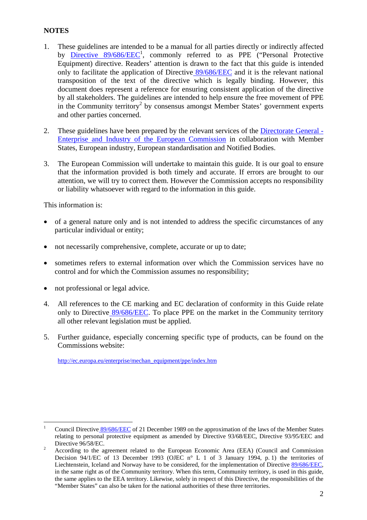#### **NOTES**

- 1. These guidelines are intended to be a manual for all parties directly or indirectly affected by **Directive 89/686/EEC<sup>1</sup>**, commonly referred to as PPE ("Personal Protective Equipment) directive. Readers' attention is drawn to the fact that this guide is intended only to facilitate the application of Directive 89/686/EEC and it is the relevant national transposition of the text of the directive which is legally binding. However, this document does represent a reference for ensuring consistent application of the directive by all stakeholders. The guidelines are intended to help ensure the free movement of PPE in the Community territory<sup>2</sup> by consensus amongst Member States' government experts and other parties concerned.
- 2. These guidelines have been prepared by the relevant services of the *Directorate General* -Enterprise and Industry of the European Commission in collaboration with Member States, European industry, European standardisation and Notified Bodies.
- 3. The European Commission will undertake to maintain this guide. It is our goal to ensure that the information provided is both timely and accurate. If errors are brought to our attention, we will try to correct them. However the Commission accepts no responsibility or liability whatsoever with regard to the information in this guide.

This information is:

 $\overline{a}$ 

- of a general nature only and is not intended to address the specific circumstances of any particular individual or entity;
- not necessarily comprehensive, complete, accurate or up to date;
- sometimes refers to external information over which the Commission services have no control and for which the Commission assumes no responsibility;
- not professional or legal advice.
- 4. All references to the CE marking and EC declaration of conformity in this Guide relate only to Directive 89/686/EEC. To place PPE on the market in the Community territory all other relevant legislation must be applied.
- 5. Further guidance, especially concerning specific type of products, can be found on the Commissions website:

http://ec.europa.eu/enterprise/mechan\_equipment/ppe/index.htm

<sup>1</sup> Council Directive 89/686/EEC of 21 December 1989 on the approximation of the laws of the Member States relating to personal protective equipment as amended by Directive 93/68/EEC, Directive 93/95/EEC and Directive  $96/58/EC$ .

According to the agreement related to the European Economic Area (EEA) (Council and Commission Decision 94/1/EC of 13 December 1993 (OJEC n° L 1 of 3 January 1994, p. 1) the territories of Liechtenstein, Iceland and Norway have to be considered, for the implementation of Directive 89/686/EEC, in the same right as of the Community territory. When this term, Community territory, is used in this guide, the same applies to the EEA territory. Likewise, solely in respect of this Directive, the responsibilities of the "Member States" can also be taken for the national authorities of these three territories.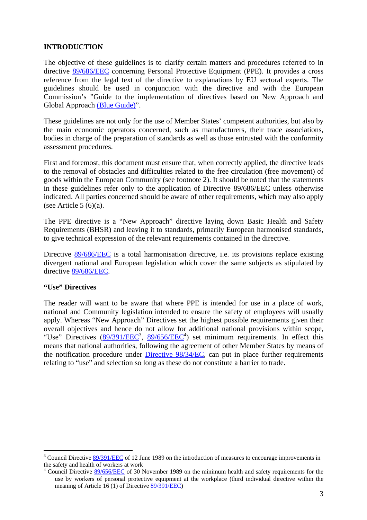### **INTRODUCTION**

The objective of these guidelines is to clarify certain matters and procedures referred to in directive 89/686/EEC concerning Personal Protective Equipment (PPE). It provides a cross reference from the legal text of the directive to explanations by EU sectoral experts. The guidelines should be used in conjunction with the directive and with the European Commission's "Guide to the implementation of directives based on New Approach and Global Approach (Blue Guide)".

These guidelines are not only for the use of Member States' competent authorities, but also by the main economic operators concerned, such as manufacturers, their trade associations, bodies in charge of the preparation of standards as well as those entrusted with the conformity assessment procedures.

First and foremost, this document must ensure that, when correctly applied, the directive leads to the removal of obstacles and difficulties related to the free circulation (free movement) of goods within the European Community (see footnote 2). It should be noted that the statements in these guidelines refer only to the application of Directive 89/686/EEC unless otherwise indicated. All parties concerned should be aware of other requirements, which may also apply (see Article  $5(6)(a)$ .

The PPE directive is a "New Approach" directive laying down Basic Health and Safety Requirements (BHSR) and leaving it to standards, primarily European harmonised standards, to give technical expression of the relevant requirements contained in the directive.

Directive 89/686/EEC is a total harmonisation directive, i.e. its provisions replace existing divergent national and European legislation which cover the same subjects as stipulated by directive 89/686/EEC.

#### **"Use" Directives**

 $\overline{a}$ 

The reader will want to be aware that where PPE is intended for use in a place of work, national and Community legislation intended to ensure the safety of employees will usually apply. Whereas "New Approach" Directives set the highest possible requirements given their overall objectives and hence do not allow for additional national provisions within scope, "Use" Directives  $\frac{(89/391/EEC^3, 89/656/EEC^4)}{20}$  set minimum requirements. In effect this means that national authorities, following the agreement of other Member States by means of the notification procedure under Directive 98/34/EC, can put in place further requirements relating to "use" and selection so long as these do not constitute a barrier to trade.

<sup>&</sup>lt;sup>3</sup> Council Directive  $\frac{89}{391/EEC}$  of 12 June 1989 on the introduction of measures to encourage improvements in the safety and health of workers at work 4

Council Directive 89/656/EEC of 30 November 1989 on the minimum health and safety requirements for the use by workers of personal protective equipment at the workplace (third individual directive within the meaning of Article 16 (1) of Directive 89/391/EEC)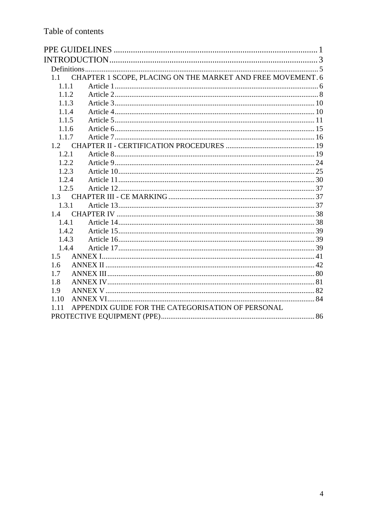| 1.1   | CHAPTER 1 SCOPE, PLACING ON THE MARKET AND FREE MOVEMENT. 6 |  |
|-------|-------------------------------------------------------------|--|
| 1.1.1 |                                                             |  |
| 1.1.2 |                                                             |  |
| 1.1.3 |                                                             |  |
| 1.1.4 |                                                             |  |
| 1.1.5 |                                                             |  |
| 1.1.6 |                                                             |  |
| 1.1.7 |                                                             |  |
| 1.2   |                                                             |  |
| 1.2.1 |                                                             |  |
| 1.2.2 |                                                             |  |
| 1.2.3 |                                                             |  |
| 1.2.4 |                                                             |  |
| 1.2.5 |                                                             |  |
| 1.3   |                                                             |  |
| 1.3.1 |                                                             |  |
|       |                                                             |  |
| 1.4.1 |                                                             |  |
| 1.4.2 |                                                             |  |
| 1.4.3 |                                                             |  |
| 1.4.4 |                                                             |  |
| 1.5   |                                                             |  |
| 1.6   |                                                             |  |
| 1.7   |                                                             |  |
| 1.8   |                                                             |  |
| 1.9   |                                                             |  |
| 1.10  |                                                             |  |
| 1.11  | APPENDIX GUIDE FOR THE CATEGORISATION OF PERSONAL           |  |
|       |                                                             |  |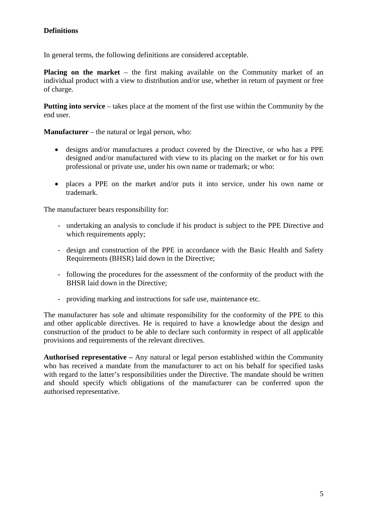# **Definitions**

In general terms, the following definitions are considered acceptable.

**Placing on the market** – the first making available on the Community market of an individual product with a view to distribution and/or use, whether in return of payment or free of charge.

**Putting into service** – takes place at the moment of the first use within the Community by the end user.

**Manufacturer** – the natural or legal person, who:

- designs and/or manufactures a product covered by the Directive, or who has a PPE designed and/or manufactured with view to its placing on the market or for his own professional or private use, under his own name or trademark; or who:
- places a PPE on the market and/or puts it into service, under his own name or trademark.

The manufacturer bears responsibility for:

- undertaking an analysis to conclude if his product is subject to the PPE Directive and which requirements apply;
- design and construction of the PPE in accordance with the Basic Health and Safety Requirements (BHSR) laid down in the Directive;
- following the procedures for the assessment of the conformity of the product with the BHSR laid down in the Directive;
- providing marking and instructions for safe use, maintenance etc.

The manufacturer has sole and ultimate responsibility for the conformity of the PPE to this and other applicable directives. He is required to have a knowledge about the design and construction of the product to be able to declare such conformity in respect of all applicable provisions and requirements of the relevant directives.

**Authorised representative –** Any natural or legal person established within the Community who has received a mandate from the manufacturer to act on his behalf for specified tasks with regard to the latter's responsibilities under the Directive. The mandate should be written and should specify which obligations of the manufacturer can be conferred upon the authorised representative.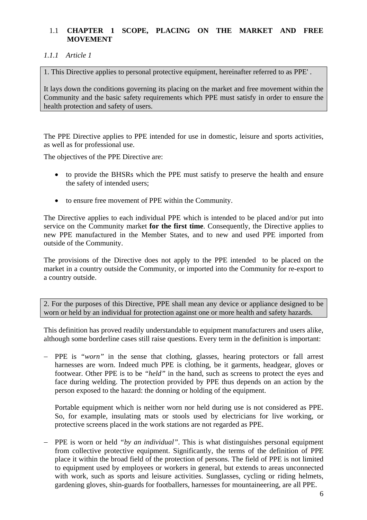### 1.1 **CHAPTER 1 SCOPE, PLACING ON THE MARKET AND FREE MOVEMENT**

# *1.1.1 Article 1*

1. This Directive applies to personal protective equipment, hereinafter referred to as PPE' .

It lays down the conditions governing its placing on the market and free movement within the Community and the basic safety requirements which PPE must satisfy in order to ensure the health protection and safety of users.

The PPE Directive applies to PPE intended for use in domestic, leisure and sports activities, as well as for professional use.

The objectives of the PPE Directive are:

- to provide the BHSRs which the PPE must satisfy to preserve the health and ensure the safety of intended users;
- to ensure free movement of PPE within the Community.

The Directive applies to each individual PPE which is intended to be placed and/or put into service on the Community market **for the first time**. Consequently, the Directive applies to new PPE manufactured in the Member States, and to new and used PPE imported from outside of the Community.

The provisions of the Directive does not apply to the PPE intended to be placed on the market in a country outside the Community, or imported into the Community for re-export to a country outside.

2. For the purposes of this Directive, PPE shall mean any device or appliance designed to be worn or held by an individual for protection against one or more health and safety hazards.

This definition has proved readily understandable to equipment manufacturers and users alike, although some borderline cases still raise questions. Every term in the definition is important:

 PPE is *"worn"* in the sense that clothing, glasses, hearing protectors or fall arrest harnesses are worn. Indeed much PPE is clothing, be it garments, headgear, gloves or footwear. Other PPE is to be *"held"* in the hand, such as screens to protect the eyes and face during welding. The protection provided by PPE thus depends on an action by the person exposed to the hazard: the donning or holding of the equipment.

Portable equipment which is neither worn nor held during use is not considered as PPE. So, for example, insulating mats or stools used by electricians for live working, or protective screens placed in the work stations are not regarded as PPE.

 PPE is worn or held *"by an individual"*. This is what distinguishes personal equipment from collective protective equipment. Significantly, the terms of the definition of PPE place it within the broad field of the protection of persons. The field of PPE is not limited to equipment used by employees or workers in general, but extends to areas unconnected with work, such as sports and leisure activities. Sunglasses, cycling or riding helmets, gardening gloves, shin-guards for footballers, harnesses for mountaineering, are all PPE.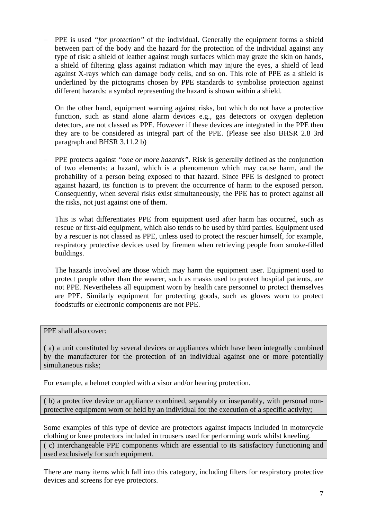PPE is used *"for protection"* of the individual. Generally the equipment forms a shield between part of the body and the hazard for the protection of the individual against any type of risk: a shield of leather against rough surfaces which may graze the skin on hands, a shield of filtering glass against radiation which may injure the eyes, a shield of lead against X-rays which can damage body cells, and so on. This role of PPE as a shield is underlined by the pictograms chosen by PPE standards to symbolise protection against different hazards: a symbol representing the hazard is shown within a shield.

On the other hand, equipment warning against risks, but which do not have a protective function, such as stand alone alarm devices e.g., gas detectors or oxygen depletion detectors, are not classed as PPE. However if these devices are integrated in the PPE then they are to be considered as integral part of the PPE. (Please see also BHSR 2.8 3rd paragraph and BHSR 3.11.2 b)

 PPE protects against *"one or more hazards"*. Risk is generally defined as the conjunction of two elements: a hazard, which is a phenomenon which may cause harm, and the probability of a person being exposed to that hazard. Since PPE is designed to protect against hazard, its function is to prevent the occurrence of harm to the exposed person. Consequently, when several risks exist simultaneously, the PPE has to protect against all the risks, not just against one of them.

This is what differentiates PPE from equipment used after harm has occurred, such as rescue or first-aid equipment, which also tends to be used by third parties. Equipment used by a rescuer is not classed as PPE, unless used to protect the rescuer himself, for example, respiratory protective devices used by firemen when retrieving people from smoke-filled buildings.

The hazards involved are those which may harm the equipment user. Equipment used to protect people other than the wearer, such as masks used to protect hospital patients, are not PPE. Nevertheless all equipment worn by health care personnel to protect themselves are PPE. Similarly equipment for protecting goods, such as gloves worn to protect foodstuffs or electronic components are not PPE.

PPE shall also cover:

( a) a unit constituted by several devices or appliances which have been integrally combined by the manufacturer for the protection of an individual against one or more potentially simultaneous risks;

For example, a helmet coupled with a visor and/or hearing protection.

( b) a protective device or appliance combined, separably or inseparably, with personal nonprotective equipment worn or held by an individual for the execution of a specific activity;

Some examples of this type of device are protectors against impacts included in motorcycle clothing or knee protectors included in trousers used for performing work whilst kneeling.

( c) interchangeable PPE components which are essential to its satisfactory functioning and used exclusively for such equipment.

There are many items which fall into this category, including filters for respiratory protective devices and screens for eye protectors.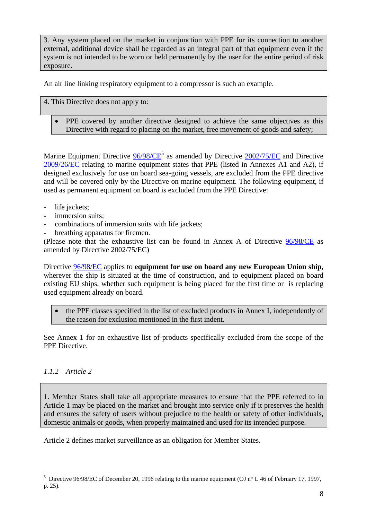3. Any system placed on the market in conjunction with PPE for its connection to another external, additional device shall be regarded as an integral part of that equipment even if the system is not intended to be worn or held permanently by the user for the entire period of risk exposure.

An air line linking respiratory equipment to a compressor is such an example.

- 4. This Directive does not apply to:
	- PPE covered by another directive designed to achieve the same objectives as this Directive with regard to placing on the market, free movement of goods and safety;

Marine Equipment Directive  $96/98/\text{CE}^5$  as amended by Directive  $2002/75/\text{EC}$  and Directive 2009/26/EC relating to marine equipment states that PPE (listed in Annexes A1 and A2), if designed exclusively for use on board sea-going vessels, are excluded from the PPE directive and will be covered only by the Directive on marine equipment. The following equipment, if used as permanent equipment on board is excluded from the PPE Directive:

- life jackets;
- immersion suits;
- combinations of immersion suits with life jackets;
- breathing apparatus for firemen.

(Please note that the exhaustive list can be found in Annex A of Directive 96/98/CE as amended by Directive 2002/75/EC)

Directive 96/98/EC applies to **equipment for use on board any new European Union ship**, wherever the ship is situated at the time of construction, and to equipment placed on board existing EU ships, whether such equipment is being placed for the first time or is replacing used equipment already on board.

• the PPE classes specified in the list of excluded products in Annex I, independently of the reason for exclusion mentioned in the first indent.

See Annex 1 for an exhaustive list of products specifically excluded from the scope of the PPE Directive.

# *1.1.2 Article 2*

 $\overline{a}$ 

1. Member States shall take all appropriate measures to ensure that the PPE referred to in Article 1 may be placed on the market and brought into service only if it preserves the health and ensures the safety of users without prejudice to the health or safety of other individuals, domestic animals or goods, when properly maintained and used for its intended purpose.

Article 2 defines market surveillance as an obligation for Member States.

<sup>&</sup>lt;sup>5</sup> Directive 96/98/EC of December 20, 1996 relating to the marine equipment (OJ n° L 46 of February 17, 1997, p. 25).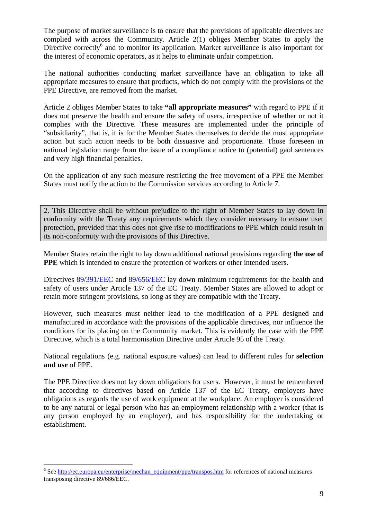The purpose of market surveillance is to ensure that the provisions of applicable directives are complied with across the Community. Article 2(1) obliges Member States to apply the Directive correctly<sup>6</sup> and to monitor its application. Market surveillance is also important for the interest of economic operators, as it helps to eliminate unfair competition.

The national authorities conducting market surveillance have an obligation to take all appropriate measures to ensure that products, which do not comply with the provisions of the PPE Directive, are removed from the market.

Article 2 obliges Member States to take **"all appropriate measures"** with regard to PPE if it does not preserve the health and ensure the safety of users, irrespective of whether or not it complies with the Directive. These measures are implemented under the principle of "subsidiarity", that is, it is for the Member States themselves to decide the most appropriate action but such action needs to be both dissuasive and proportionate. Those foreseen in national legislation range from the issue of a compliance notice to (potential) gaol sentences and very high financial penalties.

On the application of any such measure restricting the free movement of a PPE the Member States must notify the action to the Commission services according to Article 7.

2. This Directive shall be without prejudice to the right of Member States to lay down in conformity with the Treaty any requirements which they consider necessary to ensure user protection, provided that this does not give rise to modifications to PPE which could result in its non-conformity with the provisions of this Directive.

Member States retain the right to lay down additional national provisions regarding **the use of PPE** which is intended to ensure the protection of workers or other intended users.

Directives 89/391/EEC and 89/656/EEC lay down minimum requirements for the health and safety of users under Article 137 of the EC Treaty. Member States are allowed to adopt or retain more stringent provisions, so long as they are compatible with the Treaty.

However, such measures must neither lead to the modification of a PPE designed and manufactured in accordance with the provisions of the applicable directives, nor influence the conditions for its placing on the Community market. This is evidently the case with the PPE Directive, which is a total harmonisation Directive under Article 95 of the Treaty.

National regulations (e.g. national exposure values) can lead to different rules for **selection and use** of PPE.

The PPE Directive does not lay down obligations for users. However, it must be remembered that according to directives based on Article 137 of the EC Treaty, employers have obligations as regards the use of work equipment at the workplace. An employer is considered to be any natural or legal person who has an employment relationship with a worker (that is any person employed by an employer), and has responsibility for the undertaking or establishment.

<sup>&</sup>lt;sup>6</sup> See <u>http://ec.europa.eu/enterprise/mechan\_equipment/ppe/transpos.htm</u> for references of national measures transposing directive 89/686/EEC.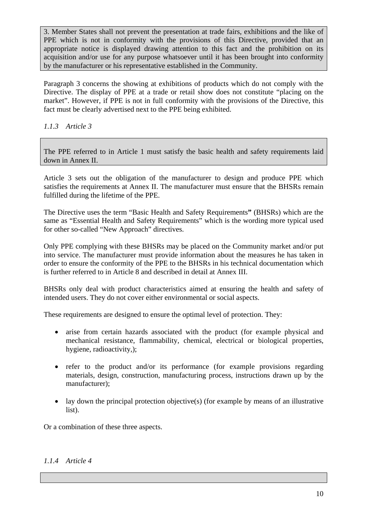3. Member States shall not prevent the presentation at trade fairs, exhibitions and the like of PPE which is not in conformity with the provisions of this Directive, provided that an appropriate notice is displayed drawing attention to this fact and the prohibition on its acquisition and/or use for any purpose whatsoever until it has been brought into conformity by the manufacturer or his representative established in the Community.

Paragraph 3 concerns the showing at exhibitions of products which do not comply with the Directive. The display of PPE at a trade or retail show does not constitute "placing on the market". However, if PPE is not in full conformity with the provisions of the Directive, this fact must be clearly advertised next to the PPE being exhibited.

*1.1.3 Article 3* 

The PPE referred to in Article 1 must satisfy the basic health and safety requirements laid down in Annex II.

Article 3 sets out the obligation of the manufacturer to design and produce PPE which satisfies the requirements at Annex II. The manufacturer must ensure that the BHSRs remain fulfilled during the lifetime of the PPE.

The Directive uses the term "Basic Health and Safety Requirements**"** (BHSRs) which are the same as "Essential Health and Safety Requirements" which is the wording more typical used for other so-called "New Approach" directives.

Only PPE complying with these BHSRs may be placed on the Community market and/or put into service. The manufacturer must provide information about the measures he has taken in order to ensure the conformity of the PPE to the BHSRs in his technical documentation which is further referred to in Article 8 and described in detail at Annex III.

BHSRs only deal with product characteristics aimed at ensuring the health and safety of intended users. They do not cover either environmental or social aspects.

These requirements are designed to ensure the optimal level of protection. They:

- arise from certain hazards associated with the product (for example physical and mechanical resistance, flammability, chemical, electrical or biological properties, hygiene, radioactivity,);
- refer to the product and/or its performance (for example provisions regarding materials, design, construction, manufacturing process, instructions drawn up by the manufacturer);
- lay down the principal protection objective(s) (for example by means of an illustrative list).

Or a combination of these three aspects.

### *1.1.4 Article 4*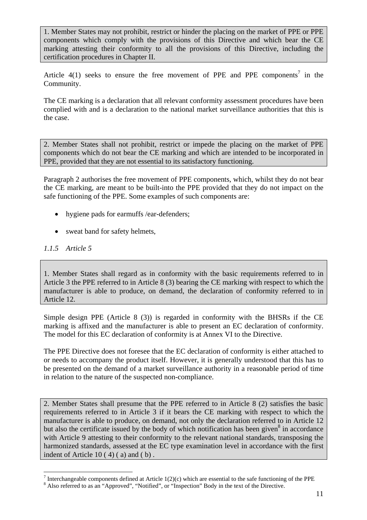1. Member States may not prohibit, restrict or hinder the placing on the market of PPE or PPE components which comply with the provisions of this Directive and which bear the CE marking attesting their conformity to all the provisions of this Directive, including the certification procedures in Chapter II.

Article  $4(1)$  seeks to ensure the free movement of PPE and PPE components<sup>7</sup> in the Community.

The CE marking is a declaration that all relevant conformity assessment procedures have been complied with and is a declaration to the national market surveillance authorities that this is the case.

2. Member States shall not prohibit, restrict or impede the placing on the market of PPE components which do not bear the CE marking and which are intended to be incorporated in PPE, provided that they are not essential to its satisfactory functioning.

Paragraph 2 authorises the free movement of PPE components, which, whilst they do not bear the CE marking, are meant to be built-into the PPE provided that they do not impact on the safe functioning of the PPE. Some examples of such components are:

- hygiene pads for earmuffs /ear-defenders;
- sweat band for safety helmets,

# *1.1.5 Article 5*

 $\overline{a}$ 

1. Member States shall regard as in conformity with the basic requirements referred to in Article 3 the PPE referred to in Article 8 (3) bearing the CE marking with respect to which the manufacturer is able to produce, on demand, the declaration of conformity referred to in Article 12.

Simple design PPE (Article 8 (3)) is regarded in conformity with the BHSRs if the CE marking is affixed and the manufacturer is able to present an EC declaration of conformity. The model for this EC declaration of conformity is at Annex VI to the Directive.

The PPE Directive does not foresee that the EC declaration of conformity is either attached to or needs to accompany the product itself. However, it is generally understood that this has to be presented on the demand of a market surveillance authority in a reasonable period of time in relation to the nature of the suspected non-compliance.

2. Member States shall presume that the PPE referred to in Article 8 (2) satisfies the basic requirements referred to in Article 3 if it bears the CE marking with respect to which the manufacturer is able to produce, on demand, not only the declaration referred to in Article 12 but also the certificate issued by the body of which notification has been given<sup>8</sup> in accordance with Article 9 attesting to their conformity to the relevant national standards, transposing the harmonized standards, assessed at the EC type examination level in accordance with the first indent of Article 10 ( 4) ( a) and ( b) .

<sup>&</sup>lt;sup>7</sup> Interchangeable components defined at Article  $1(2)(c)$  which are essential to the safe functioning of the PPE

<sup>&</sup>lt;sup>8</sup> Also referred to as an "Approved", "Notified", or "Inspection" Body in the text of the Directive.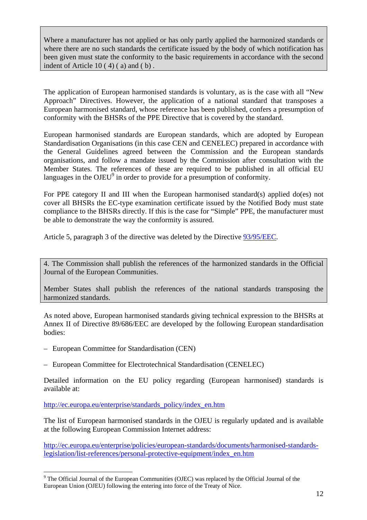Where a manufacturer has not applied or has only partly applied the harmonized standards or where there are no such standards the certificate issued by the body of which notification has been given must state the conformity to the basic requirements in accordance with the second indent of Article 10 ( 4) ( a) and ( b) .

The application of European harmonised standards is voluntary, as is the case with all "New Approach" Directives. However, the application of a national standard that transposes a European harmonised standard, whose reference has been published, confers a presumption of conformity with the BHSRs of the PPE Directive that is covered by the standard.

European harmonised standards are European standards, which are adopted by European Standardisation Organisations (in this case CEN and CENELEC) prepared in accordance with the General Guidelines agreed between the Commission and the European standards organisations, and follow a mandate issued by the Commission after consultation with the Member States. The references of these are required to be published in all official EU languages in the  $OJEU<sup>9</sup>$  in order to provide for a presumption of conformity.

For PPE category II and III when the European harmonised standard(s) applied do(es) not cover all BHSRs the EC-type examination certificate issued by the Notified Body must state compliance to the BHSRs directly. If this is the case for "Simple" PPE, the manufacturer must be able to demonstrate the way the conformity is assured.

Article 5, paragraph 3 of the directive was deleted by the Directive 93/95/EEC.

4. The Commission shall publish the references of the harmonized standards in the Official Journal of the European Communities.

Member States shall publish the references of the national standards transposing the harmonized standards.

As noted above, European harmonised standards giving technical expression to the BHSRs at Annex II of Directive 89/686/EEC are developed by the following European standardisation bodies:

– European Committee for Standardisation (CEN)

 $\overline{a}$ 

– European Committee for Electrotechnical Standardisation (CENELEC)

Detailed information on the EU policy regarding (European harmonised) standards is available at:

http://ec.europa.eu/enterprise/standards\_policy/index\_en.htm

The list of European harmonised standards in the OJEU is regularly updated and is available at the following European Commission Internet address:

http://ec.europa.eu/enterprise/policies/european-standards/documents/harmonised-standardslegislation/list-references/personal-protective-equipment/index\_en.htm

<sup>&</sup>lt;sup>9</sup> The Official Journal of the European Communities (OJEC) was replaced by the Official Journal of the European Union (OJEU) following the entering into force of the Treaty of Nice.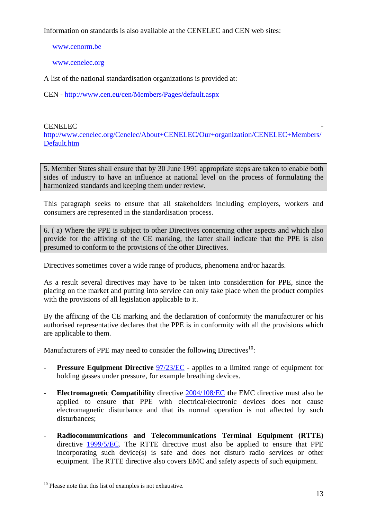Information on standards is also available at the CENELEC and CEN web sites:

www.cenorm.be

www.cenelec.org

A list of the national standardisation organizations is provided at:

CEN - http://www.cen.eu/cen/Members/Pages/default.aspx

CENELEC<sup>-</sup>

http://www.cenelec.org/Cenelec/About+CENELEC/Our+organization/CENELEC+Members/ Default.htm

5. Member States shall ensure that by 30 June 1991 appropriate steps are taken to enable both sides of industry to have an influence at national level on the process of formulating the harmonized standards and keeping them under review.

This paragraph seeks to ensure that all stakeholders including employers, workers and consumers are represented in the standardisation process.

6. ( a) Where the PPE is subject to other Directives concerning other aspects and which also provide for the affixing of the CE marking, the latter shall indicate that the PPE is also presumed to conform to the provisions of the other Directives.

Directives sometimes cover a wide range of products, phenomena and/or hazards.

As a result several directives may have to be taken into consideration for PPE, since the placing on the market and putting into service can only take place when the product complies with the provisions of all legislation applicable to it.

By the affixing of the CE marking and the declaration of conformity the manufacturer or his authorised representative declares that the PPE is in conformity with all the provisions which are applicable to them.

Manufacturers of PPE may need to consider the following Directives<sup>10</sup>:

- **Pressure Equipment Directive**  $\frac{97}{23/EC}$  applies to a limited range of equipment for holding gasses under pressure, for example breathing devices.
- **Electromagnetic Compatibility** directive 2004/108/EC **t**he EMC directive must also be applied to ensure that PPE with electrical/electronic devices does not cause electromagnetic disturbance and that its normal operation is not affected by such disturbances;
- **Radiocommunications and Telecommunications Terminal Equipment (RTTE)**  directive 1999/5/EC. The RTTE directive must also be applied to ensure that PPE incorporating such device(s) is safe and does not disturb radio services or other equipment. The RTTE directive also covers EMC and safety aspects of such equipment.

 $\overline{a}$ 

 $10$  Please note that this list of examples is not exhaustive.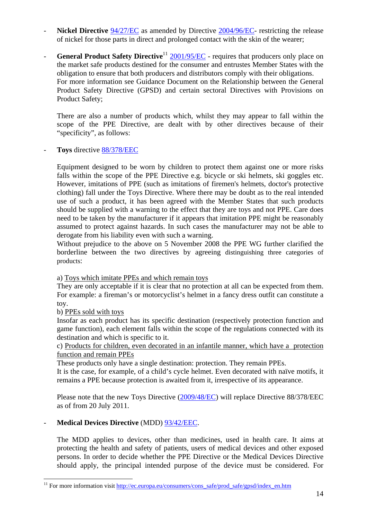- **Nickel Directive** 94/27/EC as amended by Directive 2004/96/EC- restricting the release of nickel for those parts in direct and prolonged contact with the skin of the wearer;
- **General Product Safety Directive**<sup>11</sup> 2001/95/EC requires that producers only place on the market safe products destined for the consumer and entrustes Member States with the obligation to ensure that both producers and distributors comply with their obligations. For more information see Guidance Document on the Relationship between the General Product Safety Directive (GPSD) and certain sectoral Directives with Provisions on Product Safety;

 There are also a number of products which, whilst they may appear to fall within the scope of the PPE Directive, are dealt with by other directives because of their "specificity", as follows:

Toys directive 88/378/EEC

Equipment designed to be worn by children to protect them against one or more risks falls within the scope of the PPE Directive e.g. bicycle or ski helmets, ski goggles etc. However, imitations of PPE (such as imitations of firemen's helmets, doctor's protective clothing) fall under the Toys Directive. Where there may be doubt as to the real intended use of such a product, it has been agreed with the Member States that such products should be supplied with a warning to the effect that they are toys and not PPE. Care does need to be taken by the manufacturer if it appears that imitation PPE might be reasonably assumed to protect against hazards. In such cases the manufacturer may not be able to derogate from his liability even with such a warning.

Without prejudice to the above on 5 November 2008 the PPE WG further clarified the borderline between the two directives by agreeing distinguishing three categories of products:

### a) Toys which imitate PPEs and which remain toys

They are only acceptable if it is clear that no protection at all can be expected from them. For example: a fireman's or motorcyclist's helmet in a fancy dress outfit can constitute a toy.

#### b) PPEs sold with toys

 $\overline{a}$ 

Insofar as each product has its specific destination (respectively protection function and game function), each element falls within the scope of the regulations connected with its destination and which is specific to it.

c) Products for children, even decorated in an infantile manner, which have a protection function and remain PPEs

These products only have a single destination: protection. They remain PPEs.

It is the case, for example, of a child's cycle helmet. Even decorated with naïve motifs, it remains a PPE because protection is awaited from it, irrespective of its appearance.

Please note that the new Toys Directive (2009/48/EC) will replace Directive 88/378/EEC as of from 20 July 2011.

### - **Medical Devices Directive** (MDD) 93/42/EEC.

The MDD applies to devices, other than medicines, used in health care. It aims at protecting the health and safety of patients, users of medical devices and other exposed persons. In order to decide whether the PPE Directive or the Medical Devices Directive should apply, the principal intended purpose of the device must be considered. For

<sup>&</sup>lt;sup>11</sup> For more information visit http://ec.europa.eu/consumers/cons\_safe/prod\_safe/gpsd/index\_en.htm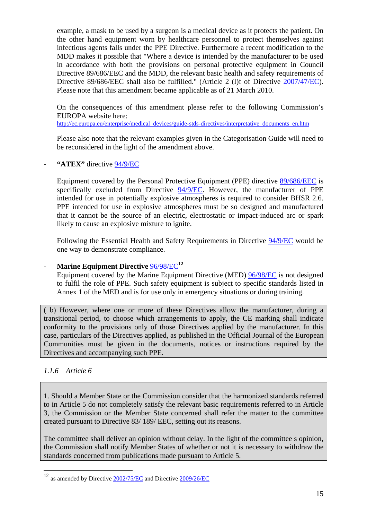example, a mask to be used by a surgeon is a medical device as it protects the patient. On the other hand equipment worn by healthcare personnel to protect themselves against infectious agents falls under the PPE Directive. Furthermore a recent modification to the MDD makes it possible that "Where a device is intended by the manufacturer to be used in accordance with both the provisions on personal protective equipment in Council Directive 89/686/EEC and the MDD, the relevant basic health and safety requirements of Directive 89/686/EEC shall also be fulfilled." (Article 2 (l)f of Directive 2007/47/EC). Please note that this amendment became applicable as of 21 March 2010.

On the consequences of this amendment please refer to the following Commission's EUROPA website here:

http://ec.europa.eu/enterprise/medical\_devices/guide-stds-directives/interpretative\_documents\_en.htm

Please also note that the relevant examples given in the Categorisation Guide will need to be reconsidered in the light of the amendment above.

- **"ATEX"** directive 94/9/EC

Equipment covered by the Personal Protective Equipment (PPE) directive 89/686/EEC is specifically excluded from Directive  $\frac{94}{96}$ . However, the manufacturer of PPE intended for use in potentially explosive atmospheres is required to consider BHSR 2.6. PPE intended for use in explosive atmospheres must be so designed and manufactured that it cannot be the source of an electric, electrostatic or impact-induced arc or spark likely to cause an explosive mixture to ignite.

Following the Essential Health and Safety Requirements in Directive 94/9/EC would be one way to demonstrate compliance.

- **Marine Equipment Directive** 96/98/EC**12** 

Equipment covered by the Marine Equipment Directive (MED) 96/98/EC is not designed to fulfil the role of PPE. Such safety equipment is subject to specific standards listed in Annex 1 of the MED and is for use only in emergency situations or during training.

( b) However, where one or more of these Directives allow the manufacturer, during a transitional period, to choose which arrangements to apply, the CE marking shall indicate conformity to the provisions only of those Directives applied by the manufacturer. In this case, particulars of the Directives applied, as published in the Official Journal of the European Communities must be given in the documents, notices or instructions required by the Directives and accompanying such PPE.

# *1.1.6 Article 6*

 $\overline{a}$ 

1. Should a Member State or the Commission consider that the harmonized standards referred to in Article 5 do not completely satisfy the relevant basic requirements referred to in Article 3, the Commission or the Member State concerned shall refer the matter to the committee created pursuant to Directive 83/ 189/ EEC, setting out its reasons.

The committee shall deliver an opinion without delay. In the light of the committee s opinion, the Commission shall notify Member States of whether or not it is necessary to withdraw the standards concerned from publications made pursuant to Article 5.

<sup>&</sup>lt;sup>12</sup> as amended by Directive 2002/75/EC and Directive 2009/26/EC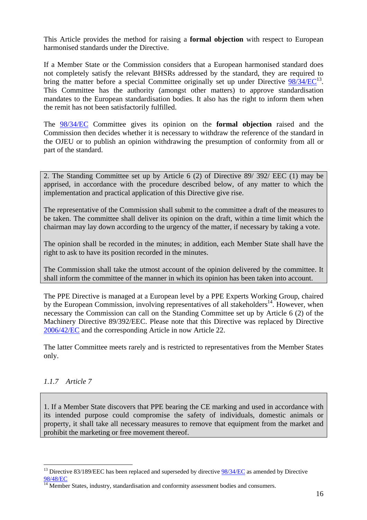This Article provides the method for raising a **formal objection** with respect to European harmonised standards under the Directive.

If a Member State or the Commission considers that a European harmonised standard does not completely satisfy the relevant BHSRs addressed by the standard, they are required to bring the matter before a special Committee originally set up under Directive  $98/34/EC^{13}$ . This Committee has the authority (amongst other matters) to approve standardisation mandates to the European standardisation bodies. It also has the right to inform them when the remit has not been satisfactorily fulfilled.

The 98/34/EC Committee gives its opinion on the **formal objection** raised and the Commission then decides whether it is necessary to withdraw the reference of the standard in the OJEU or to publish an opinion withdrawing the presumption of conformity from all or part of the standard.

2. The Standing Committee set up by Article 6 (2) of Directive 89/ 392/ EEC (1) may be apprised, in accordance with the procedure described below, of any matter to which the implementation and practical application of this Directive give rise.

The representative of the Commission shall submit to the committee a draft of the measures to be taken. The committee shall deliver its opinion on the draft, within a time limit which the chairman may lay down according to the urgency of the matter, if necessary by taking a vote.

The opinion shall be recorded in the minutes; in addition, each Member State shall have the right to ask to have its position recorded in the minutes.

The Commission shall take the utmost account of the opinion delivered by the committee. It shall inform the committee of the manner in which its opinion has been taken into account.

The PPE Directive is managed at a European level by a PPE Experts Working Group, chaired by the European Commission, involving representatives of all stakeholders<sup>14</sup>. However, when necessary the Commission can call on the Standing Committee set up by Article 6 (2) of the Machinery Directive 89/392/EEC. Please note that this Directive was replaced by Directive 2006/42/EC and the corresponding Article in now Article 22.

The latter Committee meets rarely and is restricted to representatives from the Member States only.

# *1.1.7 Article 7*

1. If a Member State discovers that PPE bearing the CE marking and used in accordance with its intended purpose could compromise the safety of individuals, domestic animals or property, it shall take all necessary measures to remove that equipment from the market and prohibit the marketing or free movement thereof.

 $\overline{a}$ <sup>13</sup> Directive 83/189/EEC has been replaced and superseded by directive  $\frac{98}{34}{\text{/EC}}$  as amended by Directive 98/48/EC

<sup>&</sup>lt;sup>14</sup> Member States, industry, standardisation and conformity assessment bodies and consumers.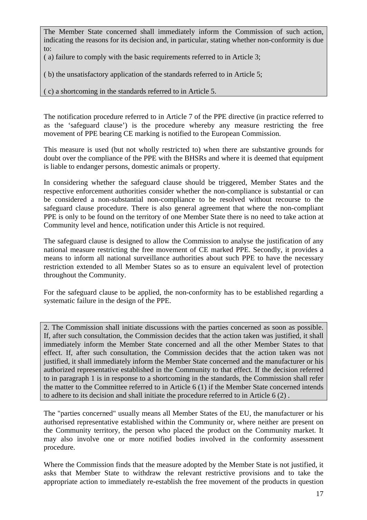The Member State concerned shall immediately inform the Commission of such action, indicating the reasons for its decision and, in particular, stating whether non-conformity is due to:

( a) failure to comply with the basic requirements referred to in Article 3;

( b) the unsatisfactory application of the standards referred to in Article 5;

( c) a shortcoming in the standards referred to in Article 5.

The notification procedure referred to in Article 7 of the PPE directive (in practice referred to as the 'safeguard clause') is the procedure whereby any measure restricting the free movement of PPE bearing CE marking is notified to the European Commission.

This measure is used (but not wholly restricted to) when there are substantive grounds for doubt over the compliance of the PPE with the BHSRs and where it is deemed that equipment is liable to endanger persons, domestic animals or property.

In considering whether the safeguard clause should be triggered, Member States and the respective enforcement authorities consider whether the non-compliance is substantial or can be considered a non-substantial non-compliance to be resolved without recourse to the safeguard clause procedure. There is also general agreement that where the non-compliant PPE is only to be found on the territory of one Member State there is no need to take action at Community level and hence, notification under this Article is not required.

The safeguard clause is designed to allow the Commission to analyse the justification of any national measure restricting the free movement of CE marked PPE. Secondly, it provides a means to inform all national surveillance authorities about such PPE to have the necessary restriction extended to all Member States so as to ensure an equivalent level of protection throughout the Community.

For the safeguard clause to be applied, the non-conformity has to be established regarding a systematic failure in the design of the PPE.

2. The Commission shall initiate discussions with the parties concerned as soon as possible. If, after such consultation, the Commission decides that the action taken was justified, it shall immediately inform the Member State concerned and all the other Member States to that effect. If, after such consultation, the Commission decides that the action taken was not justified, it shall immediately inform the Member State concerned and the manufacturer or his authorized representative established in the Community to that effect. If the decision referred to in paragraph 1 is in response to a shortcoming in the standards, the Commission shall refer the matter to the Committee referred to in Article 6 (1) if the Member State concerned intends to adhere to its decision and shall initiate the procedure referred to in Article 6 (2) .

The "parties concerned" usually means all Member States of the EU, the manufacturer or his authorised representative established within the Community or, where neither are present on the Community territory, the person who placed the product on the Community market. It may also involve one or more notified bodies involved in the conformity assessment procedure.

Where the Commission finds that the measure adopted by the Member State is not justified, it asks that Member State to withdraw the relevant restrictive provisions and to take the appropriate action to immediately re-establish the free movement of the products in question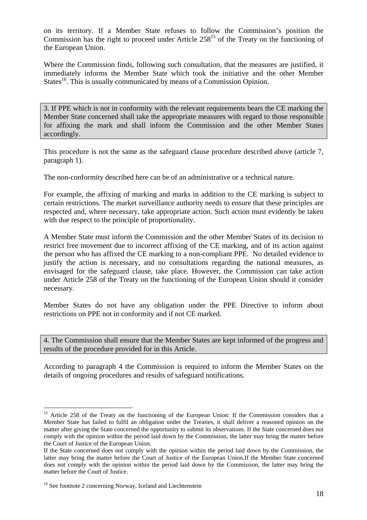on its territory. If a Member State refuses to follow the Commission's position the Commission has the right to proceed under Article  $258<sup>15</sup>$  of the Treaty on the functioning of the European Union.

Where the Commission finds, following such consultation, that the measures are justified, it immediately informs the Member State which took the initiative and the other Member States<sup>16</sup>. This is usually communicated by means of a Commission Opinion.

3. If PPE which is not in conformity with the relevant requirements bears the CE marking the Member State concerned shall take the appropriate measures with regard to those responsible for affixing the mark and shall inform the Commission and the other Member States accordingly.

This procedure is not the same as the safeguard clause procedure described above (article 7, paragraph 1).

The non-conformity described here can be of an administrative or a technical nature.

For example, the affixing of marking and marks in addition to the CE marking is subject to certain restrictions. The market surveillance authority needs to ensure that these principles are respected and, where necessary, take appropriate action. Such action must evidently be taken with due respect to the principle of proportionality.

A Member State must inform the Commission and the other Member States of its decision to restrict free movement due to incorrect affixing of the CE marking, and of its action against the person who has affixed the CE marking to a non-compliant PPE. No detailed evidence to justify the action is necessary, and no consultations regarding the national measures, as envisaged for the safeguard clause, take place. However, the Commission can take action under Article 258 of the Treaty on the functioning of the European Union should it consider necessary.

Member States do not have any obligation under the PPE Directive to inform about restrictions on PPE not in conformity and if not CE marked.

4. The Commission shall ensure that the Member States are kept informed of the progress and results of the procedure provided for in this Article.

According to paragraph 4 the Commission is required to inform the Member States on the details of ongoing procedures and results of safeguard notifications.

 $\overline{a}$ 

<sup>&</sup>lt;sup>15</sup> Article 258 of the Treaty on the functioning of the European Union: If the Commission considers that a Member State has failed to fulfil an obligation under the Treaties, it shall deliver a reasoned opinion on the matter after giving the State concerned the opportunity to submit its observations. If the State concerned does not comply with the opinion within the period laid down by the Commission, the latter may bring the matter before the Court of Justice of the European Union.

If the State concerned does not comply with the opinion within the period laid down by the Commission, the latter may bring the matter before the Court of Justice of the European Union.If the Member State concerned does not comply with the opinion within the period laid down by the Commission, the latter may bring the matter before the Court of Justice.

<sup>&</sup>lt;sup>16</sup> See footnote 2 concerning Norway, Iceland and Liechtenstein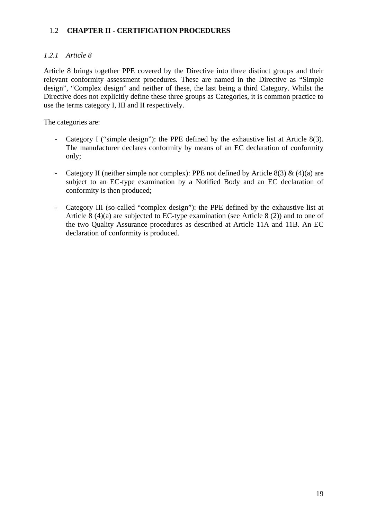### 1.2 **CHAPTER II - CERTIFICATION PROCEDURES**

### *1.2.1 Article 8*

Article 8 brings together PPE covered by the Directive into three distinct groups and their relevant conformity assessment procedures. These are named in the Directive as "Simple design", "Complex design" and neither of these, the last being a third Category. Whilst the Directive does not explicitly define these three groups as Categories, it is common practice to use the terms category I, III and II respectively.

The categories are:

- Category I ("simple design"): the PPE defined by the exhaustive list at Article 8(3). The manufacturer declares conformity by means of an EC declaration of conformity only;
- Category II (neither simple nor complex): PPE not defined by Article 8(3)  $\&$  (4)(a) are subject to an EC-type examination by a Notified Body and an EC declaration of conformity is then produced;
- Category III (so-called "complex design"): the PPE defined by the exhaustive list at Article 8 (4)(a) are subjected to EC-type examination (see Article 8 (2)) and to one of the two Quality Assurance procedures as described at Article 11A and 11B. An EC declaration of conformity is produced.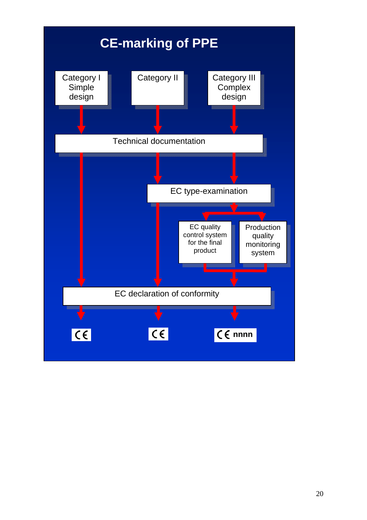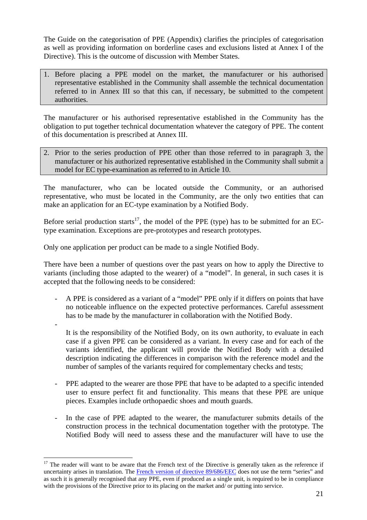The Guide on the categorisation of PPE (Appendix) clarifies the principles of categorisation as well as providing information on borderline cases and exclusions listed at Annex I of the Directive). This is the outcome of discussion with Member States.

1. Before placing a PPE model on the market, the manufacturer or his authorised representative established in the Community shall assemble the technical documentation referred to in Annex III so that this can, if necessary, be submitted to the competent authorities.

The manufacturer or his authorised representative established in the Community has the obligation to put together technical documentation whatever the category of PPE. The content of this documentation is prescribed at Annex III.

2. Prior to the series production of PPE other than those referred to in paragraph 3, the manufacturer or his authorized representative established in the Community shall submit a model for EC type-examination as referred to in Article 10.

The manufacturer, who can be located outside the Community, or an authorised representative, who must be located in the Community, are the only two entities that can make an application for an EC-type examination by a Notified Body.

Before serial production starts<sup>17</sup>, the model of the PPE (type) has to be submitted for an ECtype examination. Exceptions are pre-prototypes and research prototypes.

Only one application per product can be made to a single Notified Body.

-

There have been a number of questions over the past years on how to apply the Directive to variants (including those adapted to the wearer) of a "model". In general, in such cases it is accepted that the following needs to be considered:

- A PPE is considered as a variant of a "model" PPE only if it differs on points that have no noticeable influence on the expected protective performances. Careful assessment has to be made by the manufacturer in collaboration with the Notified Body.
	- It is the responsibility of the Notified Body, on its own authority, to evaluate in each case if a given PPE can be considered as a variant. In every case and for each of the variants identified, the applicant will provide the Notified Body with a detailed description indicating the differences in comparison with the reference model and the number of samples of the variants required for complementary checks and tests;
- PPE adapted to the wearer are those PPE that have to be adapted to a specific intended user to ensure perfect fit and functionality. This means that these PPE are unique pieces. Examples include orthopaedic shoes and mouth guards.
- In the case of PPE adapted to the wearer, the manufacturer submits details of the construction process in the technical documentation together with the prototype. The Notified Body will need to assess these and the manufacturer will have to use the

 $\overline{a}$  $17$  The reader will want to be aware that the French text of the Directive is generally taken as the reference if uncertainty arises in translation. The French version of directive 89/686/EEC does not use the term "series" and as such it is generally recognised that any PPE, even if produced as a single unit, is required to be in compliance with the provisions of the Directive prior to its placing on the market and/ or putting into service.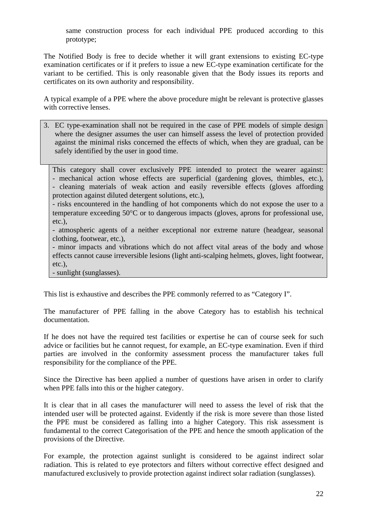same construction process for each individual PPE produced according to this prototype;

The Notified Body is free to decide whether it will grant extensions to existing EC-type examination certificates or if it prefers to issue a new EC-type examination certificate for the variant to be certified. This is only reasonable given that the Body issues its reports and certificates on its own authority and responsibility.

A typical example of a PPE where the above procedure might be relevant is protective glasses with corrective lenses.

3. EC type-examination shall not be required in the case of PPE models of simple design where the designer assumes the user can himself assess the level of protection provided against the minimal risks concerned the effects of which, when they are gradual, can be safely identified by the user in good time.

This category shall cover exclusively PPE intended to protect the wearer against: - mechanical action whose effects are superficial (gardening gloves, thimbles, etc.), - cleaning materials of weak action and easily reversible effects (gloves affording protection against diluted detergent solutions, etc.),

- risks encountered in the handling of hot components which do not expose the user to a temperature exceeding  $50^{\circ}$ C or to dangerous impacts (gloves, aprons for professional use, etc.),

- atmospheric agents of a neither exceptional nor extreme nature (headgear, seasonal clothing, footwear, etc.),

- minor impacts and vibrations which do not affect vital areas of the body and whose effects cannot cause irreversible lesions (light anti-scalping helmets, gloves, light footwear, etc.),

- sunlight (sunglasses).

This list is exhaustive and describes the PPE commonly referred to as "Category I".

The manufacturer of PPE falling in the above Category has to establish his technical documentation.

If he does not have the required test facilities or expertise he can of course seek for such advice or facilities but he cannot request, for example, an EC-type examination. Even if third parties are involved in the conformity assessment process the manufacturer takes full responsibility for the compliance of the PPE.

Since the Directive has been applied a number of questions have arisen in order to clarify when PPE falls into this or the higher category.

It is clear that in all cases the manufacturer will need to assess the level of risk that the intended user will be protected against. Evidently if the risk is more severe than those listed the PPE must be considered as falling into a higher Category. This risk assessment is fundamental to the correct Categorisation of the PPE and hence the smooth application of the provisions of the Directive.

For example, the protection against sunlight is considered to be against indirect solar radiation. This is related to eye protectors and filters without corrective effect designed and manufactured exclusively to provide protection against indirect solar radiation (sunglasses).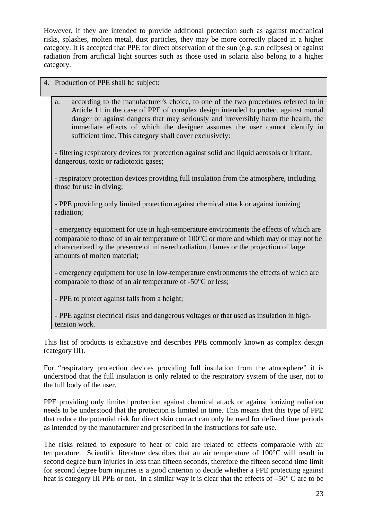However, if they are intended to provide additional protection such as against mechanical risks, splashes, molten metal, dust particles, they may be more correctly placed in a higher category. It is accepted that PPE for direct observation of the sun (e.g. sun eclipses) or against radiation from artificial light sources such as those used in solaria also belong to a higher category.

- 4. Production of PPE shall be subject:
	- a. according to the manufacturer's choice, to one of the two procedures referred to in Article 11 in the case of PPE of complex design intended to protect against mortal danger or against dangers that may seriously and irreversibly harm the health, the immediate effects of which the designer assumes the user cannot identify in sufficient time. This category shall cover exclusively:

- filtering respiratory devices for protection against solid and liquid aerosols or irritant, dangerous, toxic or radiotoxic gases;

- respiratory protection devices providing full insulation from the atmosphere, including those for use in diving;

- PPE providing only limited protection against chemical attack or against ionizing radiation;

- emergency equipment for use in high-temperature environments the effects of which are comparable to those of an air temperature of  $100^{\circ}$ C or more and which may or may not be characterized by the presence of infra-red radiation, flames or the projection of large amounts of molten material;

- emergency equipment for use in low-temperature environments the effects of which are comparable to those of an air temperature of  $-50^{\circ}$ C or less;

- PPE to protect against falls from a height;

- PPE against electrical risks and dangerous voltages or that used as insulation in hightension work.

This list of products is exhaustive and describes PPE commonly known as complex design (category III).

For "respiratory protection devices providing full insulation from the atmosphere" it is understood that the full insulation is only related to the respiratory system of the user, not to the full body of the user.

PPE providing only limited protection against chemical attack or against ionizing radiation needs to be understood that the protection is limited in time. This means that this type of PPE that reduce the potential risk for direct skin contact can only be used for defined time periods as intended by the manufacturer and prescribed in the instructions for safe use.

The risks related to exposure to heat or cold are related to effects comparable with air temperature. Scientific literature describes that an air temperature of 100°C will result in second degree burn injuries in less than fifteen seconds, therefore the fifteen second time limit for second degree burn injuries is a good criterion to decide whether a PPE protecting against heat is category III PPE or not. In a similar way it is clear that the effects of  $-50^{\circ}$  C are to be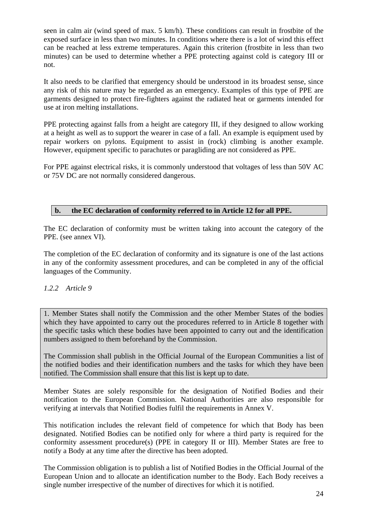seen in calm air (wind speed of max. 5 km/h). These conditions can result in frostbite of the exposed surface in less than two minutes. In conditions where there is a lot of wind this effect can be reached at less extreme temperatures. Again this criterion (frostbite in less than two minutes) can be used to determine whether a PPE protecting against cold is category III or not.

It also needs to be clarified that emergency should be understood in its broadest sense, since any risk of this nature may be regarded as an emergency. Examples of this type of PPE are garments designed to protect fire-fighters against the radiated heat or garments intended for use at iron melting installations.

PPE protecting against falls from a height are category III, if they designed to allow working at a height as well as to support the wearer in case of a fall. An example is equipment used by repair workers on pylons. Equipment to assist in (rock) climbing is another example. However, equipment specific to parachutes or paragliding are not considered as PPE.

For PPE against electrical risks, it is commonly understood that voltages of less than 50V AC or 75V DC are not normally considered dangerous.

# **b. the EC declaration of conformity referred to in Article 12 for all PPE.**

The EC declaration of conformity must be written taking into account the category of the PPE. (see annex VI).

The completion of the EC declaration of conformity and its signature is one of the last actions in any of the conformity assessment procedures, and can be completed in any of the official languages of the Community.

### *1.2.2 Article 9*

1. Member States shall notify the Commission and the other Member States of the bodies which they have appointed to carry out the procedures referred to in Article 8 together with the specific tasks which these bodies have been appointed to carry out and the identification numbers assigned to them beforehand by the Commission.

The Commission shall publish in the Official Journal of the European Communities a list of the notified bodies and their identification numbers and the tasks for which they have been notified. The Commission shall ensure that this list is kept up to date.

Member States are solely responsible for the designation of Notified Bodies and their notification to the European Commission. National Authorities are also responsible for verifying at intervals that Notified Bodies fulfil the requirements in Annex V.

This notification includes the relevant field of competence for which that Body has been designated. Notified Bodies can be notified only for where a third party is required for the conformity assessment procedure(s) (PPE in category II or III). Member States are free to notify a Body at any time after the directive has been adopted.

The Commission obligation is to publish a list of Notified Bodies in the Official Journal of the European Union and to allocate an identification number to the Body. Each Body receives a single number irrespective of the number of directives for which it is notified.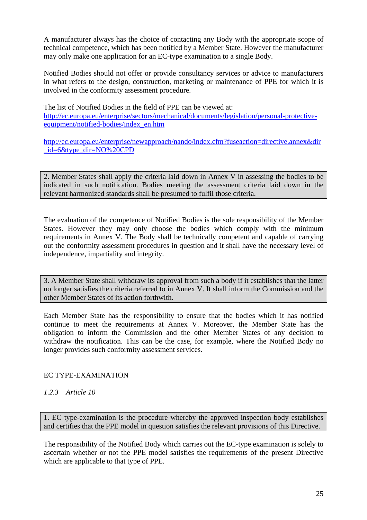A manufacturer always has the choice of contacting any Body with the appropriate scope of technical competence, which has been notified by a Member State. However the manufacturer may only make one application for an EC-type examination to a single Body.

Notified Bodies should not offer or provide consultancy services or advice to manufacturers in what refers to the design, construction, marketing or maintenance of PPE for which it is involved in the conformity assessment procedure.

The list of Notified Bodies in the field of PPE can be viewed at: http://ec.europa.eu/enterprise/sectors/mechanical/documents/legislation/personal-protectiveequipment/notified-bodies/index\_en.htm

http://ec.europa.eu/enterprise/newapproach/nando/index.cfm?fuseaction=directive.annex&dir \_id=6&type\_dir=NO%20CPD

2. Member States shall apply the criteria laid down in Annex V in assessing the bodies to be indicated in such notification. Bodies meeting the assessment criteria laid down in the relevant harmonized standards shall be presumed to fulfil those criteria.

The evaluation of the competence of Notified Bodies is the sole responsibility of the Member States. However they may only choose the bodies which comply with the minimum requirements in Annex V. The Body shall be technically competent and capable of carrying out the conformity assessment procedures in question and it shall have the necessary level of independence, impartiality and integrity.

3. A Member State shall withdraw its approval from such a body if it establishes that the latter no longer satisfies the criteria referred to in Annex V. It shall inform the Commission and the other Member States of its action forthwith.

Each Member State has the responsibility to ensure that the bodies which it has notified continue to meet the requirements at Annex V. Moreover, the Member State has the obligation to inform the Commission and the other Member States of any decision to withdraw the notification. This can be the case, for example, where the Notified Body no longer provides such conformity assessment services.

### EC TYPE-EXAMINATION

### *1.2.3 Article 10*

1. EC type-examination is the procedure whereby the approved inspection body establishes and certifies that the PPE model in question satisfies the relevant provisions of this Directive.

The responsibility of the Notified Body which carries out the EC-type examination is solely to ascertain whether or not the PPE model satisfies the requirements of the present Directive which are applicable to that type of PPE.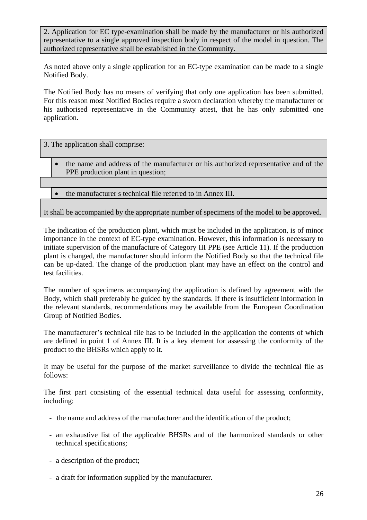2. Application for EC type-examination shall be made by the manufacturer or his authorized representative to a single approved inspection body in respect of the model in question. The authorized representative shall be established in the Community.

As noted above only a single application for an EC-type examination can be made to a single Notified Body.

The Notified Body has no means of verifying that only one application has been submitted. For this reason most Notified Bodies require a sworn declaration whereby the manufacturer or his authorised representative in the Community attest, that he has only submitted one application.

3. The application shall comprise:

- the name and address of the manufacturer or his authorized representative and of the PPE production plant in question;
- the manufacturer s technical file referred to in Annex III.

It shall be accompanied by the appropriate number of specimens of the model to be approved.

The indication of the production plant, which must be included in the application, is of minor importance in the context of EC-type examination. However, this information is necessary to initiate supervision of the manufacture of Category III PPE (see Article 11). If the production plant is changed, the manufacturer should inform the Notified Body so that the technical file can be up-dated. The change of the production plant may have an effect on the control and test facilities.

The number of specimens accompanying the application is defined by agreement with the Body, which shall preferably be guided by the standards. If there is insufficient information in the relevant standards, recommendations may be available from the European Coordination Group of Notified Bodies.

The manufacturer's technical file has to be included in the application the contents of which are defined in point 1 of Annex III. It is a key element for assessing the conformity of the product to the BHSRs which apply to it.

It may be useful for the purpose of the market surveillance to divide the technical file as follows:

The first part consisting of the essential technical data useful for assessing conformity, including:

- the name and address of the manufacturer and the identification of the product;
- an exhaustive list of the applicable BHSRs and of the harmonized standards or other technical specifications;
- a description of the product;
- a draft for information supplied by the manufacturer.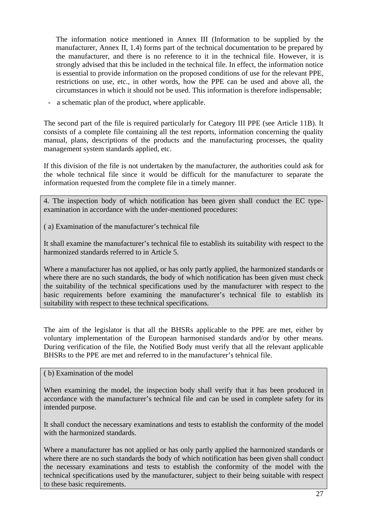The information notice mentioned in Annex III (Information to be supplied by the manufacturer, Annex II, 1.4) forms part of the technical documentation to be prepared by the manufacturer, and there is no reference to it in the technical file. However, it is strongly advised that this be included in the technical file. In effect, the information notice is essential to provide information on the proposed conditions of use for the relevant PPE, restrictions on use, etc., in other words, how the PPE can be used and above all, the circumstances in which it should not be used. This information is therefore indispensable;

- a schematic plan of the product, where applicable.

The second part of the file is required particularly for Category III PPE (see Article 11B). It consists of a complete file containing all the test reports, information concerning the quality manual, plans, descriptions of the products and the manufacturing processes, the quality management system standards applied, etc.

If this division of the file is not undertaken by the manufacturer, the authorities could ask for the whole technical file since it would be difficult for the manufacturer to separate the information requested from the complete file in a timely manner.

4. The inspection body of which notification has been given shall conduct the EC typeexamination in accordance with the under-mentioned procedures:

( a) Examination of the manufacturer's technical file

It shall examine the manufacturer's technical file to establish its suitability with respect to the harmonized standards referred to in Article 5.

Where a manufacturer has not applied, or has only partly applied, the harmonized standards or where there are no such standards, the body of which notification has been given must check the suitability of the technical specifications used by the manufacturer with respect to the basic requirements before examining the manufacturer's technical file to establish its suitability with respect to these technical specifications.

The aim of the legislator is that all the BHSRs applicable to the PPE are met, either by voluntary implementation of the European harmonised standards and/or by other means. During verification of the file, the Notified Body must verify that all the relevant applicable BHSRs to the PPE are met and referred to in the manufacturer's tehnical file.

( b) Examination of the model

When examining the model, the inspection body shall verify that it has been produced in accordance with the manufacturer's technical file and can be used in complete safety for its intended purpose.

It shall conduct the necessary examinations and tests to establish the conformity of the model with the harmonized standards.

Where a manufacturer has not applied or has only partly applied the harmonized standards or where there are no such standards the body of which notification has been given shall conduct the necessary examinations and tests to establish the conformity of the model with the technical specifications used by the manufacturer, subject to their being suitable with respect to these basic requirements.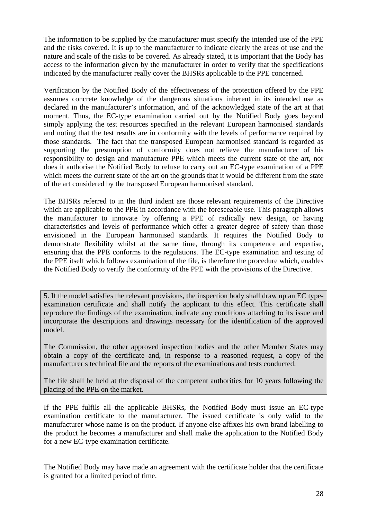The information to be supplied by the manufacturer must specify the intended use of the PPE and the risks covered. It is up to the manufacturer to indicate clearly the areas of use and the nature and scale of the risks to be covered. As already stated, it is important that the Body has access to the information given by the manufacturer in order to verify that the specifications indicated by the manufacturer really cover the BHSRs applicable to the PPE concerned.

Verification by the Notified Body of the effectiveness of the protection offered by the PPE assumes concrete knowledge of the dangerous situations inherent in its intended use as declared in the manufacturer's information, and of the acknowledged state of the art at that moment. Thus, the EC-type examination carried out by the Notified Body goes beyond simply applying the test resources specified in the relevant European harmonised standards and noting that the test results are in conformity with the levels of performance required by those standards. The fact that the transposed European harmonised standard is regarded as supporting the presumption of conformity does not relieve the manufacturer of his responsibility to design and manufacture PPE which meets the current state of the art, nor does it authorise the Notified Body to refuse to carry out an EC-type examination of a PPE which meets the current state of the art on the grounds that it would be different from the state of the art considered by the transposed European harmonised standard.

The BHSRs referred to in the third indent are those relevant requirements of the Directive which are applicable to the PPE in accordance with the foreseeable use. This paragraph allows the manufacturer to innovate by offering a PPE of radically new design, or having characteristics and levels of performance which offer a greater degree of safety than those envisioned in the European harmonised standards. It requires the Notified Body to demonstrate flexibility whilst at the same time, through its competence and expertise, ensuring that the PPE conforms to the regulations. The EC-type examination and testing of the PPE itself which follows examination of the file, is therefore the procedure which, enables the Notified Body to verify the conformity of the PPE with the provisions of the Directive.

5. If the model satisfies the relevant provisions, the inspection body shall draw up an EC typeexamination certificate and shall notify the applicant to this effect. This certificate shall reproduce the findings of the examination, indicate any conditions attaching to its issue and incorporate the descriptions and drawings necessary for the identification of the approved model.

The Commission, the other approved inspection bodies and the other Member States may obtain a copy of the certificate and, in response to a reasoned request, a copy of the manufacturer s technical file and the reports of the examinations and tests conducted.

The file shall be held at the disposal of the competent authorities for 10 years following the placing of the PPE on the market.

If the PPE fulfils all the applicable BHSRs, the Notified Body must issue an EC-type examination certificate to the manufacturer. The issued certificate is only valid to the manufacturer whose name is on the product. If anyone else affixes his own brand labelling to the product he becomes a manufacturer and shall make the application to the Notified Body for a new EC-type examination certificate.

The Notified Body may have made an agreement with the certificate holder that the certificate is granted for a limited period of time.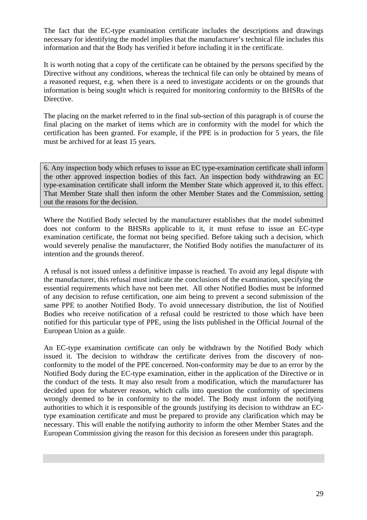The fact that the EC-type examination certificate includes the descriptions and drawings necessary for identifying the model implies that the manufacturer's technical file includes this information and that the Body has verified it before including it in the certificate.

It is worth noting that a copy of the certificate can be obtained by the persons specified by the Directive without any conditions, whereas the technical file can only be obtained by means of a reasoned request, e.g. when there is a need to investigate accidents or on the grounds that information is being sought which is required for monitoring conformity to the BHSRs of the Directive.

The placing on the market referred to in the final sub-section of this paragraph is of course the final placing on the market of items which are in conformity with the model for which the certification has been granted. For example, if the PPE is in production for 5 years, the file must be archived for at least 15 years.

6. Any inspection body which refuses to issue an EC type-examination certificate shall inform the other approved inspection bodies of this fact. An inspection body withdrawing an EC type-examination certificate shall inform the Member State which approved it, to this effect. That Member State shall then inform the other Member States and the Commission, setting out the reasons for the decision.

Where the Notified Body selected by the manufacturer establishes that the model submitted does not conform to the BHSRs applicable to it, it must refuse to issue an EC-type examination certificate, the format not being specified. Before taking such a decision, which would severely penalise the manufacturer, the Notified Body notifies the manufacturer of its intention and the grounds thereof.

A refusal is not issued unless a definitive impasse is reached. To avoid any legal dispute with the manufacturer, this refusal must indicate the conclusions of the examination, specifying the essential requirements which have not been met. All other Notified Bodies must be informed of any decision to refuse certification, one aim being to prevent a second submission of the same PPE to another Notified Body. To avoid unnecessary distribution, the list of Notified Bodies who receive notification of a refusal could be restricted to those which have been notified for this particular type of PPE, using the lists published in the Official Journal of the European Union as a guide.

An EC-type examination certificate can only be withdrawn by the Notified Body which issued it. The decision to withdraw the certificate derives from the discovery of nonconformity to the model of the PPE concerned. Non-conformity may be due to an error by the Notified Body during the EC-type examination, either in the application of the Directive or in the conduct of the tests. It may also result from a modification, which the manufacturer has decided upon for whatever reason, which calls into question the conformity of specimens wrongly deemed to be in conformity to the model. The Body must inform the notifying authorities to which it is responsible of the grounds justifying its decision to withdraw an ECtype examination certificate and must be prepared to provide any clarification which may be necessary. This will enable the notifying authority to inform the other Member States and the European Commission giving the reason for this decision as foreseen under this paragraph.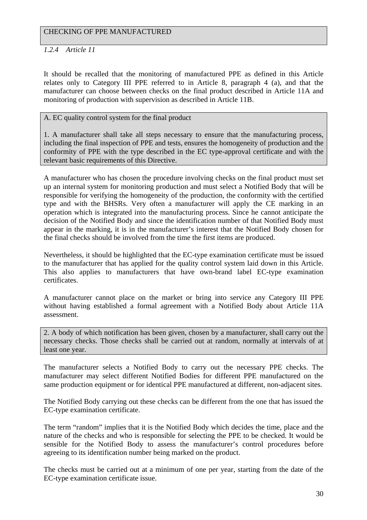*1.2.4 Article 11* 

It should be recalled that the monitoring of manufactured PPE as defined in this Article relates only to Category III PPE referred to in Article 8, paragraph 4 (a), and that the manufacturer can choose between checks on the final product described in Article 11A and monitoring of production with supervision as described in Article 11B.

A. EC quality control system for the final product

1. A manufacturer shall take all steps necessary to ensure that the manufacturing process, including the final inspection of PPE and tests, ensures the homogeneity of production and the conformity of PPE with the type described in the EC type-approval certificate and with the relevant basic requirements of this Directive.

A manufacturer who has chosen the procedure involving checks on the final product must set up an internal system for monitoring production and must select a Notified Body that will be responsible for verifying the homogeneity of the production, the conformity with the certified type and with the BHSRs. Very often a manufacturer will apply the CE marking in an operation which is integrated into the manufacturing process. Since he cannot anticipate the decision of the Notified Body and since the identification number of that Notified Body must appear in the marking, it is in the manufacturer's interest that the Notified Body chosen for the final checks should be involved from the time the first items are produced.

Nevertheless, it should be highlighted that the EC-type examination certificate must be issued to the manufacturer that has applied for the quality control system laid down in this Article. This also applies to manufacturers that have own-brand label EC-type examination certificates.

A manufacturer cannot place on the market or bring into service any Category III PPE without having established a formal agreement with a Notified Body about Article 11A assessment.

2. A body of which notification has been given, chosen by a manufacturer, shall carry out the necessary checks. Those checks shall be carried out at random, normally at intervals of at least one year.

The manufacturer selects a Notified Body to carry out the necessary PPE checks. The manufacturer may select different Notified Bodies for different PPE manufactured on the same production equipment or for identical PPE manufactured at different, non-adjacent sites.

The Notified Body carrying out these checks can be different from the one that has issued the EC-type examination certificate.

The term "random" implies that it is the Notified Body which decides the time, place and the nature of the checks and who is responsible for selecting the PPE to be checked. It would be sensible for the Notified Body to assess the manufacturer's control procedures before agreeing to its identification number being marked on the product.

The checks must be carried out at a minimum of one per year, starting from the date of the EC-type examination certificate issue.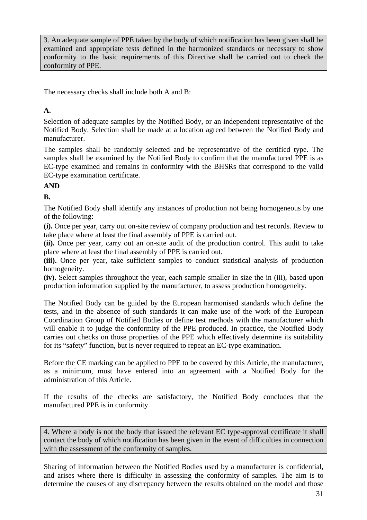3. An adequate sample of PPE taken by the body of which notification has been given shall be examined and appropriate tests defined in the harmonized standards or necessary to show conformity to the basic requirements of this Directive shall be carried out to check the conformity of PPE.

The necessary checks shall include both A and B:

# **A.**

Selection of adequate samples by the Notified Body, or an independent representative of the Notified Body. Selection shall be made at a location agreed between the Notified Body and manufacturer.

The samples shall be randomly selected and be representative of the certified type. The samples shall be examined by the Notified Body to confirm that the manufactured PPE is as EC-type examined and remains in conformity with the BHSRs that correspond to the valid EC-type examination certificate.

# **AND**

**B.** 

The Notified Body shall identify any instances of production not being homogeneous by one of the following:

**(i).** Once per year, carry out on-site review of company production and test records. Review to take place where at least the final assembly of PPE is carried out.

**(ii).** Once per year, carry out an on-site audit of the production control. This audit to take place where at least the final assembly of PPE is carried out.

**(iii).** Once per year, take sufficient samples to conduct statistical analysis of production homogeneity.

**(iv).** Select samples throughout the year, each sample smaller in size the in (iii), based upon production information supplied by the manufacturer, to assess production homogeneity.

The Notified Body can be guided by the European harmonised standards which define the tests, and in the absence of such standards it can make use of the work of the European Coordination Group of Notified Bodies or define test methods with the manufacturer which will enable it to judge the conformity of the PPE produced. In practice, the Notified Body carries out checks on those properties of the PPE which effectively determine its suitability for its "safety" function, but is never required to repeat an EC-type examination.

Before the CE marking can be applied to PPE to be covered by this Article, the manufacturer, as a minimum, must have entered into an agreement with a Notified Body for the administration of this Article.

If the results of the checks are satisfactory, the Notified Body concludes that the manufactured PPE is in conformity.

4. Where a body is not the body that issued the relevant EC type-approval certificate it shall contact the body of which notification has been given in the event of difficulties in connection with the assessment of the conformity of samples.

Sharing of information between the Notified Bodies used by a manufacturer is confidential, and arises where there is difficulty in assessing the conformity of samples. The aim is to determine the causes of any discrepancy between the results obtained on the model and those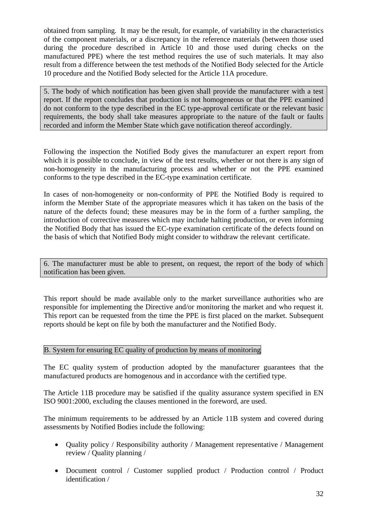obtained from sampling. It may be the result, for example, of variability in the characteristics of the component materials, or a discrepancy in the reference materials (between those used during the procedure described in Article 10 and those used during checks on the manufactured PPE) where the test method requires the use of such materials. It may also result from a difference between the test methods of the Notified Body selected for the Article 10 procedure and the Notified Body selected for the Article 11A procedure.

5. The body of which notification has been given shall provide the manufacturer with a test report. If the report concludes that production is not homogeneous or that the PPE examined do not conform to the type described in the EC type-approval certificate or the relevant basic requirements, the body shall take measures appropriate to the nature of the fault or faults recorded and inform the Member State which gave notification thereof accordingly.

Following the inspection the Notified Body gives the manufacturer an expert report from which it is possible to conclude, in view of the test results, whether or not there is any sign of non-homogeneity in the manufacturing process and whether or not the PPE examined conforms to the type described in the EC-type examination certificate.

In cases of non-homogeneity or non-conformity of PPE the Notified Body is required to inform the Member State of the appropriate measures which it has taken on the basis of the nature of the defects found; these measures may be in the form of a further sampling, the introduction of corrective measures which may include halting production, or even informing the Notified Body that has issued the EC-type examination certificate of the defects found on the basis of which that Notified Body might consider to withdraw the relevant certificate.

6. The manufacturer must be able to present, on request, the report of the body of which notification has been given.

This report should be made available only to the market surveillance authorities who are responsible for implementing the Directive and/or monitoring the market and who request it. This report can be requested from the time the PPE is first placed on the market. Subsequent reports should be kept on file by both the manufacturer and the Notified Body.

### B. System for ensuring EC quality of production by means of monitoring

The EC quality system of production adopted by the manufacturer guarantees that the manufactured products are homogenous and in accordance with the certified type.

The Article 11B procedure may be satisfied if the quality assurance system specified in EN ISO 9001:2000, excluding the clauses mentioned in the foreword, are used.

The minimum requirements to be addressed by an Article 11B system and covered during assessments by Notified Bodies include the following:

- Quality policy / Responsibility authority / Management representative / Management review / Quality planning /
- Document control / Customer supplied product / Production control / Product identification /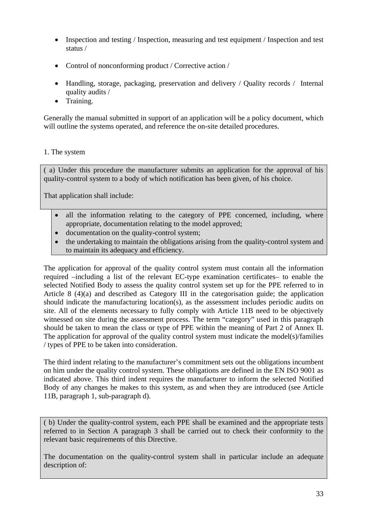- Inspection and testing / Inspection, measuring and test equipment / Inspection and test status /
- Control of nonconforming product / Corrective action /
- Handling, storage, packaging, preservation and delivery / Quality records / Internal quality audits /
- **•** Training.

Generally the manual submitted in support of an application will be a policy document, which will outline the systems operated, and reference the on-site detailed procedures.

# 1. The system

( a) Under this procedure the manufacturer submits an application for the approval of his quality-control system to a body of which notification has been given, of his choice.

That application shall include:

- all the information relating to the category of PPE concerned, including, where appropriate, documentation relating to the model approved;
- documentation on the quality-control system;
- the undertaking to maintain the obligations arising from the quality-control system and to maintain its adequacy and efficiency.

The application for approval of the quality control system must contain all the information required –including a list of the relevant EC-type examination certificates– to enable the selected Notified Body to assess the quality control system set up for the PPE referred to in Article 8 (4)(a) and described as Category III in the categorisation guide; the application should indicate the manufacturing location(s), as the assessment includes periodic audits on site. All of the elements necessary to fully comply with Article 11B need to be objectively witnessed on site during the assessment process. The term "category" used in this paragraph should be taken to mean the class or type of PPE within the meaning of Part 2 of Annex II. The application for approval of the quality control system must indicate the model(s)/families / types of PPE to be taken into consideration.

The third indent relating to the manufacturer's commitment sets out the obligations incumbent on him under the quality control system. These obligations are defined in the EN ISO 9001 as indicated above. This third indent requires the manufacturer to inform the selected Notified Body of any changes he makes to this system, as and when they are introduced (see Article 11B, paragraph 1, sub-paragraph d).

( b) Under the quality-control system, each PPE shall be examined and the appropriate tests referred to in Section A paragraph 3 shall be carried out to check their conformity to the relevant basic requirements of this Directive.

The documentation on the quality-control system shall in particular include an adequate description of: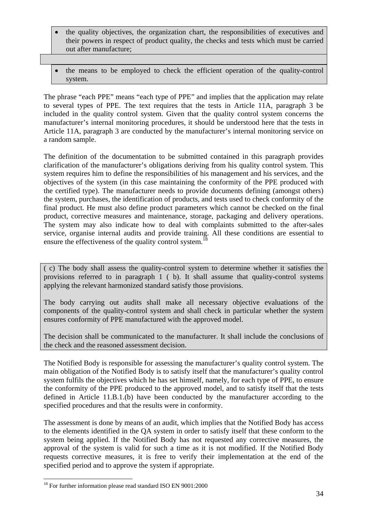- the quality objectives, the organization chart, the responsibilities of executives and their powers in respect of product quality, the checks and tests which must be carried out after manufacture;
- the means to be employed to check the efficient operation of the quality-control system.

The phrase "each PPE" means "each type of PPE" and implies that the application may relate to several types of PPE. The text requires that the tests in Article 11A, paragraph 3 be included in the quality control system. Given that the quality control system concerns the manufacturer's internal monitoring procedures, it should be understood here that the tests in Article 11A, paragraph 3 are conducted by the manufacturer's internal monitoring service on a random sample.

The definition of the documentation to be submitted contained in this paragraph provides clarification of the manufacturer's obligations deriving from his quality control system. This system requires him to define the responsibilities of his management and his services, and the objectives of the system (in this case maintaining the conformity of the PPE produced with the certified type). The manufacturer needs to provide documents defining (amongst others) the system, purchases, the identification of products, and tests used to check conformity of the final product. He must also define product parameters which cannot be checked on the final product, corrective measures and maintenance, storage, packaging and delivery operations. The system may also indicate how to deal with complaints submitted to the after-sales service, organise internal audits and provide training. All these conditions are essential to ensure the effectiveness of the quality control system.<sup>18</sup>

( c) The body shall assess the quality-control system to determine whether it satisfies the provisions referred to in paragraph 1 ( b). It shall assume that quality-control systems applying the relevant harmonized standard satisfy those provisions.

The body carrying out audits shall make all necessary objective evaluations of the components of the quality-control system and shall check in particular whether the system ensures conformity of PPE manufactured with the approved model.

The decision shall be communicated to the manufacturer. It shall include the conclusions of the check and the reasoned assessment decision.

The Notified Body is responsible for assessing the manufacturer's quality control system. The main obligation of the Notified Body is to satisfy itself that the manufacturer's quality control system fulfils the objectives which he has set himself, namely, for each type of PPE, to ensure the conformity of the PPE produced to the approved model, and to satisfy itself that the tests defined in Article 11.B.1.(b) have been conducted by the manufacturer according to the specified procedures and that the results were in conformity.

The assessment is done by means of an audit, which implies that the Notified Body has access to the elements identified in the QA system in order to satisfy itself that these conform to the system being applied. If the Notified Body has not requested any corrective measures, the approval of the system is valid for such a time as it is not modified. If the Notified Body requests corrective measures, it is free to verify their implementation at the end of the specified period and to approve the system if appropriate.

 $\overline{a}$ 

<sup>&</sup>lt;sup>18</sup> For further information please read standard ISO EN 9001:2000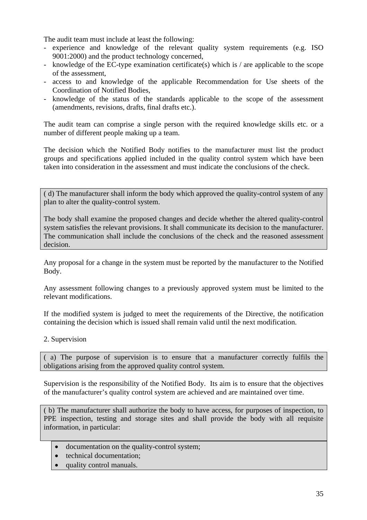The audit team must include at least the following:

- experience and knowledge of the relevant quality system requirements (e.g. ISO 9001:2000) and the product technology concerned,
- knowledge of the EC-type examination certificate(s) which is / are applicable to the scope of the assessment,
- access to and knowledge of the applicable Recommendation for Use sheets of the Coordination of Notified Bodies,
- knowledge of the status of the standards applicable to the scope of the assessment (amendments, revisions, drafts, final drafts etc.).

The audit team can comprise a single person with the required knowledge skills etc. or a number of different people making up a team.

The decision which the Notified Body notifies to the manufacturer must list the product groups and specifications applied included in the quality control system which have been taken into consideration in the assessment and must indicate the conclusions of the check.

( d) The manufacturer shall inform the body which approved the quality-control system of any plan to alter the quality-control system.

The body shall examine the proposed changes and decide whether the altered quality-control system satisfies the relevant provisions. It shall communicate its decision to the manufacturer. The communication shall include the conclusions of the check and the reasoned assessment decision.

Any proposal for a change in the system must be reported by the manufacturer to the Notified Body.

Any assessment following changes to a previously approved system must be limited to the relevant modifications.

If the modified system is judged to meet the requirements of the Directive, the notification containing the decision which is issued shall remain valid until the next modification.

### 2. Supervision

( a) The purpose of supervision is to ensure that a manufacturer correctly fulfils the obligations arising from the approved quality control system.

Supervision is the responsibility of the Notified Body. Its aim is to ensure that the objectives of the manufacturer's quality control system are achieved and are maintained over time.

( b) The manufacturer shall authorize the body to have access, for purposes of inspection, to PPE inspection, testing and storage sites and shall provide the body with all requisite information, in particular:

- documentation on the quality-control system;
- technical documentation;
- quality control manuals.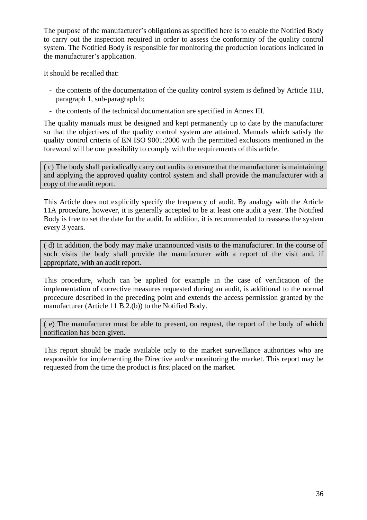The purpose of the manufacturer's obligations as specified here is to enable the Notified Body to carry out the inspection required in order to assess the conformity of the quality control system. The Notified Body is responsible for monitoring the production locations indicated in the manufacturer's application.

It should be recalled that:

- the contents of the documentation of the quality control system is defined by Article 11B, paragraph 1, sub-paragraph b;
- the contents of the technical documentation are specified in Annex III.

The quality manuals must be designed and kept permanently up to date by the manufacturer so that the objectives of the quality control system are attained. Manuals which satisfy the quality control criteria of EN ISO 9001:2000 with the permitted exclusions mentioned in the foreword will be one possibility to comply with the requirements of this article.

( c) The body shall periodically carry out audits to ensure that the manufacturer is maintaining and applying the approved quality control system and shall provide the manufacturer with a copy of the audit report.

This Article does not explicitly specify the frequency of audit. By analogy with the Article 11A procedure, however, it is generally accepted to be at least one audit a year. The Notified Body is free to set the date for the audit. In addition, it is recommended to reassess the system every 3 years.

( d) In addition, the body may make unannounced visits to the manufacturer. In the course of such visits the body shall provide the manufacturer with a report of the visit and, if appropriate, with an audit report.

This procedure, which can be applied for example in the case of verification of the implementation of corrective measures requested during an audit, is additional to the normal procedure described in the preceding point and extends the access permission granted by the manufacturer (Article 11 B.2.(b)) to the Notified Body.

( e) The manufacturer must be able to present, on request, the report of the body of which notification has been given.

This report should be made available only to the market surveillance authorities who are responsible for implementing the Directive and/or monitoring the market. This report may be requested from the time the product is first placed on the market.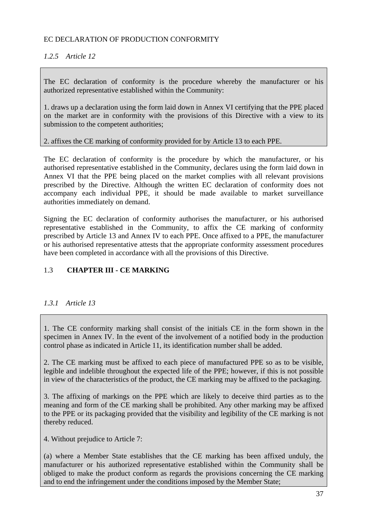## EC DECLARATION OF PRODUCTION CONFORMITY

# *1.2.5 Article 12*

The EC declaration of conformity is the procedure whereby the manufacturer or his authorized representative established within the Community:

1. draws up a declaration using the form laid down in Annex VI certifying that the PPE placed on the market are in conformity with the provisions of this Directive with a view to its submission to the competent authorities;

#### 2. affixes the CE marking of conformity provided for by Article 13 to each PPE.

The EC declaration of conformity is the procedure by which the manufacturer, or his authorised representative established in the Community, declares using the form laid down in Annex VI that the PPE being placed on the market complies with all relevant provisions prescribed by the Directive. Although the written EC declaration of conformity does not accompany each individual PPE, it should be made available to market surveillance authorities immediately on demand.

Signing the EC declaration of conformity authorises the manufacturer, or his authorised representative established in the Community, to affix the CE marking of conformity prescribed by Article 13 and Annex IV to each PPE. Once affixed to a PPE, the manufacturer or his authorised representative attests that the appropriate conformity assessment procedures have been completed in accordance with all the provisions of this Directive.

# 1.3 **CHAPTER III - CE MARKING**

### *1.3.1 Article 13*

1. The CE conformity marking shall consist of the initials CE in the form shown in the specimen in Annex IV. In the event of the involvement of a notified body in the production control phase as indicated in Article 11, its identification number shall be added.

2. The CE marking must be affixed to each piece of manufactured PPE so as to be visible, legible and indelible throughout the expected life of the PPE; however, if this is not possible in view of the characteristics of the product, the CE marking may be affixed to the packaging.

3. The affixing of markings on the PPE which are likely to deceive third parties as to the meaning and form of the CE marking shall be prohibited. Any other marking may be affixed to the PPE or its packaging provided that the visibility and legibility of the CE marking is not thereby reduced.

4. Without prejudice to Article 7:

(a) where a Member State establishes that the CE marking has been affixed unduly, the manufacturer or his authorized representative established within the Community shall be obliged to make the product conform as regards the provisions concerning the CE marking and to end the infringement under the conditions imposed by the Member State;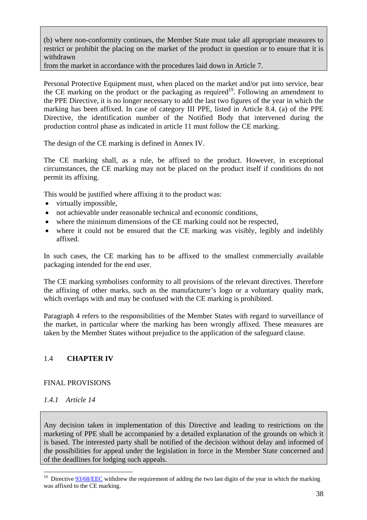(b) where non-conformity continues, the Member State must take all appropriate measures to restrict or prohibit the placing on the market of the product in question or to ensure that it is withdrawn

from the market in accordance with the procedures laid down in Article 7.

Personal Protective Equipment must, when placed on the market and/or put into service, bear the CE marking on the product or the packaging as required<sup>19</sup>. Following an amendment to the PPE Directive, it is no longer necessary to add the last two figures of the year in which the marking has been affixed. In case of category III PPE, listed in Article 8.4. (a) of the PPE Directive, the identification number of the Notified Body that intervened during the production control phase as indicated in article 11 must follow the CE marking.

The design of the CE marking is defined in Annex IV.

The CE marking shall, as a rule, be affixed to the product. However, in exceptional circumstances, the CE marking may not be placed on the product itself if conditions do not permit its affixing.

This would be justified where affixing it to the product was:

- virtually impossible,
- not achievable under reasonable technical and economic conditions,
- where the minimum dimensions of the CE marking could not be respected,
- where it could not be ensured that the CE marking was visibly, legibly and indelibly affixed.

In such cases, the CE marking has to be affixed to the smallest commercially available packaging intended for the end user.

The CE marking symbolises conformity to all provisions of the relevant directives. Therefore the affixing of other marks, such as the manufacturer's logo or a voluntary quality mark, which overlaps with and may be confused with the CE marking is prohibited.

Paragraph 4 refers to the responsibilities of the Member States with regard to surveillance of the market, in particular where the marking has been wrongly affixed. These measures are taken by the Member States without prejudice to the application of the safeguard clause*.* 

# 1.4 **CHAPTER IV**

### FINAL PROVISIONS

### *1.4.1 Article 14*

 $\overline{a}$ 

Any decision taken in implementation of this Directive and leading to restrictions on the marketing of PPE shall be accompanied by a detailed explanation of the grounds on which it is based. The interested party shall be notified of the decision without delay and informed of the possibilities for appeal under the legislation in force in the Member State concerned and of the deadlines for lodging such appeals.

<sup>&</sup>lt;sup>19</sup> Directive  $93/68/EEC$  withdrew the requirement of adding the two last digits of the year in which the marking was affixed to the CE marking.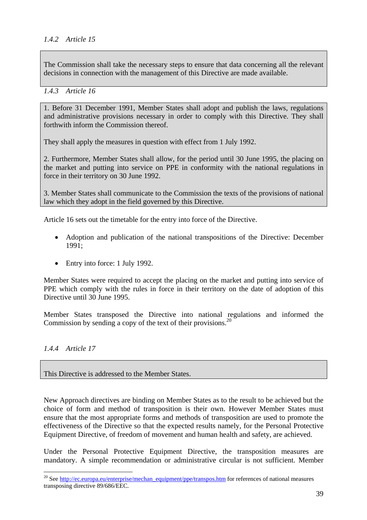The Commission shall take the necessary steps to ensure that data concerning all the relevant decisions in connection with the management of this Directive are made available.

#### *1.4.3 Article 16*

1. Before 31 December 1991, Member States shall adopt and publish the laws, regulations and administrative provisions necessary in order to comply with this Directive. They shall forthwith inform the Commission thereof.

They shall apply the measures in question with effect from 1 July 1992.

2. Furthermore, Member States shall allow, for the period until 30 June 1995, the placing on the market and putting into service on PPE in conformity with the national regulations in force in their territory on 30 June 1992.

3. Member States shall communicate to the Commission the texts of the provisions of national law which they adopt in the field governed by this Directive.

Article 16 sets out the timetable for the entry into force of the Directive.

- Adoption and publication of the national transpositions of the Directive: December 1991;
- Entry into force: 1 July 1992.

Member States were required to accept the placing on the market and putting into service of PPE which comply with the rules in force in their territory on the date of adoption of this Directive until 30 June 1995.

Member States transposed the Directive into national regulations and informed the Commission by sending a copy of the text of their provisions.<sup>20</sup>

### *1.4.4 Article 17*

 $\overline{a}$ 

This Directive is addressed to the Member States.

New Approach directives are binding on Member States as to the result to be achieved but the choice of form and method of transposition is their own. However Member States must ensure that the most appropriate forms and methods of transposition are used to promote the effectiveness of the Directive so that the expected results namely, for the Personal Protective Equipment Directive, of freedom of movement and human health and safety, are achieved.

Under the Personal Protective Equipment Directive, the transposition measures are mandatory. A simple recommendation or administrative circular is not sufficient. Member

<sup>&</sup>lt;sup>20</sup> See http://ec.europa.eu/enterprise/mechan\_equipment/ppe/transpos.htm for references of national measures transposing directive 89/686/EEC.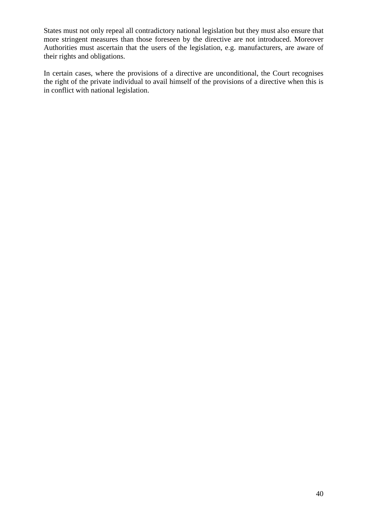States must not only repeal all contradictory national legislation but they must also ensure that more stringent measures than those foreseen by the directive are not introduced. Moreover Authorities must ascertain that the users of the legislation, e.g. manufacturers, are aware of their rights and obligations.

In certain cases, where the provisions of a directive are unconditional, the Court recognises the right of the private individual to avail himself of the provisions of a directive when this is in conflict with national legislation.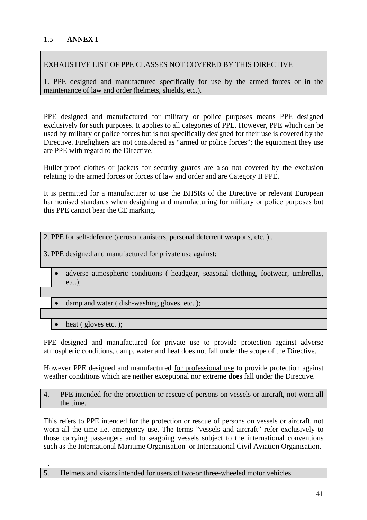## 1.5 **ANNEX I**

#### EXHAUSTIVE LIST OF PPE CLASSES NOT COVERED BY THIS DIRECTIVE

1. PPE designed and manufactured specifically for use by the armed forces or in the maintenance of law and order (helmets, shields, etc.).

PPE designed and manufactured for military or police purposes means PPE designed exclusively for such purposes. It applies to all categories of PPE. However, PPE which can be used by military or police forces but is not specifically designed for their use is covered by the Directive. Firefighters are not considered as "armed or police forces"; the equipment they use are PPE with regard to the Directive.

Bullet-proof clothes or jackets for security guards are also not covered by the exclusion relating to the armed forces or forces of law and order and are Category II PPE.

It is permitted for a manufacturer to use the BHSRs of the Directive or relevant European harmonised standards when designing and manufacturing for military or police purposes but this PPE cannot bear the CE marking.

- 2. PPE for self-defence (aerosol canisters, personal deterrent weapons, etc. ) .
- 3. PPE designed and manufactured for private use against:
	- adverse atmospheric conditions ( headgear, seasonal clothing, footwear, umbrellas, etc.);
	- damp and water ( dish-washing gloves, etc. );
	- $\bullet$  heat ( gloves etc. );

.

PPE designed and manufactured for private use to provide protection against adverse atmospheric conditions, damp, water and heat does not fall under the scope of the Directive.

However PPE designed and manufactured for professional use to provide protection against weather conditions which are neither exceptional nor extreme **does** fall under the Directive.

4. PPE intended for the protection or rescue of persons on vessels or aircraft, not worn all the time.

This refers to PPE intended for the protection or rescue of persons on vessels or aircraft, not worn all the time i.e. emergency use. The terms "vessels and aircraft" refer exclusively to those carrying passengers and to seagoing vessels subject to the international conventions such as the International Maritime Organisation or International Civil Aviation Organisation.

5. Helmets and visors intended for users of two-or three-wheeled motor vehicles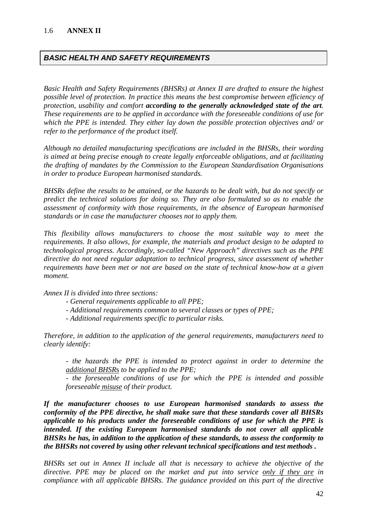## *BASIC HEALTH AND SAFETY REQUIREMENTS*

*Basic Health and Safety Requirements (BHSRs) at Annex II are drafted to ensure the highest possible level of protection. In practice this means the best compromise between efficiency of protection, usability and comfort according to the generally acknowledged state of the art. These requirements are to be applied in accordance with the foreseeable conditions of use for which the PPE is intended. They either lay down the possible protection objectives and/ or refer to the performance of the product itself.* 

*Although no detailed manufacturing specifications are included in the BHSRs, their wording is aimed at being precise enough to create legally enforceable obligations, and at facilitating the drafting of mandates by the Commission to the European Standardisation Organisations in order to produce European harmonised standards.* 

*BHSRs define the results to be attained, or the hazards to be dealt with, but do not specify or predict the technical solutions for doing so. They are also formulated so as to enable the assessment of conformity with those requirements, in the absence of European harmonised standards or in case the manufacturer chooses not to apply them.* 

*This flexibility allows manufacturers to choose the most suitable way to meet the requirements. It also allows, for example, the materials and product design to be adapted to technological progress. Accordingly, so-called "New Approach" directives such as the PPE directive do not need regular adaptation to technical progress, since assessment of whether requirements have been met or not are based on the state of technical know-how at a given moment.* 

*Annex II is divided into three sections:* 

- *General requirements applicable to all PPE;*
- *Additional requirements common to several classes or types of PPE;*
- *Additional requirements specific to particular risks.*

*Therefore, in addition to the application of the general requirements, manufacturers need to clearly identify:* 

*- the hazards the PPE is intended to protect against in order to determine the additional BHSR*s *to be applied to the PPE;* 

*- the foreseeable conditions of use for which the PPE is intended and possible foreseeable misuse of their product.* 

*If the manufacturer chooses to use European harmonised standards to assess the conformity of the PPE directive, he shall make sure that these standards cover all BHSRs applicable to his products under the foreseeable conditions of use for which the PPE is intended. If the existing European harmonised standards do not cover all applicable BHSRs he has, in addition to the application of these standards, to assess the conformity to the BHSRs not covered by using other relevant technical specifications and test methods .*

*BHSRs set out in Annex II include all that is necessary to achieve the objective of the directive. PPE may be placed on the market and put into service only if they are in compliance with all applicable BHSRs. The guidance provided on this part of the directive*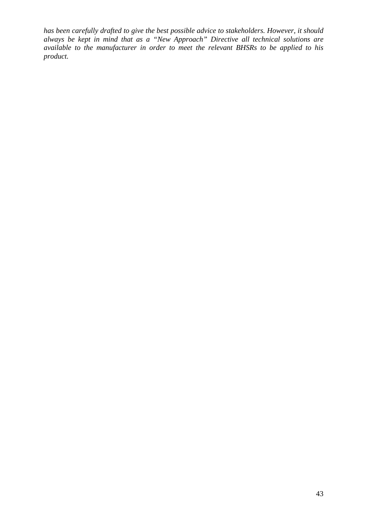*has been carefully drafted to give the best possible advice to stakeholders. However, it should always be kept in mind that as a "New Approach" Directive all technical solutions are available to the manufacturer in order to meet the relevant BHSRs to be applied to his product.*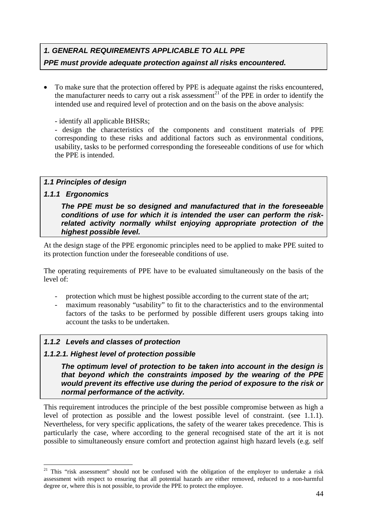# *1. GENERAL REQUIREMENTS APPLICABLE TO ALL PPE PPE must provide adequate protection against all risks encountered.*

 To make sure that the protection offered by PPE is adequate against the risks encountered, the manufacturer needs to carry out a risk assessment<sup>21</sup> of the PPE in order to identify the intended use and required level of protection and on the basis on the above analysis:

- identify all applicable BHSRs;

- design the characteristics of the components and constituent materials of PPE corresponding to these risks and additional factors such as environmental conditions, usability, tasks to be performed corresponding the foreseeable conditions of use for which the PPE is intended.

## *1.1 Principles of design*

## *1.1.1 Ergonomics*

 $\overline{a}$ 

 *The PPE must be so designed and manufactured that in the foreseeable conditions of use for which it is intended the user can perform the riskrelated activity normally whilst enjoying appropriate protection of the highest possible level.* 

At the design stage of the PPE ergonomic principles need to be applied to make PPE suited to its protection function under the foreseeable conditions of use.

The operating requirements of PPE have to be evaluated simultaneously on the basis of the level of:

- protection which must be highest possible according to the current state of the art;
- maximum reasonably "usability" to fit to the characteristics and to the environmental factors of the tasks to be performed by possible different users groups taking into account the tasks to be undertaken.

# *1.1.2 Levels and classes of protection*

### *1.1.2.1. Highest level of protection possible*

 *The optimum level of protection to be taken into account in the design is that beyond which the constraints imposed by the wearing of the PPE would prevent its effective use during the period of exposure to the risk or normal performance of the activity.* 

This requirement introduces the principle of the best possible compromise between as high a level of protection as possible and the lowest possible level of constraint. (see 1.1.1). Nevertheless, for very specific applications, the safety of the wearer takes precedence. This is particularly the case, where according to the general recognised state of the art it is not possible to simultaneously ensure comfort and protection against high hazard levels (e.g. self

<sup>&</sup>lt;sup>21</sup> This "risk assessment" should not be confused with the obligation of the employer to undertake a risk assessment with respect to ensuring that all potential hazards are either removed, reduced to a non-harmful degree or, where this is not possible, to provide the PPE to protect the employee.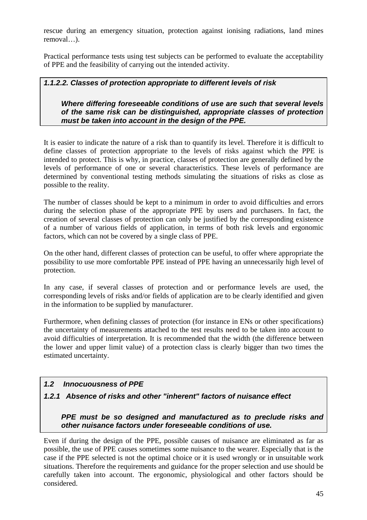rescue during an emergency situation, protection against ionising radiations, land mines removal…).

Practical performance tests using test subjects can be performed to evaluate the acceptability of PPE and the feasibility of carrying out the intended activity.

## *1.1.2.2. Classes of protection appropriate to different levels of risk*

*Where differing foreseeable conditions of use are such that several levels of the same risk can be distinguished, appropriate classes of protection must be taken into account in the design of the PPE.* 

It is easier to indicate the nature of a risk than to quantify its level. Therefore it is difficult to define classes of protection appropriate to the levels of risks against which the PPE is intended to protect. This is why, in practice, classes of protection are generally defined by the levels of performance of one or several characteristics. These levels of performance are determined by conventional testing methods simulating the situations of risks as close as possible to the reality.

The number of classes should be kept to a minimum in order to avoid difficulties and errors during the selection phase of the appropriate PPE by users and purchasers. In fact, the creation of several classes of protection can only be justified by the corresponding existence of a number of various fields of application, in terms of both risk levels and ergonomic factors, which can not be covered by a single class of PPE.

On the other hand, different classes of protection can be useful, to offer where appropriate the possibility to use more comfortable PPE instead of PPE having an unnecessarily high level of protection.

In any case, if several classes of protection and or performance levels are used, the corresponding levels of risks and/or fields of application are to be clearly identified and given in the information to be supplied by manufacturer.

Furthermore, when defining classes of protection (for instance in ENs or other specifications) the uncertainty of measurements attached to the test results need to be taken into account to avoid difficulties of interpretation. It is recommended that the width (the difference between the lower and upper limit value) of a protection class is clearly bigger than two times the estimated uncertainty.

### *1.2 Innocuousness of PPE*

# *1.2.1 Absence of risks and other "inherent" factors of nuisance effect*

*PPE must be so designed and manufactured as to preclude risks and other nuisance factors under foreseeable conditions of use.* 

Even if during the design of the PPE, possible causes of nuisance are eliminated as far as possible, the use of PPE causes sometimes some nuisance to the wearer. Especially that is the case if the PPE selected is not the optimal choice or it is used wrongly or in unsuitable work situations. Therefore the requirements and guidance for the proper selection and use should be carefully taken into account. The ergonomic, physiological and other factors should be considered.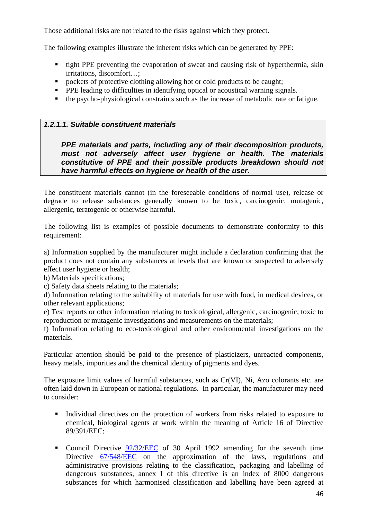Those additional risks are not related to the risks against which they protect.

The following examples illustrate the inherent risks which can be generated by PPE:

- $\blacksquare$  tight PPE preventing the evaporation of sweat and causing risk of hyperthermia, skin irritations, discomfort…;
- **Performance of protective clothing allowing hot or cold products to be caught;**
- **PPE** leading to difficulties in identifying optical or acoustical warning signals.
- the psycho-physiological constraints such as the increase of metabolic rate or fatigue.

## *1.2.1.1. Suitable constituent materials*

*PPE materials and parts, including any of their decomposition products, must not adversely affect user hygiene or health. The materials constitutive of PPE and their possible products breakdown should not have harmful effects on hygiene or health of the user.* 

The constituent materials cannot (in the foreseeable conditions of normal use), release or degrade to release substances generally known to be toxic, carcinogenic, mutagenic, allergenic, teratogenic or otherwise harmful.

The following list is examples of possible documents to demonstrate conformity to this requirement:

a) Information supplied by the manufacturer might include a declaration confirming that the product does not contain any substances at levels that are known or suspected to adversely effect user hygiene or health;

b) Materials specifications;

c) Safety data sheets relating to the materials;

d) Information relating to the suitability of materials for use with food, in medical devices, or other relevant applications;

e) Test reports or other information relating to toxicological, allergenic, carcinogenic, toxic to reproduction or mutagenic investigations and measurements on the materials;

f) Information relating to eco-toxicological and other environmental investigations on the materials.

Particular attention should be paid to the presence of plasticizers, unreacted components, heavy metals, impurities and the chemical identity of pigments and dyes.

The exposure limit values of harmful substances, such as Cr(VI), Ni, Azo colorants etc. are often laid down in European or national regulations. In particular, the manufacturer may need to consider:

- Individual directives on the protection of workers from risks related to exposure to chemical, biological agents at work within the meaning of Article 16 of Directive 89/391/EEC;
- Council Directive 92/32/EEC of 30 April 1992 amending for the seventh time Directive  $67/548/EEC$  on the approximation of the laws, regulations and administrative provisions relating to the classification, packaging and labelling of dangerous substances, annex I of this directive is an index of 8000 dangerous substances for which harmonised classification and labelling have been agreed at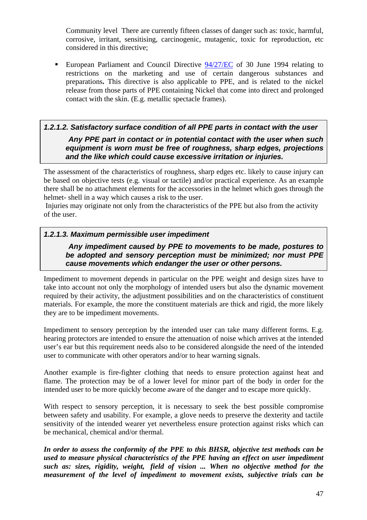Community level There are currently fifteen classes of danger such as: toxic, harmful, corrosive, irritant, sensitising, carcinogenic, mutagenic, toxic for reproduction, etc considered in this directive;

■ European Parliament and Council Directive 94/27/EC of 30 June 1994 relating to restrictions on the marketing and use of certain dangerous substances and preparations**.** This directive is also applicable to PPE, and is related to the nickel release from those parts of PPE containing Nickel that come into direct and prolonged contact with the skin. (E.g. metallic spectacle frames).

# *1.2.1.2. Satisfactory surface condition of all PPE parts in contact with the user*

 *Any PPE part in contact or in potential contact with the user when such equipment is worn must be free of roughness, sharp edges, projections and the like which could cause excessive irritation or injuries.* 

The assessment of the characteristics of roughness, sharp edges etc. likely to cause injury can be based on objective tests (e.g. visual or tactile) and/or practical experience. As an example there shall be no attachment elements for the accessories in the helmet which goes through the helmet- shell in a way which causes a risk to the user.

 Injuries may originate not only from the characteristics of the PPE but also from the activity of the user.

### *1.2.1.3. Maximum permissible user impediment*

 *Any impediment caused by PPE to movements to be made, postures to be adopted and sensory perception must be minimized; nor must PPE cause movements which endanger the user or other persons.* 

Impediment to movement depends in particular on the PPE weight and design sizes have to take into account not only the morphology of intended users but also the dynamic movement required by their activity, the adjustment possibilities and on the characteristics of constituent materials. For example, the more the constituent materials are thick and rigid, the more likely they are to be impediment movements.

Impediment to sensory perception by the intended user can take many different forms. E.g. hearing protectors are intended to ensure the attenuation of noise which arrives at the intended user's ear but this requirement needs also to be considered alongside the need of the intended user to communicate with other operators and/or to hear warning signals.

Another example is fire-fighter clothing that needs to ensure protection against heat and flame. The protection may be of a lower level for minor part of the body in order for the intended user to be more quickly become aware of the danger and to escape more quickly.

With respect to sensory perception, it is necessary to seek the best possible compromise between safety and usability. For example, a glove needs to preserve the dexterity and tactile sensitivity of the intended wearer yet nevertheless ensure protection against risks which can be mechanical, chemical and/or thermal.

*In order to assess the conformity of the PPE to this BHSR, objective test methods can be used to measure physical characteristics of the PPE having an effect on user impediment such as: sizes, rigidity, weight, field of vision ... When no objective method for the measurement of the level of impediment to movement exists, subjective trials can be*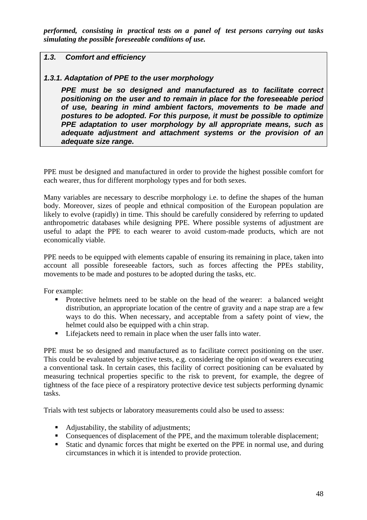*performed, consisting in practical tests on a panel of test persons carrying out tasks simulating the possible foreseeable conditions of use.* 

## *1.3. Comfort and efficiency*

## *1.3.1. Adaptation of PPE to the user morphology*

 *PPE must be so designed and manufactured as to facilitate correct positioning on the user and to remain in place for the foreseeable period of use, bearing in mind ambient factors, movements to be made and postures to be adopted. For this purpose, it must be possible to optimize PPE adaptation to user morphology by all appropriate means, such as adequate adjustment and attachment systems or the provision of an adequate size range.*

PPE must be designed and manufactured in order to provide the highest possible comfort for each wearer, thus for different morphology types and for both sexes.

Many variables are necessary to describe morphology i.e. to define the shapes of the human body. Moreover, sizes of people and ethnical composition of the European population are likely to evolve (rapidly) in time. This should be carefully considered by referring to updated anthropometric databases while designing PPE. Where possible systems of adjustment are useful to adapt the PPE to each wearer to avoid custom-made products, which are not economically viable.

PPE needs to be equipped with elements capable of ensuring its remaining in place, taken into account all possible foreseeable factors, such as forces affecting the PPEs stability, movements to be made and postures to be adopted during the tasks, etc.

For example:

- **Protective helmets need to be stable on the head of the wearer:** a balanced weight distribution, an appropriate location of the centre of gravity and a nape strap are a few ways to do this. When necessary, and acceptable from a safety point of view, the helmet could also be equipped with a chin strap.
- Lifejackets need to remain in place when the user falls into water.

PPE must be so designed and manufactured as to facilitate correct positioning on the user. This could be evaluated by subjective tests, e.g. considering the opinion of wearers executing a conventional task. In certain cases, this facility of correct positioning can be evaluated by measuring technical properties specific to the risk to prevent, for example, the degree of tightness of the face piece of a respiratory protective device test subjects performing dynamic tasks.

Trials with test subjects or laboratory measurements could also be used to assess:

- Adjustability, the stability of adjustments;
- Consequences of displacement of the PPE, and the maximum tolerable displacement;
- Static and dynamic forces that might be exerted on the PPE in normal use, and during circumstances in which it is intended to provide protection.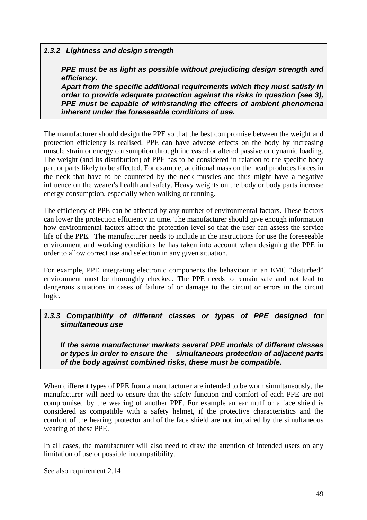## *1.3.2 Lightness and design strength*

*PPE must be as light as possible without prejudicing design strength and efficiency.* 

*Apart from the specific additional requirements which they must satisfy in order to provide adequate protection against the risks in question (see 3), PPE must be capable of withstanding the effects of ambient phenomena inherent under the foreseeable conditions of use.* 

The manufacturer should design the PPE so that the best compromise between the weight and protection efficiency is realised. PPE can have adverse effects on the body by increasing muscle strain or energy consumption through increased or altered passive or dynamic loading. The weight (and its distribution) of PPE has to be considered in relation to the specific body part or parts likely to be affected. For example, additional mass on the head produces forces in the neck that have to be countered by the neck muscles and thus might have a negative influence on the wearer's health and safety. Heavy weights on the body or body parts increase energy consumption, especially when walking or running.

The efficiency of PPE can be affected by any number of environmental factors. These factors can lower the protection efficiency in time. The manufacturer should give enough information how environmental factors affect the protection level so that the user can assess the service life of the PPE. The manufacturer needs to include in the instructions for use the foreseeable environment and working conditions he has taken into account when designing the PPE in order to allow correct use and selection in any given situation.

For example, PPE integrating electronic components the behaviour in an EMC "disturbed" environment must be thoroughly checked. The PPE needs to remain safe and not lead to dangerous situations in cases of failure of or damage to the circuit or errors in the circuit logic.

## *1.3.3 Compatibility of different classes or types of PPE designed for simultaneous use*

*If the same manufacturer markets several PPE models of different classes or types in order to ensure the simultaneous protection of adjacent parts of the body against combined risks, these must be compatible.* 

When different types of PPE from a manufacturer are intended to be worn simultaneously, the manufacturer will need to ensure that the safety function and comfort of each PPE are not compromised by the wearing of another PPE. For example an ear muff or a face shield is considered as compatible with a safety helmet, if the protective characteristics and the comfort of the hearing protector and of the face shield are not impaired by the simultaneous wearing of these PPE.

In all cases, the manufacturer will also need to draw the attention of intended users on any limitation of use or possible incompatibility.

See also requirement 2.14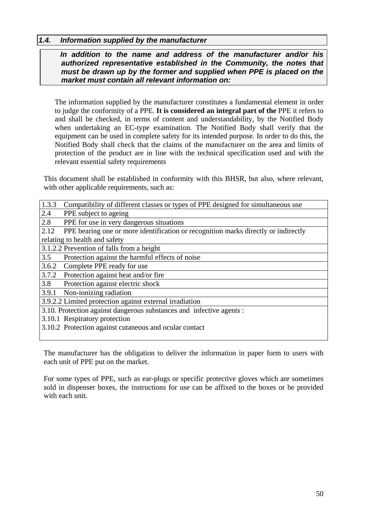# *1.4. Information supplied by the manufacturer*

*In addition to the name and address of the manufacturer and/or his authorized representative established in the Community, the notes that must be drawn up by the former and supplied when PPE is placed on the market must contain all relevant information on:* 

The information supplied by the manufacturer constitutes a fundamental element in order to judge the conformity of a PPE. **It is considered an integral part of the** PPE it refers to and shall be checked, in terms of content and understandability, by the Notified Body when undertaking an EC-type examination. The Notified Body shall verify that the equipment can be used in complete safety for its intended purpose. In order to do this, the Notified Body shall check that the claims of the manufacturer on the area and limits of protection of the product are in line with the technical specification used and with the relevant essential safety requirements

This document shall be established in conformity with this BHSR, but also, where relevant, with other applicable requirements, such as:

| 1.3.3                                                                | Compatibility of different classes or types of PPE designed for simultaneous use   |  |
|----------------------------------------------------------------------|------------------------------------------------------------------------------------|--|
| 2.4                                                                  | PPE subject to ageing                                                              |  |
| 2.8                                                                  | PPE for use in very dangerous situations                                           |  |
| 2.12                                                                 | PPE bearing one or more identification or recognition marks directly or indirectly |  |
| relating to health and safety                                        |                                                                                    |  |
| 3.1.2.2 Prevention of falls from a height                            |                                                                                    |  |
| 3.5                                                                  | Protection against the harmful effects of noise                                    |  |
|                                                                      | 3.6.2 Complete PPE ready for use                                                   |  |
| 3.7.2                                                                | Protection against heat and/or fire                                                |  |
| 3.8                                                                  | Protection against electric shock                                                  |  |
|                                                                      | 3.9.1 Non-ionizing radiation                                                       |  |
| 3.9.2.2 Limited protection against external irradiation              |                                                                                    |  |
| 3.10. Protection against dangerous substances and infective agents : |                                                                                    |  |
| 3.10.1 Respiratory protection                                        |                                                                                    |  |
| 3.10.2 Protection against cutaneous and ocular contact               |                                                                                    |  |
|                                                                      |                                                                                    |  |

The manufacturer has the obligation to deliver the information in paper form to users with each unit of PPE put on the market.

For some types of PPE, such as ear-plugs or specific protective gloves which are sometimes sold in dispenser boxes, the instructions for use can be affixed to the boxes or be provided with each unit.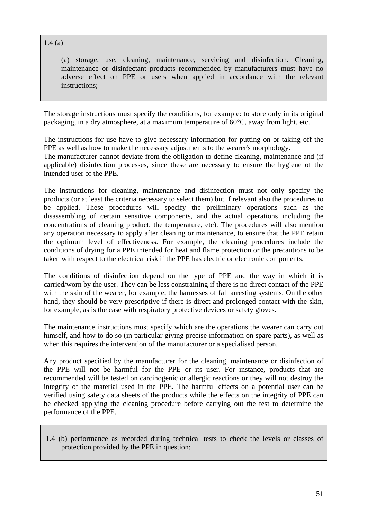1.4 (a)

(a) storage, use, cleaning, maintenance, servicing and disinfection. Cleaning, maintenance or disinfectant products recommended by manufacturers must have no adverse effect on PPE or users when applied in accordance with the relevant instructions;

The storage instructions must specify the conditions, for example: to store only in its original packaging, in a dry atmosphere, at a maximum temperature of 60°C, away from light, etc.

The instructions for use have to give necessary information for putting on or taking off the PPE as well as how to make the necessary adjustments to the wearer's morphology.

The manufacturer cannot deviate from the obligation to define cleaning, maintenance and (if applicable) disinfection processes, since these are necessary to ensure the hygiene of the intended user of the PPE.

The instructions for cleaning, maintenance and disinfection must not only specify the products (or at least the criteria necessary to select them) but if relevant also the procedures to be applied. These procedures will specify the preliminary operations such as the disassembling of certain sensitive components, and the actual operations including the concentrations of cleaning product, the temperature, etc). The procedures will also mention any operation necessary to apply after cleaning or maintenance, to ensure that the PPE retain the optimum level of effectiveness. For example, the cleaning procedures include the conditions of drying for a PPE intended for heat and flame protection or the precautions to be taken with respect to the electrical risk if the PPE has electric or electronic components.

The conditions of disinfection depend on the type of PPE and the way in which it is carried/worn by the user. They can be less constraining if there is no direct contact of the PPE with the skin of the wearer, for example, the harnesses of fall arresting systems. On the other hand, they should be very prescriptive if there is direct and prolonged contact with the skin, for example, as is the case with respiratory protective devices or safety gloves.

The maintenance instructions must specify which are the operations the wearer can carry out himself, and how to do so (in particular giving precise information on spare parts), as well as when this requires the intervention of the manufacturer or a specialised person.

Any product specified by the manufacturer for the cleaning, maintenance or disinfection of the PPE will not be harmful for the PPE or its user. For instance, products that are recommended will be tested on carcinogenic or allergic reactions or they will not destroy the integrity of the material used in the PPE. The harmful effects on a potential user can be verified using safety data sheets of the products while the effects on the integrity of PPE can be checked applying the cleaning procedure before carrying out the test to determine the performance of the PPE.

1.4 (b) performance as recorded during technical tests to check the levels or classes of protection provided by the PPE in question;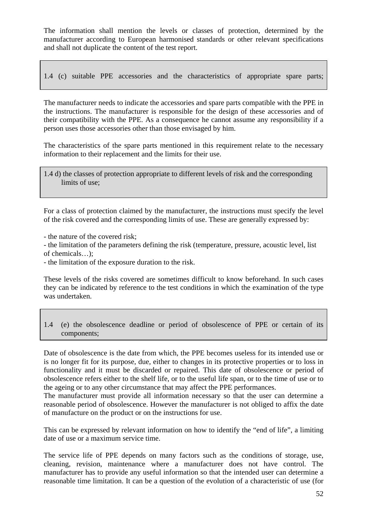The information shall mention the levels or classes of protection, determined by the manufacturer according to European harmonised standards or other relevant specifications and shall not duplicate the content of the test report.

1.4 (c) suitable PPE accessories and the characteristics of appropriate spare parts;

The manufacturer needs to indicate the accessories and spare parts compatible with the PPE in the instructions. The manufacturer is responsible for the design of these accessories and of their compatibility with the PPE. As a consequence he cannot assume any responsibility if a person uses those accessories other than those envisaged by him.

The characteristics of the spare parts mentioned in this requirement relate to the necessary information to their replacement and the limits for their use.

1.4 d) the classes of protection appropriate to different levels of risk and the corresponding limits of use;

For a class of protection claimed by the manufacturer, the instructions must specify the level of the risk covered and the corresponding limits of use. These are generally expressed by:

- the nature of the covered risk;

- the limitation of the parameters defining the risk (temperature, pressure, acoustic level, list of chemicals…);

- the limitation of the exposure duration to the risk.

These levels of the risks covered are sometimes difficult to know beforehand. In such cases they can be indicated by reference to the test conditions in which the examination of the type was undertaken.

1.4 (e) the obsolescence deadline or period of obsolescence of PPE or certain of its components;

Date of obsolescence is the date from which, the PPE becomes useless for its intended use or is no longer fit for its purpose, due, either to changes in its protective properties or to loss in functionality and it must be discarded or repaired. This date of obsolescence or period of obsolescence refers either to the shelf life, or to the useful life span, or to the time of use or to the ageing or to any other circumstance that may affect the PPE performances.

The manufacturer must provide all information necessary so that the user can determine a reasonable period of obsolescence. However the manufacturer is not obliged to affix the date of manufacture on the product or on the instructions for use.

This can be expressed by relevant information on how to identify the "end of life", a limiting date of use or a maximum service time.

The service life of PPE depends on many factors such as the conditions of storage, use, cleaning, revision, maintenance where a manufacturer does not have control. The manufacturer has to provide any useful information so that the intended user can determine a reasonable time limitation. It can be a question of the evolution of a characteristic of use (for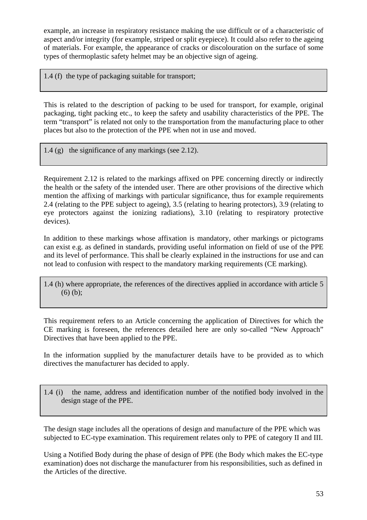example, an increase in respiratory resistance making the use difficult or of a characteristic of aspect and/or integrity (for example, striped or split eyepiece). It could also refer to the ageing of materials. For example, the appearance of cracks or discolouration on the surface of some types of thermoplastic safety helmet may be an objective sign of ageing.

1.4 (f) the type of packaging suitable for transport;

This is related to the description of packing to be used for transport, for example, original packaging, tight packing etc., to keep the safety and usability characteristics of the PPE. The term "transport" is related not only to the transportation from the manufacturing place to other places but also to the protection of the PPE when not in use and moved.

1.4 (g) the significance of any markings (see 2.12).

Requirement 2.12 is related to the markings affixed on PPE concerning directly or indirectly the health or the safety of the intended user. There are other provisions of the directive which mention the affixing of markings with particular significance, thus for example requirements 2.4 (relating to the PPE subject to ageing), 3.5 (relating to hearing protectors), 3.9 (relating to eye protectors against the ionizing radiations), 3.10 (relating to respiratory protective devices).

In addition to these markings whose affixation is mandatory, other markings or pictograms can exist e.g. as defined in standards, providing useful information on field of use of the PPE and its level of performance. This shall be clearly explained in the instructions for use and can not lead to confusion with respect to the mandatory marking requirements (CE marking).

1.4 (h) where appropriate, the references of the directives applied in accordance with article 5 (6) (b);

This requirement refers to an Article concerning the application of Directives for which the CE marking is foreseen, the references detailed here are only so-called "New Approach" Directives that have been applied to the PPE.

In the information supplied by the manufacturer details have to be provided as to which directives the manufacturer has decided to apply.

1.4 (i) the name, address and identification number of the notified body involved in the design stage of the PPE.

The design stage includes all the operations of design and manufacture of the PPE which was subjected to EC-type examination. This requirement relates only to PPE of category II and III.

Using a Notified Body during the phase of design of PPE (the Body which makes the EC-type examination) does not discharge the manufacturer from his responsibilities, such as defined in the Articles of the directive.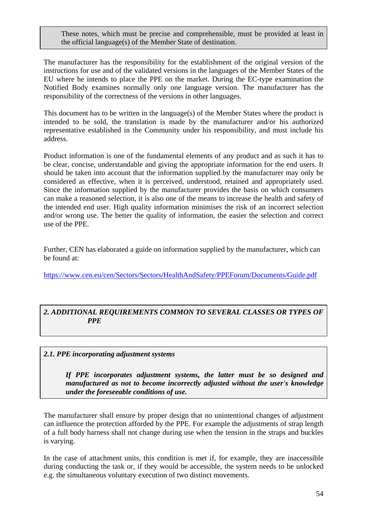These notes, which must be precise and comprehensible, must be provided at least in the official language(s) of the Member State of destination.

The manufacturer has the responsibility for the establishment of the original version of the instructions for use and of the validated versions in the languages of the Member States of the EU where he intends to place the PPE on the market. During the EC-type examination the Notified Body examines normally only one language version. The manufacturer has the responsibility of the correctness of the versions in other languages.

This document has to be written in the language(s) of the Member States where the product is intended to be sold, the translation is made by the manufacturer and/or his authorized representative established in the Community under his responsibility, and must include his address.

Product information is one of the fundamental elements of any product and as such it has to be clear, concise, understandable and giving the appropriate information for the end users. It should be taken into account that the information supplied by the manufacturer may only be considered as effective, when it is perceived, understood, retained and appropriately used. Since the information supplied by the manufacturer provides the basis on which consumers can make a reasoned selection, it is also one of the means to increase the health and safety of the intended end user. High quality information minimises the risk of an incorrect selection and/or wrong use. The better the quality of information, the easier the selection and correct use of the PPE.

Further, CEN has elaborated a guide on information supplied by the manufacturer, which can be found at:

https://www.cen.eu/cen/Sectors/Sectors/HealthAndSafety/PPEForum/Documents/Guide.pdf

# 2. ADDITIONAL REQUIREMENTS COMMON TO SEVERAL CLASSES OR TYPES OF *PPE*

*2.1. PPE incorporating adjustment systems* 

*If PPE incorporates adjustment systems, the latter must be so designed and manufactured as not to become incorrectly adjusted without the user's knowledge under the foreseeable conditions of use.*

The manufacturer shall ensure by proper design that no unintentional changes of adjustment can influence the protection afforded by the PPE. For example the adjustments of strap length of a full body harness shall not change during use when the tension in the straps and buckles is varying.

In the case of attachment units, this condition is met if, for example, they are inaccessible during conducting the task or, if they would be accessible, the system needs to be unlocked e.g. the simultaneous voluntary execution of two distinct movements.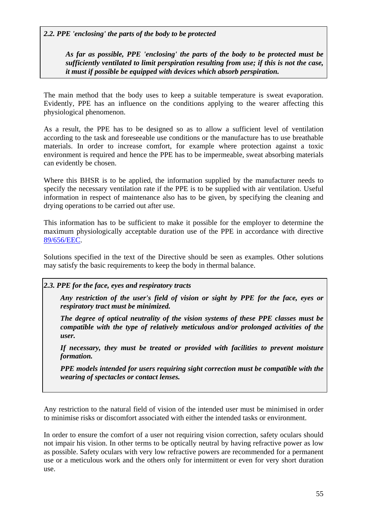*2.2. PPE 'enclosing' the parts of the body to be protected* 

*As far as possible, PPE 'enclosing' the parts of the body to be protected must be sufficiently ventilated to limit perspiration resulting from use; if this is not the case, it must if possible be equipped with devices which absorb perspiration.* 

The main method that the body uses to keep a suitable temperature is sweat evaporation. Evidently, PPE has an influence on the conditions applying to the wearer affecting this physiological phenomenon.

As a result, the PPE has to be designed so as to allow a sufficient level of ventilation according to the task and foreseeable use conditions or the manufacture has to use breathable materials. In order to increase comfort, for example where protection against a toxic environment is required and hence the PPE has to be impermeable, sweat absorbing materials can evidently be chosen.

Where this BHSR is to be applied, the information supplied by the manufacturer needs to specify the necessary ventilation rate if the PPE is to be supplied with air ventilation. Useful information in respect of maintenance also has to be given, by specifying the cleaning and drying operations to be carried out after use.

This information has to be sufficient to make it possible for the employer to determine the maximum physiologically acceptable duration use of the PPE in accordance with directive 89/656/EEC.

Solutions specified in the text of the Directive should be seen as examples. Other solutions may satisfy the basic requirements to keep the body in thermal balance.

### *2.3. PPE for the face, eyes and respiratory tracts*

 *Any restriction of the user's field of vision or sight by PPE for the face, eyes or respiratory tract must be minimized.* 

 *The degree of optical neutrality of the vision systems of these PPE classes must be compatible with the type of relatively meticulous and/or prolonged activities of the user.* 

 *If necessary, they must be treated or provided with facilities to prevent moisture formation.* 

 *PPE models intended for users requiring sight correction must be compatible with the wearing of spectacles or contact lenses.* 

Any restriction to the natural field of vision of the intended user must be minimised in order to minimise risks or discomfort associated with either the intended tasks or environment.

In order to ensure the comfort of a user not requiring vision correction, safety oculars should not impair his vision. In other terms to be optically neutral by having refractive power as low as possible. Safety oculars with very low refractive powers are recommended for a permanent use or a meticulous work and the others only for intermittent or even for very short duration use.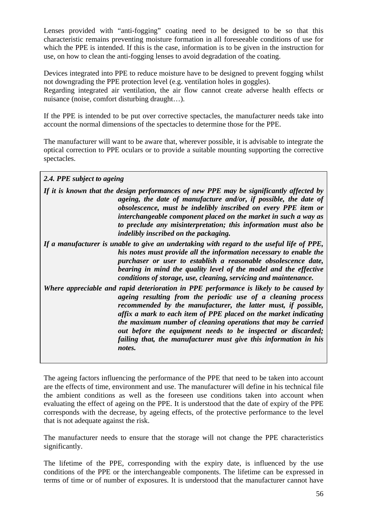Lenses provided with "anti-fogging" coating need to be designed to be so that this characteristic remains preventing moisture formation in all foreseeable conditions of use for which the PPE is intended. If this is the case, information is to be given in the instruction for use, on how to clean the anti-fogging lenses to avoid degradation of the coating.

Devices integrated into PPE to reduce moisture have to be designed to prevent fogging whilst not downgrading the PPE protection level (e.g. ventilation holes in goggles).

Regarding integrated air ventilation, the air flow cannot create adverse health effects or nuisance (noise, comfort disturbing draught…).

If the PPE is intended to be put over corrective spectacles, the manufacturer needs take into account the normal dimensions of the spectacles to determine those for the PPE.

The manufacturer will want to be aware that, wherever possible, it is advisable to integrate the optical correction to PPE oculars or to provide a suitable mounting supporting the corrective spectacles.

| 2.4. PPE subject to ageing |                                                                                                                                                                                                                                                                                                                                                                                                                                                                                                             |  |
|----------------------------|-------------------------------------------------------------------------------------------------------------------------------------------------------------------------------------------------------------------------------------------------------------------------------------------------------------------------------------------------------------------------------------------------------------------------------------------------------------------------------------------------------------|--|
|                            | If it is known that the design performances of new PPE may be significantly affected by<br>ageing, the date of manufacture and/or, if possible, the date of<br>obsolescence, must be indelibly inscribed on every PPE item or<br>interchangeable component placed on the market in such a way as<br>to preclude any misinterpretation; this information must also be<br><i>indelibly inscribed on the packaging.</i>                                                                                        |  |
|                            | If a manufacturer is unable to give an undertaking with regard to the useful life of PPE,<br>his notes must provide all the information necessary to enable the<br>purchaser or user to establish a reasonable obsolescence date,<br>bearing in mind the quality level of the model and the effective<br>conditions of storage, use, cleaning, servicing and maintenance.                                                                                                                                   |  |
|                            | Where appreciable and rapid deterioration in PPE performance is likely to be caused by<br>ageing resulting from the periodic use of a cleaning process<br>recommended by the manufacturer, the latter must, if possible,<br>affix a mark to each item of PPE placed on the market indicating<br>the maximum number of cleaning operations that may be carried<br>out before the equipment needs to be inspected or discarded;<br>failing that, the manufacturer must give this information in his<br>notes. |  |

The ageing factors influencing the performance of the PPE that need to be taken into account are the effects of time, environment and use. The manufacturer will define in his technical file the ambient conditions as well as the foreseen use conditions taken into account when evaluating the effect of ageing on the PPE. It is understood that the date of expiry of the PPE corresponds with the decrease, by ageing effects, of the protective performance to the level that is not adequate against the risk.

The manufacturer needs to ensure that the storage will not change the PPE characteristics significantly.

The lifetime of the PPE, corresponding with the expiry date, is influenced by the use conditions of the PPE or the interchangeable components. The lifetime can be expressed in terms of time or of number of exposures. It is understood that the manufacturer cannot have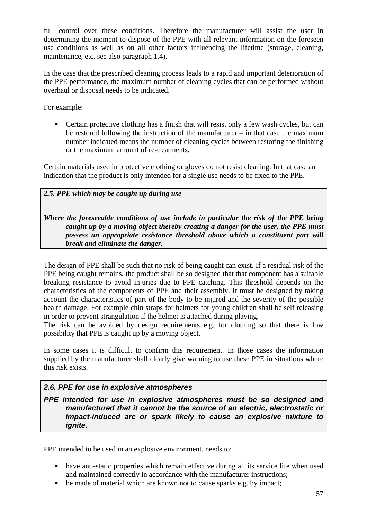full control over these conditions. Therefore the manufacturer will assist the user in determining the moment to dispose of the PPE with all relevant information on the foreseen use conditions as well as on all other factors influencing the lifetime (storage, cleaning, maintenance, etc. see also paragraph 1.4).

In the case that the prescribed cleaning process leads to a rapid and important deterioration of the PPE performance, the maximum number of cleaning cycles that can be performed without overhaul or disposal needs to be indicated.

For example:

 Certain protective clothing has a finish that will resist only a few wash cycles, but can be restored following the instruction of the manufacturer – in that case the maximum number indicated means the number of cleaning cycles between restoring the finishing or the maximum amount of re-treatments.

Certain materials used in protective clothing or gloves do not resist cleaning. In that case an indication that the product is only intended for a single use needs to be fixed to the PPE.

# *2.5. PPE which may be caught up during use*

#### *Where the foreseeable conditions of use include in particular the risk of the PPE being caught up by a moving object thereby creating a danger for the user, the PPE must possess an appropriate resistance threshold above which a constituent part will break and eliminate the danger.*

The design of PPE shall be such that no risk of being caught can exist. If a residual risk of the PPE being caught remains, the product shall be so designed that that component has a suitable breaking resistance to avoid injuries due to PPE catching. This threshold depends on the characteristics of the components of PPE and their assembly. It must be designed by taking account the characteristics of part of the body to be injured and the severity of the possible health damage. For example chin straps for helmets for young children shall be self releasing in order to prevent strangulation if the helmet is attached during playing.

The risk can be avoided by design requirements e.g. for clothing so that there is low possibility that PPE is caught up by a moving object.

In some cases it is difficult to confirm this requirement. In those cases the information supplied by the manufacturer shall clearly give warning to use these PPE in situations where this risk exists.

# *2.6. PPE for use in explosive atmospheres*

*PPE intended for use in explosive atmospheres must be so designed and manufactured that it cannot be the source of an electric, electrostatic or impact-induced arc or spark likely to cause an explosive mixture to ignite.* 

PPE intended to be used in an explosive environment, needs to:

- have anti-static properties which remain effective during all its service life when used and maintained correctly in accordance with the manufacturer instructions;
- be made of material which are known not to cause sparks e.g. by impact;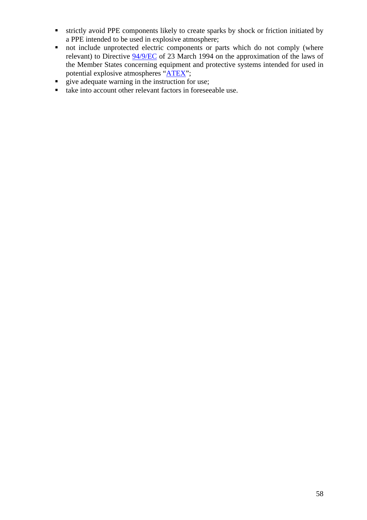- strictly avoid PPE components likely to create sparks by shock or friction initiated by a PPE intended to be used in explosive atmosphere;
- not include unprotected electric components or parts which do not comply (where relevant) to Directive 94/9/EC of 23 March 1994 on the approximation of the laws of the Member States concerning equipment and protective systems intended for used in potential explosive atmospheres "ATEX";
- give adequate warning in the instruction for use;
- $\bullet$  take into account other relevant factors in foreseeable use.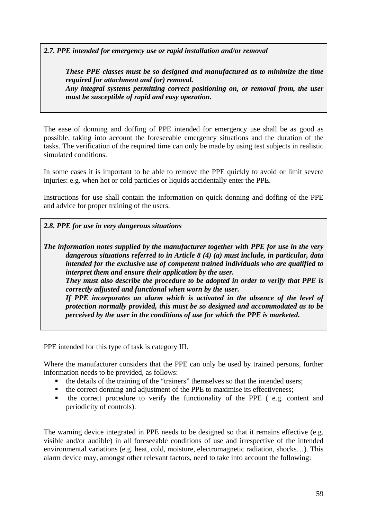*2.7. PPE intended for emergency use or rapid installation and/or removal* 

*These PPE classes must be so designed and manufactured as to minimize the time required for attachment and (or) removal. Any integral systems permitting correct positioning on, or removal from, the user must be susceptible of rapid and easy operation.* 

The ease of donning and doffing of PPE intended for emergency use shall be as good as possible, taking into account the foreseeable emergency situations and the duration of the tasks. The verification of the required time can only be made by using test subjects in realistic simulated conditions.

In some cases it is important to be able to remove the PPE quickly to avoid or limit severe injuries: e.g. when hot or cold particles or liquids accidentally enter the PPE.

Instructions for use shall contain the information on quick donning and doffing of the PPE and advice for proper training of the users.

*2.8. PPE for use in very dangerous situations* 

*The information notes supplied by the manufacturer together with PPE for use in the very dangerous situations referred to in Article 8 (4) (a) must include, in particular, data intended for the exclusive use of competent trained individuals who are qualified to interpret them and ensure their application by the user. They must also describe the procedure to be adopted in order to verify that PPE is correctly adjusted and functional when worn by the user.*  If PPE incorporates an alarm which is activated in the absence of the level of *protection normally provided, this must be so designed and accommodated as to be perceived by the user in the conditions of use for which the PPE is marketed.* 

PPE intended for this type of task is category III.

Where the manufacturer considers that the PPE can only be used by trained persons, further information needs to be provided, as follows:

- the details of the training of the "trainers" themselves so that the intended users;
- the correct donning and adjustment of the PPE to maximise its effectiveness;
- the correct procedure to verify the functionality of the PPE ( e.g. content and periodicity of controls).

The warning device integrated in PPE needs to be designed so that it remains effective (e.g. visible and/or audible) in all foreseeable conditions of use and irrespective of the intended environmental variations (e.g. heat, cold, moisture, electromagnetic radiation, shocks…). This alarm device may, amongst other relevant factors, need to take into account the following: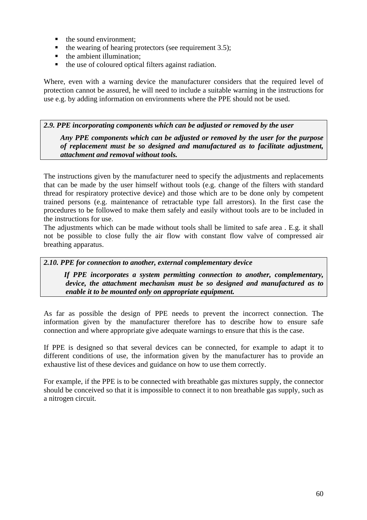- $\blacksquare$  the sound environment:
- $\blacksquare$  the wearing of hearing protectors (see requirement 3.5);
- $\blacksquare$  the ambient illumination;
- $\blacksquare$  the use of coloured optical filters against radiation.

Where, even with a warning device the manufacturer considers that the required level of protection cannot be assured, he will need to include a suitable warning in the instructions for use e.g. by adding information on environments where the PPE should not be used.

#### *2.9. PPE incorporating components which can be adjusted or removed by the user*

 *Any PPE components which can be adjusted or removed by the user for the purpose of replacement must be so designed and manufactured as to facilitate adjustment, attachment and removal without tools.* 

The instructions given by the manufacturer need to specify the adjustments and replacements that can be made by the user himself without tools (e.g. change of the filters with standard thread for respiratory protective device) and those which are to be done only by competent trained persons (e.g. maintenance of retractable type fall arrestors). In the first case the procedures to be followed to make them safely and easily without tools are to be included in the instructions for use.

The adjustments which can be made without tools shall be limited to safe area . E.g. it shall not be possible to close fully the air flow with constant flow valve of compressed air breathing apparatus.

#### *2.10. PPE for connection to another, external complementary device*

 *If PPE incorporates a system permitting connection to another, complementary, device, the attachment mechanism must be so designed and manufactured as to enable it to be mounted only on appropriate equipment.* 

As far as possible the design of PPE needs to prevent the incorrect connection. The information given by the manufacturer therefore has to describe how to ensure safe connection and where appropriate give adequate warnings to ensure that this is the case.

If PPE is designed so that several devices can be connected, for example to adapt it to different conditions of use, the information given by the manufacturer has to provide an exhaustive list of these devices and guidance on how to use them correctly.

For example, if the PPE is to be connected with breathable gas mixtures supply, the connector should be conceived so that it is impossible to connect it to non breathable gas supply, such as a nitrogen circuit.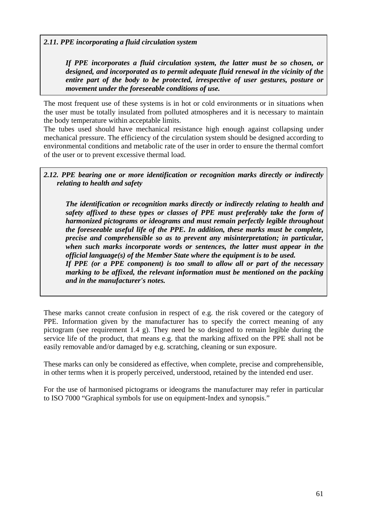*2.11. PPE incorporating a fluid circulation system* 

*If PPE incorporates a fluid circulation system, the latter must be so chosen, or designed, and incorporated as to permit adequate fluid renewal in the vicinity of the entire part of the body to be protected, irrespective of user gestures, posture or movement under the foreseeable conditions of use.* 

The most frequent use of these systems is in hot or cold environments or in situations when the user must be totally insulated from polluted atmospheres and it is necessary to maintain the body temperature within acceptable limits.

The tubes used should have mechanical resistance high enough against collapsing under mechanical pressure. The efficiency of the circulation system should be designed according to environmental conditions and metabolic rate of the user in order to ensure the thermal comfort of the user or to prevent excessive thermal load.

## *2.12. PPE bearing one or more identification or recognition marks directly or indirectly relating to health and safety*

*The identification or recognition marks directly or indirectly relating to health and safety affixed to these types or classes of PPE must preferably take the form of harmonized pictograms or ideograms and must remain perfectly legible throughout the foreseeable useful life of the PPE. In addition, these marks must be complete, precise and comprehensible so as to prevent any misinterpretation; in particular, when such marks incorporate words or sentences, the latter must appear in the official language(s) of the Member State where the equipment is to be used. If PPE (or a PPE component) is too small to allow all or part of the necessary* 

*marking to be affixed, the relevant information must be mentioned on the packing and in the manufacturer's notes.* 

These marks cannot create confusion in respect of e.g. the risk covered or the category of PPE. Information given by the manufacturer has to specify the correct meaning of any pictogram (see requirement 1.4 g). They need be so designed to remain legible during the service life of the product, that means e.g. that the marking affixed on the PPE shall not be easily removable and/or damaged by e.g. scratching, cleaning or sun exposure.

These marks can only be considered as effective, when complete, precise and comprehensible, in other terms when it is properly perceived, understood, retained by the intended end user.

For the use of harmonised pictograms or ideograms the manufacturer may refer in particular to ISO 7000 "Graphical symbols for use on equipment-Index and synopsis."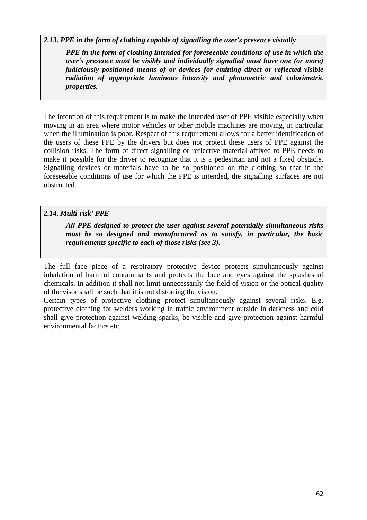*2.13. PPE in the form of clothing capable of signalling the user's presence visually* 

 *PPE in the form of clothing intended for foreseeable conditions of use in which the user's presence must be visibly and individually signalled must have one (or more) judiciously positioned means of or devices for emitting direct or reflected visible radiation of appropriate luminous intensity and photometric and colorimetric properties.* 

The intention of this requirement is to make the intended user of PPE visible especially when moving in an area where motor vehicles or other mobile machines are moving, in particular when the illumination is poor. Respect of this requirement allows for a better identification of the users of these PPE by the drivers but does not protect these users of PPE against the collision risks. The form of direct signalling or reflective material affixed to PPE needs to make it possible for the driver to recognize that it is a pedestrian and not a fixed obstacle. Signalling devices or materials have to be so positioned on the clothing so that in the foreseeable conditions of use for which the PPE is intended, the signalling surfaces are not obstructed.

# *2.14. Multi-risk' PPE*

 *All PPE designed to protect the user against several potentially simultaneous risks must be so designed and manufactured as to satisfy, in particular, the basic requirements specific to each of those risks (see 3).* 

The full face piece of a respiratory protective device protects simultaneously against inhalation of harmful contaminants and protects the face and eyes against the splashes of chemicals. In addition it shall not limit unnecessarily the field of vision or the optical quality of the visor shall be such that it is not distorting the vision.

Certain types of protective clothing protect simultaneously against several risks. E.g. protective clothing for welders working in traffic environment outside in darkness and cold shall give protection against welding sparks, be visible and give protection against harmful environmental factors etc.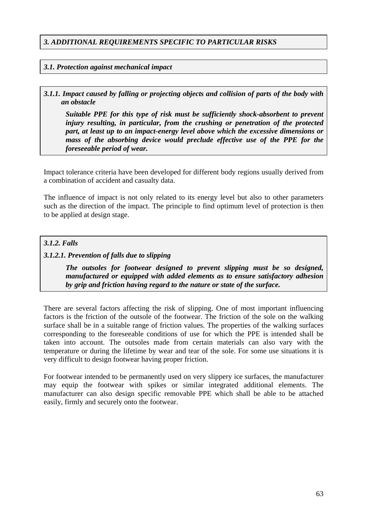## *3. ADDITIONAL REQUIREMENTS SPECIFIC TO PARTICULAR RISKS*

#### *3.1. Protection against mechanical impact*

*3.1.1. Impact caused by falling or projecting objects and collision of parts of the body with an obstacle* 

 *Suitable PPE for this type of risk must be sufficiently shock-absorbent to prevent injury resulting, in particular, from the crushing or penetration of the protected part, at least up to an impact-energy level above which the excessive dimensions or mass of the absorbing device would preclude effective use of the PPE for the foreseeable period of wear.* 

Impact tolerance criteria have been developed for different body regions usually derived from a combination of accident and casualty data.

The influence of impact is not only related to its energy level but also to other parameters such as the direction of the impact. The principle to find optimum level of protection is then to be applied at design stage.

#### *3.1.2. Falls*

*3.1.2.1. Prevention of falls due to slipping* 

 *The outsoles for footwear designed to prevent slipping must be so designed, manufactured or equipped with added elements as to ensure satisfactory adhesion by grip and friction having regard to the nature or state of the surface.* 

There are several factors affecting the risk of slipping. One of most important influencing factors is the friction of the outsole of the footwear. The friction of the sole on the walking surface shall be in a suitable range of friction values. The properties of the walking surfaces corresponding to the foreseeable conditions of use for which the PPE is intended shall be taken into account. The outsoles made from certain materials can also vary with the temperature or during the lifetime by wear and tear of the sole. For some use situations it is very difficult to design footwear having proper friction.

For footwear intended to be permanently used on very slippery ice surfaces, the manufacturer may equip the footwear with spikes or similar integrated additional elements. The manufacturer can also design specific removable PPE which shall be able to be attached easily, firmly and securely onto the footwear.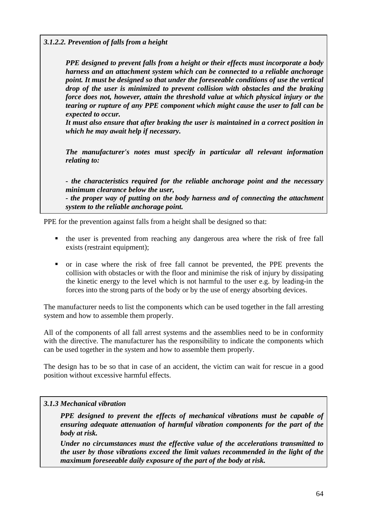## *3.1.2.2. Prevention of falls from a height*

*PPE designed to prevent falls from a height or their effects must incorporate a body harness and an attachment system which can be connected to a reliable anchorage point. It must be designed so that under the foreseeable conditions of use the vertical drop of the user is minimized to prevent collision with obstacles and the braking force does not, however, attain the threshold value at which physical injury or the tearing or rupture of any PPE component which might cause the user to fall can be expected to occur.* 

*It must also ensure that after braking the user is maintained in a correct position in which he may await help if necessary.* 

*The manufacturer's notes must specify in particular all relevant information relating to:* 

*- the characteristics required for the reliable anchorage point and the necessary minimum clearance below the user,* 

*- the proper way of putting on the body harness and of connecting the attachment system to the reliable anchorage point.* 

PPE for the prevention against falls from a height shall be designed so that:

- the user is prevented from reaching any dangerous area where the risk of free fall exists (restraint equipment);
- or in case where the risk of free fall cannot be prevented, the PPE prevents the collision with obstacles or with the floor and minimise the risk of injury by dissipating the kinetic energy to the level which is not harmful to the user e.g. by leading-in the forces into the strong parts of the body or by the use of energy absorbing devices.

The manufacturer needs to list the components which can be used together in the fall arresting system and how to assemble them properly.

All of the components of all fall arrest systems and the assemblies need to be in conformity with the directive. The manufacturer has the responsibility to indicate the components which can be used together in the system and how to assemble them properly.

The design has to be so that in case of an accident, the victim can wait for rescue in a good position without excessive harmful effects.

### *3.1.3 Mechanical vibration*

 *PPE designed to prevent the effects of mechanical vibrations must be capable of ensuring adequate attenuation of harmful vibration components for the part of the body at risk.* 

 *Under no circumstances must the effective value of the accelerations transmitted to the user by those vibrations exceed the limit values recommended in the light of the maximum foreseeable daily exposure of the part of the body at risk.*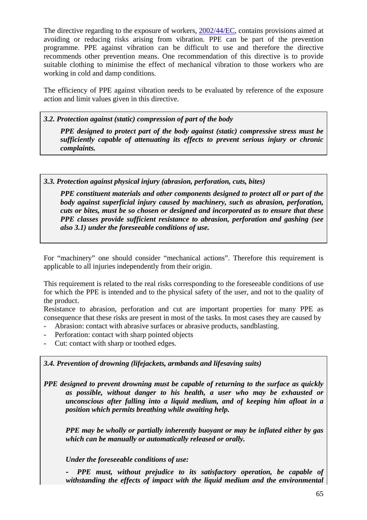The directive regarding to the exposure of workers, 2002/44/EC, contains provisions aimed at avoiding or reducing risks arising from vibration. PPE can be part of the prevention programme. PPE against vibration can be difficult to use and therefore the directive recommends other prevention means. One recommendation of this directive is to provide suitable clothing to minimise the effect of mechanical vibration to those workers who are working in cold and damp conditions.

The efficiency of PPE against vibration needs to be evaluated by reference of the exposure action and limit values given in this directive.

*3.2. Protection against (static) compression of part of the body* 

 *PPE designed to protect part of the body against (static) compressive stress must be sufficiently capable of attenuating its effects to prevent serious injury or chronic complaints.* 

*3.3. Protection against physical injury (abrasion, perforation, cuts, bites)* 

 *PPE constituent materials and other components designed to protect all or part of the body against superficial injury caused by machinery, such as abrasion, perforation, cuts or bites, must be so chosen or designed and incorporated as to ensure that these PPE classes provide sufficient resistance to abrasion, perforation and gashing (see also 3.1) under the foreseeable conditions of use.* 

For "machinery" one should consider "mechanical actions". Therefore this requirement is applicable to all injuries independently from their origin.

This requirement is related to the real risks corresponding to the foreseeable conditions of use for which the PPE is intended and to the physical safety of the user, and not to the quality of the product.

Resistance to abrasion, perforation and cut are important properties for many PPE as consequence that these risks are present in most of the tasks. In most cases they are caused by

- Abrasion: contact with abrasive surfaces or abrasive products, sandblasting.
- Perforation: contact with sharp pointed objects
- Cut: contact with sharp or toothed edges.

*3.4. Prevention of drowning (lifejackets, armbands and lifesaving suits)* 

*PPE designed to prevent drowning must be capable of returning to the surface as quickly as possible, without danger to his health, a user who may be exhausted or unconscious after falling into a liquid medium, and of keeping him afloat in a position which permits breathing while awaiting help.* 

*PPE may be wholly or partially inherently buoyant or may be inflated either by gas which can be manually or automatically released or orally.* 

*Under the foreseeable conditions of use:* 

 *- PPE must, without prejudice to its satisfactory operation, be capable of withstanding the effects of impact with the liquid medium and the environmental*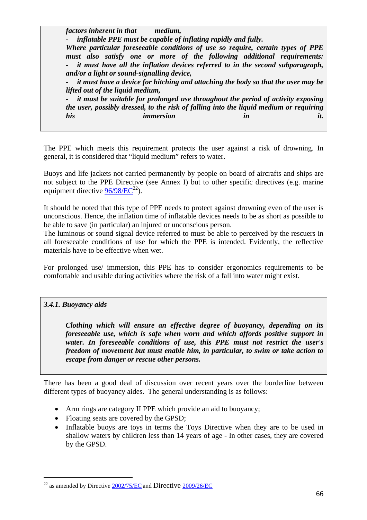*factors inherent in that medium,* 

*- inflatable PPE must be capable of inflating rapidly and fully.* 

*Where particular foreseeable conditions of use so require, certain types of PPE must also satisfy one or more of the following additional requirements: - it must have all the inflation devices referred to in the second subparagraph, and/or a light or sound-signalling device,* 

*- it must have a device for hitching and attaching the body so that the user may be lifted out of the liquid medium,* 

*- it must be suitable for prolonged use throughout the period of activity exposing the user, possibly dressed, to the risk of falling into the liquid medium or requiring his immersion in it.* 

The PPE which meets this requirement protects the user against a risk of drowning. In general, it is considered that "liquid medium" refers to water.

Buoys and life jackets not carried permanently by people on board of aircrafts and ships are not subject to the PPE Directive (see Annex I) but to other specific directives (e.g. marine equipment directive  $96/98/EC^{22}$ ).

It should be noted that this type of PPE needs to protect against drowning even of the user is unconscious. Hence, the inflation time of inflatable devices needs to be as short as possible to be able to save (in particular) an injured or unconscious person.

The luminous or sound signal device referred to must be able to perceived by the rescuers in all foreseeable conditions of use for which the PPE is intended. Evidently, the reflective materials have to be effective when wet.

For prolonged use/ immersion, this PPE has to consider ergonomics requirements to be comfortable and usable during activities where the risk of a fall into water might exist.

# *3.4.1. Buoyancy aids*

 $\overline{a}$ 

*Clothing which will ensure an effective degree of buoyancy, depending on its foreseeable use, which is safe when worn and which affords positive support in water. In foreseeable conditions of use, this PPE must not restrict the user's freedom of movement but must enable him, in particular, to swim or take action to escape from danger or rescue other persons.* 

There has been a good deal of discussion over recent years over the borderline between different types of buoyancy aides. The general understanding is as follows:

- Arm rings are category II PPE which provide an aid to buoyancy;
- Floating seats are covered by the GPSD;
- Inflatable buoys are toys in terms the Toys Directive when they are to be used in shallow waters by children less than 14 years of age - In other cases, they are covered by the GPSD.

 $^{22}$  as amended by Directive 2002/75/EC and Directive 2009/26/EC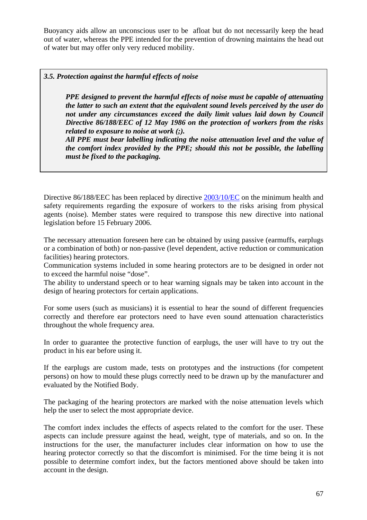Buoyancy aids allow an unconscious user to be afloat but do not necessarily keep the head out of water, whereas the PPE intended for the prevention of drowning maintains the head out of water but may offer only very reduced mobility.

*3.5. Protection against the harmful effects of noise* 

*PPE designed to prevent the harmful effects of noise must be capable of attenuating the latter to such an extent that the equivalent sound levels perceived by the user do not under any circumstances exceed the daily limit values laid down by Council Directive 86/188/EEC of 12 May 1986 on the protection of workers from the risks related to exposure to noise at work (;).* 

*All PPE must bear labelling indicating the noise attenuation level and the value of the comfort index provided by the PPE; should this not be possible, the labelling must be fixed to the packaging.* 

Directive 86/188/EEC has been replaced by directive 2003/10/EC on the minimum health and safety requirements regarding the exposure of workers to the risks arising from physical agents (noise). Member states were required to transpose this new directive into national legislation before 15 February 2006.

The necessary attenuation foreseen here can be obtained by using passive (earmuffs, earplugs or a combination of both) or non-passive (level dependent, active reduction or communication facilities) hearing protectors.

Communication systems included in some hearing protectors are to be designed in order not to exceed the harmful noise "dose".

The ability to understand speech or to hear warning signals may be taken into account in the design of hearing protectors for certain applications.

For some users (such as musicians) it is essential to hear the sound of different frequencies correctly and therefore ear protectors need to have even sound attenuation characteristics throughout the whole frequency area.

In order to guarantee the protective function of earplugs, the user will have to try out the product in his ear before using it.

If the earplugs are custom made, tests on prototypes and the instructions (for competent persons) on how to mould these plugs correctly need to be drawn up by the manufacturer and evaluated by the Notified Body.

The packaging of the hearing protectors are marked with the noise attenuation levels which help the user to select the most appropriate device.

The comfort index includes the effects of aspects related to the comfort for the user. These aspects can include pressure against the head, weight, type of materials, and so on. In the instructions for the user, the manufacturer includes clear information on how to use the hearing protector correctly so that the discomfort is minimised. For the time being it is not possible to determine comfort index, but the factors mentioned above should be taken into account in the design.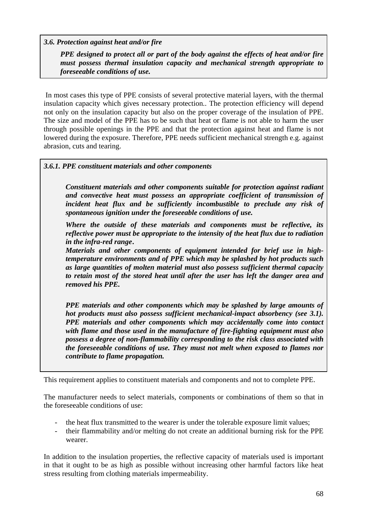*3.6. Protection against heat and/or fire* 

 *PPE designed to protect all or part of the body against the effects of heat and/or fire must possess thermal insulation capacity and mechanical strength appropriate to foreseeable conditions of use.* 

 In most cases this type of PPE consists of several protective material layers, with the thermal insulation capacity which gives necessary protection.. The protection efficiency will depend not only on the insulation capacity but also on the proper coverage of the insulation of PPE. The size and model of the PPE has to be such that heat or flame is not able to harm the user through possible openings in the PPE and that the protection against heat and flame is not lowered during the exposure. Therefore, PPE needs sufficient mechanical strength e.g. against abrasion, cuts and tearing.

*3.6.1. PPE constituent materials and other components* 

*Constituent materials and other components suitable for protection against radiant and convective heat must possess an appropriate coefficient of transmission of incident heat flux and be sufficiently incombustible to preclude any risk of spontaneous ignition under the foreseeable conditions of use.* 

 *Where the outside of these materials and components must be reflective, its reflective power must be appropriate to the intensity of the heat flux due to radiation in the infra-red range .* 

*Materials and other components of equipment intended for brief use in hightemperature environments and of PPE which may be splashed by hot products such as large quantities of molten material must also possess sufficient thermal capacity to retain most of the stored heat until after the user has left the danger area and removed his PPE.* 

*PPE materials and other components which may be splashed by large amounts of hot products must also possess sufficient mechanical-impact absorbency (see 3.1). PPE materials and other components which may accidentally come into contact with flame and those used in the manufacture of fire-fighting equipment must also possess a degree of non-flammability corresponding to the risk class associated with the foreseeable conditions of use. They must not melt when exposed to flames nor contribute to flame propagation.* 

This requirement applies to constituent materials and components and not to complete PPE.

The manufacturer needs to select materials, components or combinations of them so that in the foreseeable conditions of use:

- the heat flux transmitted to the wearer is under the tolerable exposure limit values;
- their flammability and/or melting do not create an additional burning risk for the PPE wearer.

In addition to the insulation properties, the reflective capacity of materials used is important in that it ought to be as high as possible without increasing other harmful factors like heat stress resulting from clothing materials impermeability.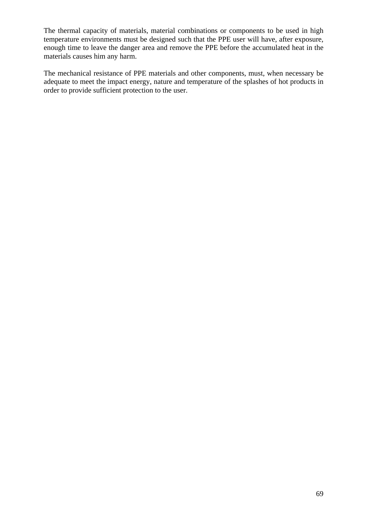The thermal capacity of materials, material combinations or components to be used in high temperature environments must be designed such that the PPE user will have, after exposure, enough time to leave the danger area and remove the PPE before the accumulated heat in the materials causes him any harm.

The mechanical resistance of PPE materials and other components, must, when necessary be adequate to meet the impact energy, nature and temperature of the splashes of hot products in order to provide sufficient protection to the user.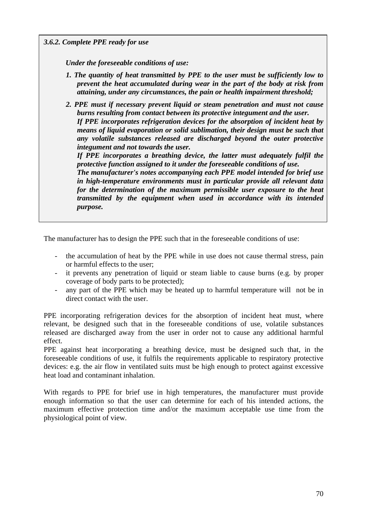## *3.6.2. Complete PPE ready for use*

*Under the foreseeable conditions of use:* 

- *1. The quantity of heat transmitted by PPE to the user must be sufficiently low to prevent the heat accumulated during wear in the part of the body at risk from attaining, under any circumstances, the pain or health impairment threshold;*
- *2. PPE must if necessary prevent liquid or steam penetration and must not cause burns resulting from contact between its protective integument and the user. If PPE incorporates refrigeration devices for the absorption of incident heat by means of liquid evaporation or solid sublimation, their design must be such that any volatile substances released are discharged beyond the outer protective integument and not towards the user.*

*If PPE incorporates a breathing device, the latter must adequately fulfil the protective function assigned to it under the foreseeable conditions of use.* 

*The manufacturer's notes accompanying each PPE model intended for brief use in high-temperature environments must in particular provide all relevant data for the determination of the maximum permissible user exposure to the heat transmitted by the equipment when used in accordance with its intended purpose.* 

The manufacturer has to design the PPE such that in the foreseeable conditions of use:

- the accumulation of heat by the PPE while in use does not cause thermal stress, pain or harmful effects to the user;
- it prevents any penetration of liquid or steam liable to cause burns (e.g. by proper coverage of body parts to be protected);
- any part of the PPE which may be heated up to harmful temperature will not be in direct contact with the user.

PPE incorporating refrigeration devices for the absorption of incident heat must, where relevant, be designed such that in the foreseeable conditions of use, volatile substances released are discharged away from the user in order not to cause any additional harmful effect.

PPE against heat incorporating a breathing device, must be designed such that, in the foreseeable conditions of use, it fulfils the requirements applicable to respiratory protective devices: e.g. the air flow in ventilated suits must be high enough to protect against excessive heat load and contaminant inhalation.

With regards to PPE for brief use in high temperatures, the manufacturer must provide enough information so that the user can determine for each of his intended actions, the maximum effective protection time and/or the maximum acceptable use time from the physiological point of view.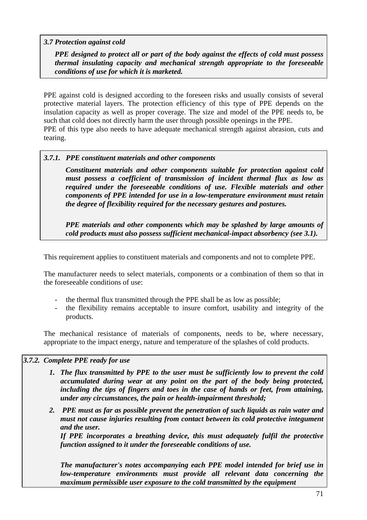*3.7 Protection against cold* 

tearing.

 *PPE designed to protect all or part of the body against the effects of cold must possess thermal insulating capacity and mechanical strength appropriate to the foreseeable conditions of use for which it is marketed.* 

PPE against cold is designed according to the foreseen risks and usually consists of several protective material layers. The protection efficiency of this type of PPE depends on the insulation capacity as well as proper coverage. The size and model of the PPE needs to, be such that cold does not directly harm the user through possible openings in the PPE. PPE of this type also needs to have adequate mechanical strength against abrasion, cuts and

*3.7.1. PPE constituent materials and other components* 

 *Constituent materials and other components suitable for protection against cold must possess a coefficient of transmission of incident thermal flux as low as required under the foreseeable conditions of use. Flexible materials and other components of PPE intended for use in a low-temperature environment must retain the degree of flexibility required for the necessary gestures and postures.* 

*PPE materials and other components which may be splashed by large amounts of cold products must also possess sufficient mechanical-impact absorbency (see 3.1).* 

This requirement applies to constituent materials and components and not to complete PPE.

The manufacturer needs to select materials, components or a combination of them so that in the foreseeable conditions of use:

- the thermal flux transmitted through the PPE shall be as low as possible;
- the flexibility remains acceptable to insure comfort, usability and integrity of the products.

The mechanical resistance of materials of components, needs to be, where necessary, appropriate to the impact energy, nature and temperature of the splashes of cold products.

# *3.7.2. Complete PPE ready for use*

- *1. The flux transmitted by PPE to the user must be sufficiently low to prevent the cold accumulated during wear at any point on the part of the body being protected, including the tips of fingers and toes in the case of hands or feet, from attaining, under any circumstances, the pain or health-impairment threshold;*
- *2. PPE must as far as possible prevent the penetration of such liquids as rain water and must not cause injuries resulting from contact between its cold protective integument and the user.*

*If PPE incorporates a breathing device, this must adequately fulfil the protective function assigned to it under the foreseeable conditions of use.* 

*The manufacturer's notes accompanying each PPE model intended for brief use in low-temperature environments must provide all relevant data concerning the maximum permissible user exposure to the cold transmitted by the equipment*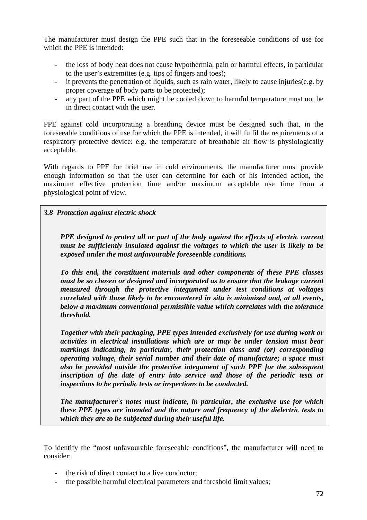The manufacturer must design the PPE such that in the foreseeable conditions of use for which the PPE is intended:

- the loss of body heat does not cause hypothermia, pain or harmful effects, in particular to the user's extremities (e.g. tips of fingers and toes);
- it prevents the penetration of liquids, such as rain water, likely to cause injuries(e.g. by proper coverage of body parts to be protected);
- any part of the PPE which might be cooled down to harmful temperature must not be in direct contact with the user.

PPE against cold incorporating a breathing device must be designed such that, in the foreseeable conditions of use for which the PPE is intended, it will fulfil the requirements of a respiratory protective device: e.g. the temperature of breathable air flow is physiologically acceptable.

With regards to PPE for brief use in cold environments, the manufacturer must provide enough information so that the user can determine for each of his intended action, the maximum effective protection time and/or maximum acceptable use time from a physiological point of view.

## *3.8 Protection against electric shock*

 *PPE designed to protect all or part of the body against the effects of electric current must be sufficiently insulated against the voltages to which the user is likely to be exposed under the most unfavourable foreseeable conditions.* 

 *To this end, the constituent materials and other components of these PPE classes must be so chosen or designed and incorporated as to ensure that the leakage current measured through the protective integument under test conditions at voltages correlated with those likely to be encountered in situ is minimized and, at all events, below a maximum conventional permissible value which correlates with the tolerance threshold.* 

*Together with their packaging, PPE types intended exclusively for use during work or activities in electrical installations which are or may be under tension must bear markings indicating, in particular, their protection class and (or) corresponding operating voltage, their serial number and their date of manufacture; a space must also be provided outside the protective integument of such PPE for the subsequent inscription of the date of entry into service and those of the periodic tests or inspections to be periodic tests or inspections to be conducted.* 

*The manufacturer's notes must indicate, in particular, the exclusive use for which these PPE types are intended and the nature and frequency of the dielectric tests to which they are to be subjected during their useful life.* 

To identify the "most unfavourable foreseeable conditions", the manufacturer will need to consider:

- the risk of direct contact to a live conductor:
- the possible harmful electrical parameters and threshold limit values;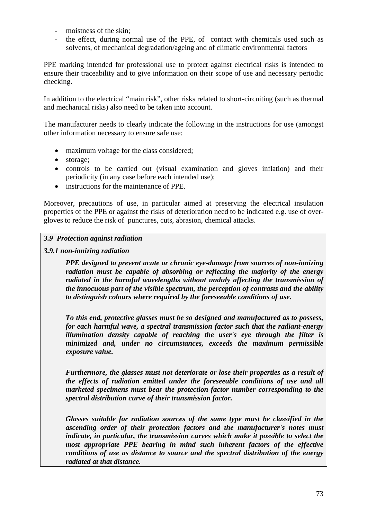- moistness of the skin;
- the effect, during normal use of the PPE, of contact with chemicals used such as solvents, of mechanical degradation/ageing and of climatic environmental factors

PPE marking intended for professional use to protect against electrical risks is intended to ensure their traceability and to give information on their scope of use and necessary periodic checking.

In addition to the electrical "main risk", other risks related to short-circuiting (such as thermal and mechanical risks) also need to be taken into account.

The manufacturer needs to clearly indicate the following in the instructions for use (amongst other information necessary to ensure safe use:

- maximum voltage for the class considered;
- storage;
- controls to be carried out (visual examination and gloves inflation) and their periodicity (in any case before each intended use);
- instructions for the maintenance of PPE.

Moreover, precautions of use, in particular aimed at preserving the electrical insulation properties of the PPE or against the risks of deterioration need to be indicated e.g. use of overgloves to reduce the risk of punctures, cuts, abrasion, chemical attacks.

### *3.9 Protection against radiation*

*3.9.1 non-ionizing radiation* 

 *PPE designed to prevent acute or chronic eye-damage from sources of non-ionizing radiation must be capable of absorbing or reflecting the majority of the energy radiated in the harmful wavelengths without unduly affecting the transmission of the innocuous part of the visible spectrum, the perception of contrasts and the ability to distinguish colours where required by the foreseeable conditions of use.* 

*To this end, protective glasses must be so designed and manufactured as to possess, for each harmful wave, a spectral transmission factor such that the radiant-energy illumination density capable of reaching the user's eye through the filter is minimized and, under no circumstances, exceeds the maximum permissible exposure value.* 

*Furthermore, the glasses must not deteriorate or lose their properties as a result of the effects of radiation emitted under the foreseeable conditions of use and all marketed specimens must bear the protection-factor number corresponding to the spectral distribution curve of their transmission factor.* 

*Glasses suitable for radiation sources of the same type must be classified in the ascending order of their protection factors and the manufacturer's notes must indicate, in particular, the transmission curves which make it possible to select the most appropriate PPE bearing in mind such inherent factors of the effective conditions of use as distance to source and the spectral distribution of the energy radiated at that distance.*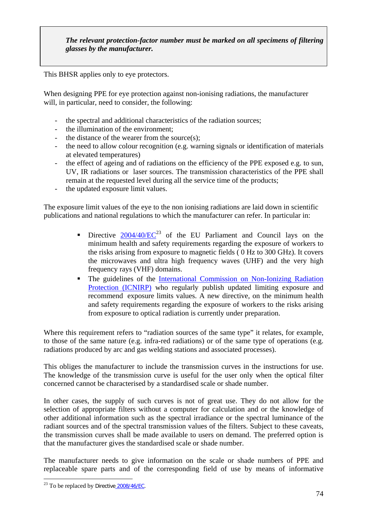*The relevant protection-factor number must be marked on all specimens of filtering glasses by the manufacturer.* 

This BHSR applies only to eye protectors.

When designing PPE for eye protection against non-ionising radiations, the manufacturer will, in particular, need to consider, the following:

- the spectral and additional characteristics of the radiation sources;
- the illumination of the environment;
- the distance of the wearer from the source(s);
- the need to allow colour recognition (e.g. warning signals or identification of materials at elevated temperatures)
- the effect of ageing and of radiations on the efficiency of the PPE exposed e.g. to sun, UV, IR radiations or laser sources. The transmission characteristics of the PPE shall remain at the requested level during all the service time of the products;
- the updated exposure limit values.

The exposure limit values of the eye to the non ionising radiations are laid down in scientific publications and national regulations to which the manufacturer can refer. In particular in:

- Directive  $2004/40/EC^{23}$  of the EU Parliament and Council lays on the minimum health and safety requirements regarding the exposure of workers to the risks arising from exposure to magnetic fields ( 0 Hz to 300 GHz). It covers the microwaves and ultra high frequency waves (UHF) and the very high frequency rays (VHF) domains.
- The guidelines of the International Commission on Non-Ionizing Radiation Protection (ICNIRP) who regularly publish updated limiting exposure and recommend exposure limits values. A new directive, on the minimum health and safety requirements regarding the exposure of workers to the risks arising from exposure to optical radiation is currently under preparation.

Where this requirement refers to "radiation sources of the same type" it relates, for example, to those of the same nature (e.g. infra-red radiations) or of the same type of operations (e.g. radiations produced by arc and gas welding stations and associated processes).

This obliges the manufacturer to include the transmission curves in the instructions for use. The knowledge of the transmission curve is useful for the user only when the optical filter concerned cannot be characterised by a standardised scale or shade number.

In other cases, the supply of such curves is not of great use. They do not allow for the selection of appropriate filters without a computer for calculation and or the knowledge of other additional information such as the spectral irradiance or the spectral luminance of the radiant sources and of the spectral transmission values of the filters. Subject to these caveats, the transmission curves shall be made available to users on demand. The preferred option is that the manufacturer gives the standardised scale or shade number.

The manufacturer needs to give information on the scale or shade numbers of PPE and replaceable spare parts and of the corresponding field of use by means of informative

<sup>&</sup>lt;sup>23</sup> To be replaced by Directive 2008/46/EC.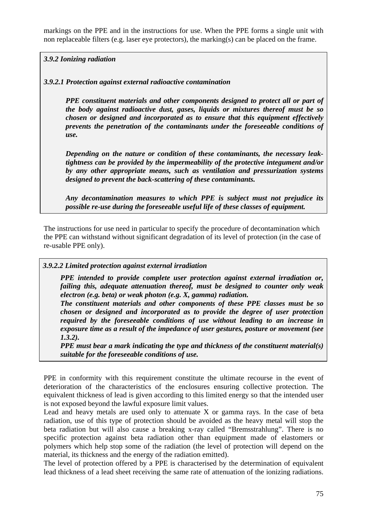markings on the PPE and in the instructions for use. When the PPE forms a single unit with non replaceable filters (e.g. laser eye protectors), the marking(s) can be placed on the frame.

# *3.9.2 Ionizing radiation*

# *3.9.2.1 Protection against external radioactive contamination*

 *PPE constituent materials and other components designed to protect all or part of the body against radioactive dust, gases, liquids or mixtures thereof must be so chosen or designed and incorporated as to ensure that this equipment effectively prevents the penetration of the contaminants under the foreseeable conditions of use.* 

*Depending on the nature or condition of these contaminants, the necessary leaktightness can be provided by the impermeability of the protective integument and/or by any other appropriate means, such as ventilation and pressurization systems designed to prevent the back-scattering of these contaminants.* 

*Any decontamination measures to which PPE is subject must not prejudice its possible re-use during the foreseeable useful life of these classes of equipment.* 

The instructions for use need in particular to specify the procedure of decontamination which the PPE can withstand without significant degradation of its level of protection (in the case of re-usable PPE only).

### *3.9.2.2 Limited protection against external irradiation*

 *PPE intended to provide complete user protection against external irradiation or, failing this, adequate attenuation thereof, must be designed to counter only weak electron (e.g. beta) or weak photon (e.g. X, gamma) radiation.* 

*The constituent materials and other components of these PPE classes must be so chosen or designed and incorporated as to provide the degree of user protection required by the foreseeable conditions of use without leading to an increase in exposure time as a result of the impedance of user gestures, posture or movement (see 1.3.2).* 

*PPE must bear a mark indicating the type and thickness of the constituent material(s) suitable for the foreseeable conditions of use.* 

PPE in conformity with this requirement constitute the ultimate recourse in the event of deterioration of the characteristics of the enclosures ensuring collective protection. The equivalent thickness of lead is given according to this limited energy so that the intended user is not exposed beyond the lawful exposure limit values.

Lead and heavy metals are used only to attenuate X or gamma rays. In the case of beta radiation, use of this type of protection should be avoided as the heavy metal will stop the beta radiation but will also cause a breaking x-ray called "Bremsstrahlung". There is no specific protection against beta radiation other than equipment made of elastomers or polymers which help stop some of the radiation (the level of protection will depend on the material, its thickness and the energy of the radiation emitted).

The level of protection offered by a PPE is characterised by the determination of equivalent lead thickness of a lead sheet receiving the same rate of attenuation of the ionizing radiations.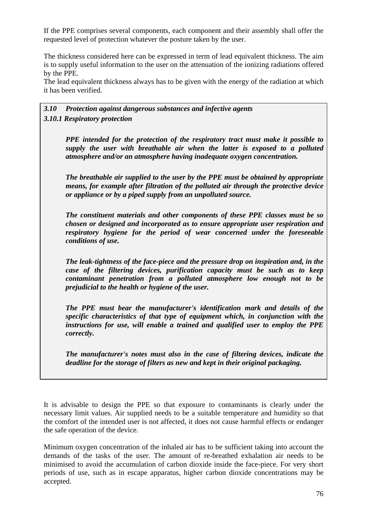If the PPE comprises several components, each component and their assembly shall offer the requested level of protection whatever the posture taken by the user.

The thickness considered here can be expressed in term of lead equivalent thickness. The aim is to supply useful information to the user on the attenuation of the ionizing radiations offered by the PPE.

The lead equivalent thickness always has to be given with the energy of the radiation at which it has been verified.

*3.10 Protection against dangerous substances and infective agents 3.10.1 Respiratory protection* 

> *PPE intended for the protection of the respiratory tract must make it possible to supply the user with breathable air when the latter is exposed to a polluted atmosphere and/or an atmosphere having inadequate oxygen concentration.*

> *The breathable air supplied to the user by the PPE must be obtained by appropriate means, for example after filtration of the polluted air through the protective device or appliance or by a piped supply from an unpolluted source.*

> *The constituent materials and other components of these PPE classes must be so chosen or designed and incorporated as to ensure appropriate user respiration and respiratory hygiene for the period of wear concerned under the foreseeable conditions of use.*

> *The leak-tightness of the face-piece and the pressure drop on inspiration and, in the case of the filtering devices, purification capacity must be such as to keep contaminant penetration from a polluted atmosphere low enough not to be prejudicial to the health or hygiene of the user.*

> *The PPE must bear the manufacturer's identification mark and details of the specific characteristics of that type of equipment which, in conjunction with the instructions for use, will enable a trained and qualified user to employ the PPE correctly.*

> *The manufacturer's notes must also in the case of filtering devices, indicate the deadline for the storage of filters as new and kept in their original packaging.*

It is advisable to design the PPE so that exposure to contaminants is clearly under the necessary limit values. Air supplied needs to be a suitable temperature and humidity so that the comfort of the intended user is not affected, it does not cause harmful effects or endanger the safe operation of the device.

Minimum oxygen concentration of the inhaled air has to be sufficient taking into account the demands of the tasks of the user. The amount of re-breathed exhalation air needs to be minimised to avoid the accumulation of carbon dioxide inside the face-piece. For very short periods of use, such as in escape apparatus, higher carbon dioxide concentrations may be accepted.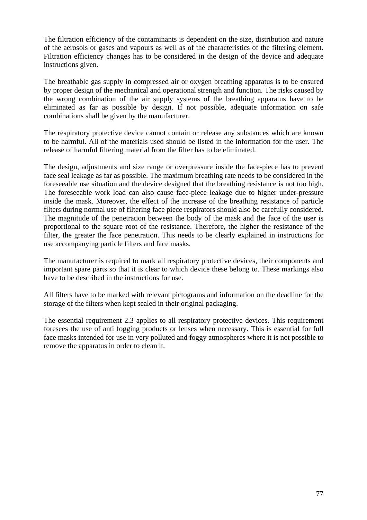The filtration efficiency of the contaminants is dependent on the size, distribution and nature of the aerosols or gases and vapours as well as of the characteristics of the filtering element. Filtration efficiency changes has to be considered in the design of the device and adequate instructions given.

The breathable gas supply in compressed air or oxygen breathing apparatus is to be ensured by proper design of the mechanical and operational strength and function. The risks caused by the wrong combination of the air supply systems of the breathing apparatus have to be eliminated as far as possible by design. If not possible, adequate information on safe combinations shall be given by the manufacturer.

The respiratory protective device cannot contain or release any substances which are known to be harmful. All of the materials used should be listed in the information for the user. The release of harmful filtering material from the filter has to be eliminated.

The design, adjustments and size range or overpressure inside the face-piece has to prevent face seal leakage as far as possible. The maximum breathing rate needs to be considered in the foreseeable use situation and the device designed that the breathing resistance is not too high. The foreseeable work load can also cause face-piece leakage due to higher under-pressure inside the mask. Moreover, the effect of the increase of the breathing resistance of particle filters during normal use of filtering face piece respirators should also be carefully considered. The magnitude of the penetration between the body of the mask and the face of the user is proportional to the square root of the resistance. Therefore, the higher the resistance of the filter, the greater the face penetration. This needs to be clearly explained in instructions for use accompanying particle filters and face masks.

The manufacturer is required to mark all respiratory protective devices, their components and important spare parts so that it is clear to which device these belong to. These markings also have to be described in the instructions for use.

All filters have to be marked with relevant pictograms and information on the deadline for the storage of the filters when kept sealed in their original packaging.

The essential requirement 2.3 applies to all respiratory protective devices. This requirement foresees the use of anti fogging products or lenses when necessary. This is essential for full face masks intended for use in very polluted and foggy atmospheres where it is not possible to remove the apparatus in order to clean it.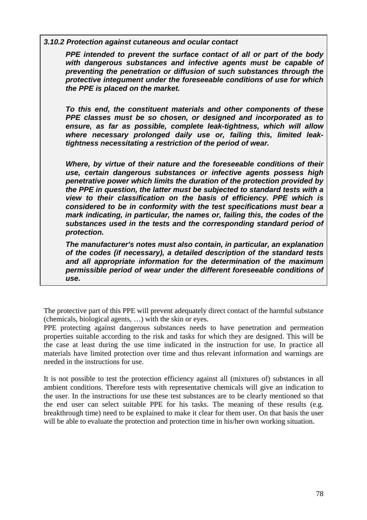*3.10.2 Protection against cutaneous and ocular contact* 

 *PPE intended to prevent the surface contact of all or part of the body with dangerous substances and infective agents must be capable of preventing the penetration or diffusion of such substances through the protective integument under the foreseeable conditions of use for which the PPE is placed on the market.* 

*To this end, the constituent materials and other components of these PPE classes must be so chosen, or designed and incorporated as to ensure, as far as possible, complete leak-tightness, which will allow where necessary prolonged daily use or, failing this, limited leaktightness necessitating a restriction of the period of wear.* 

*Where, by virtue of their nature and the foreseeable conditions of their use, certain dangerous substances or infective agents possess high penetrative power which limits the duration of the protection provided by the PPE in question, the latter must be subjected to standard tests with a view to their classification on the basis of efficiency. PPE which is considered to be in conformity with the test specifications must bear a mark indicating, in particular, the names or, failing this, the codes of the substances used in the tests and the corresponding standard period of protection.* 

 *The manufacturer's notes must also contain, in particular, an explanation of the codes (if necessary), a detailed description of the standard tests and all appropriate information for the determination of the maximum permissible period of wear under the different foreseeable conditions of use.* 

The protective part of this PPE will prevent adequately direct contact of the harmful substance (chemicals, biological agents, …) with the skin or eyes.

PPE protecting against dangerous substances needs to have penetration and permeation properties suitable according to the risk and tasks for which they are designed. This will be the case at least during the use time indicated in the instruction for use. In practice all materials have limited protection over time and thus relevant information and warnings are needed in the instructions for use.

It is not possible to test the protection efficiency against all (mixtures of) substances in all ambient conditions. Therefore tests with representative chemicals will give an indication to the user. In the instructions for use these test substances are to be clearly mentioned so that the end user can select suitable PPE for his tasks. The meaning of these results (e.g. breakthrough time) need to be explained to make it clear for them user. On that basis the user will be able to evaluate the protection and protection time in his/her own working situation.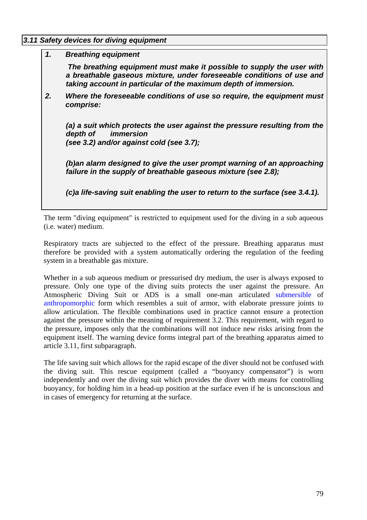# *3.11 Safety devices for diving equipment*

### *1. Breathing equipment*

 *The breathing equipment must make it possible to supply the user with a breathable gaseous mixture, under foreseeable conditions of use and taking account in particular of the maximum depth of immersion.* 

*2. Where the foreseeable conditions of use so require, the equipment must comprise:* 

*(a) a suit which protects the user against the pressure resulting from the depth of immersion (see 3.2) and/or against cold (see 3.7);* 

*(b)an alarm designed to give the user prompt warning of an approaching failure in the supply of breathable gaseous mixture (see 2.8);* 

*(c)a life-saving suit enabling the user to return to the surface (see 3.4.1).* 

The term "diving equipment" is restricted to equipment used for the diving in a sub aqueous (i.e. water) medium.

Respiratory tracts are subjected to the effect of the pressure. Breathing apparatus must therefore be provided with a system automatically ordering the regulation of the feeding system in a breathable gas mixture.

Whether in a sub aqueous medium or pressurised dry medium, the user is always exposed to pressure. Only one type of the diving suits protects the user against the pressure. An Atmospheric Diving Suit or ADS is a small one-man articulated submersible of anthropomorphic form which resembles a suit of armor, with elaborate pressure joints to allow articulation. The flexible combinations used in practice cannot ensure a protection against the pressure within the meaning of requirement 3.2. This requirement, with regard to the pressure, imposes only that the combinations will not induce new risks arising from the equipment itself. The warning device forms integral part of the breathing apparatus aimed to article 3.11, first subparagraph.

The life saving suit which allows for the rapid escape of the diver should not be confused with the diving suit. This rescue equipment (called a "buoyancy compensator") is worn independently and over the diving suit which provides the diver with means for controlling buoyancy, for holding him in a head-up position at the surface even if he is unconscious and in cases of emergency for returning at the surface.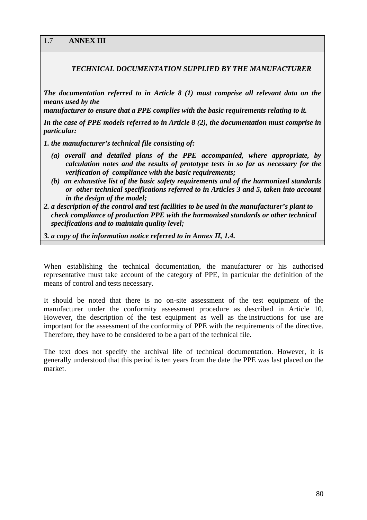### 1.7 **ANNEX III**

### *TECHNICAL DOCUMENTATION SUPPLIED BY THE MANUFACTURER*

*The documentation referred to in Article 8 (1) must comprise all relevant data on the means used by the* 

*manufacturer to ensure that a PPE complies with the basic requirements relating to it.* 

*In the case of PPE models referred to in Article 8 (2), the documentation must comprise in particular:* 

*1. the manufacturer's technical file consisting of:* 

- *(a) overall and detailed plans of the PPE accompanied, where appropriate, by calculation notes and the results of prototype tests in so far as necessary for the verification of compliance with the basic requirements;*
- *(b) an exhaustive list of the basic safety requirements and of the harmonized standards or other technical specifications referred to in Articles 3 and 5, taken into account in the design of the model;*
- *2. a description of the control and test facilities to be used in the manufacturer's plant to check compliance of production PPE with the harmonized standards or other technical specifications and to maintain quality level;*
- *3. a copy of the information notice referred to in Annex II, 1.4.*

When establishing the technical documentation, the manufacturer or his authorised representative must take account of the category of PPE, in particular the definition of the means of control and tests necessary.

It should be noted that there is no on-site assessment of the test equipment of the manufacturer under the conformity assessment procedure as described in Article 10. However, the description of the test equipment as well as the instructions for use are important for the assessment of the conformity of PPE with the requirements of the directive. Therefore, they have to be considered to be a part of the technical file.

The text does not specify the archival life of technical documentation. However, it is generally understood that this period is ten years from the date the PPE was last placed on the market.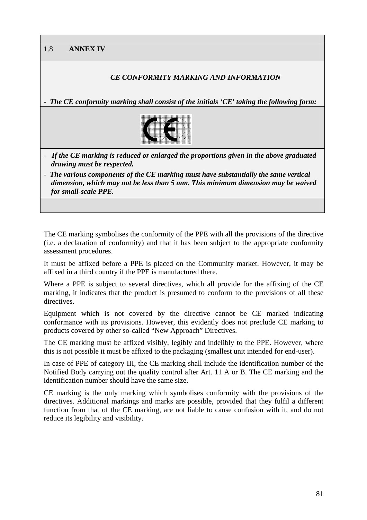# 1.8 **ANNEX IV**

# *CE CONFORMITY MARKING AND INFORMATION*

*- The CE conformity marking shall consist of the initials 'CE' taking the following form:* 



- *If the CE marking is reduced or enlarged the proportions given in the above graduated drawing must be respected.*
- *The various components of the CE marking must have substantially the same vertical dimension, which may not be less than 5 mm. This minimum dimension may be waived for small-scale PPE.*

The CE marking symbolises the conformity of the PPE with all the provisions of the directive (i.e. a declaration of conformity) and that it has been subject to the appropriate conformity assessment procedures.

It must be affixed before a PPE is placed on the Community market. However, it may be affixed in a third country if the PPE is manufactured there.

Where a PPE is subject to several directives, which all provide for the affixing of the CE marking, it indicates that the product is presumed to conform to the provisions of all these directives.

Equipment which is not covered by the directive cannot be CE marked indicating conformance with its provisions. However, this evidently does not preclude CE marking to products covered by other so-called "New Approach" Directives.

The CE marking must be affixed visibly, legibly and indelibly to the PPE. However, where this is not possible it must be affixed to the packaging (smallest unit intended for end-user).

In case of PPE of category III, the CE marking shall include the identification number of the Notified Body carrying out the quality control after Art. 11 A or B. The CE marking and the identification number should have the same size.

CE marking is the only marking which symbolises conformity with the provisions of the directives. Additional markings and marks are possible, provided that they fulfil a different function from that of the CE marking, are not liable to cause confusion with it, and do not reduce its legibility and visibility.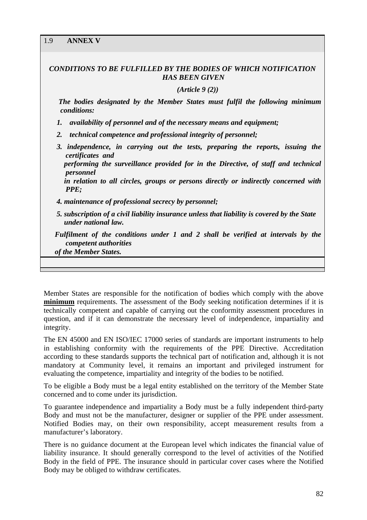1.9 **ANNEX V** 

# *CONDITIONS TO BE FULFILLED BY THE BODIES OF WHICH NOTIFICATION HAS BEEN GIVEN*

 *(Article 9 (2))* 

 *The bodies designated by the Member States must fulfil the following minimum conditions:* 

- *1. availability of personnel and of the necessary means and equipment;*
- *2. technical competence and professional integrity of personnel;*
- *3. independence, in carrying out the tests, preparing the reports, issuing the certificates and* 
	- *performing the surveillance provided for in the Directive, of staff and technical personnel*

 *in relation to all circles, groups or persons directly or indirectly concerned with PPE;* 

- *4. maintenance of professional secrecy by personnel;*
- *5. subscription of a civil liability insurance unless that liability is covered by the State under national law.*

 *Fulfilment of the conditions under 1 and 2 shall be verified at intervals by the competent authorities* 

 *of the Member States.* 

Member States are responsible for the notification of bodies which comply with the above **minimum** requirements. The assessment of the Body seeking notification determines if it is technically competent and capable of carrying out the conformity assessment procedures in question, and if it can demonstrate the necessary level of independence, impartiality and integrity.

The EN 45000 and EN ISO/IEC 17000 series of standards are important instruments to help in establishing conformity with the requirements of the PPE Directive. Accreditation according to these standards supports the technical part of notification and, although it is not mandatory at Community level, it remains an important and privileged instrument for evaluating the competence, impartiality and integrity of the bodies to be notified.

To be eligible a Body must be a legal entity established on the territory of the Member State concerned and to come under its jurisdiction.

To guarantee independence and impartiality a Body must be a fully independent third-party Body and must not be the manufacturer, designer or supplier of the PPE under assessment. Notified Bodies may, on their own responsibility, accept measurement results from a manufacturer's laboratory.

There is no guidance document at the European level which indicates the financial value of liability insurance. It should generally correspond to the level of activities of the Notified Body in the field of PPE. The insurance should in particular cover cases where the Notified Body may be obliged to withdraw certificates.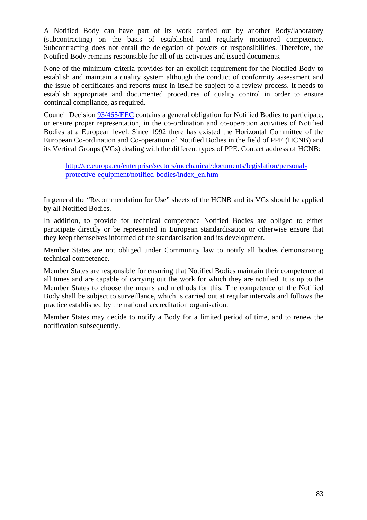A Notified Body can have part of its work carried out by another Body/laboratory (subcontracting) on the basis of established and regularly monitored competence. Subcontracting does not entail the delegation of powers or responsibilities. Therefore, the Notified Body remains responsible for all of its activities and issued documents.

None of the minimum criteria provides for an explicit requirement for the Notified Body to establish and maintain a quality system although the conduct of conformity assessment and the issue of certificates and reports must in itself be subject to a review process. It needs to establish appropriate and documented procedures of quality control in order to ensure continual compliance, as required.

Council Decision 93/465/EEC contains a general obligation for Notified Bodies to participate, or ensure proper representation, in the co-ordination and co-operation activities of Notified Bodies at a European level. Since 1992 there has existed the Horizontal Committee of the European Co-ordination and Co-operation of Notified Bodies in the field of PPE (HCNB) and its Vertical Groups (VGs) dealing with the different types of PPE. Contact address of HCNB:

http://ec.europa.eu/enterprise/sectors/mechanical/documents/legislation/personalprotective-equipment/notified-bodies/index\_en.htm

In general the "Recommendation for Use" sheets of the HCNB and its VGs should be applied by all Notified Bodies.

In addition, to provide for technical competence Notified Bodies are obliged to either participate directly or be represented in European standardisation or otherwise ensure that they keep themselves informed of the standardisation and its development.

Member States are not obliged under Community law to notify all bodies demonstrating technical competence.

Member States are responsible for ensuring that Notified Bodies maintain their competence at all times and are capable of carrying out the work for which they are notified. It is up to the Member States to choose the means and methods for this. The competence of the Notified Body shall be subject to surveillance, which is carried out at regular intervals and follows the practice established by the national accreditation organisation.

Member States may decide to notify a Body for a limited period of time, and to renew the notification subsequently.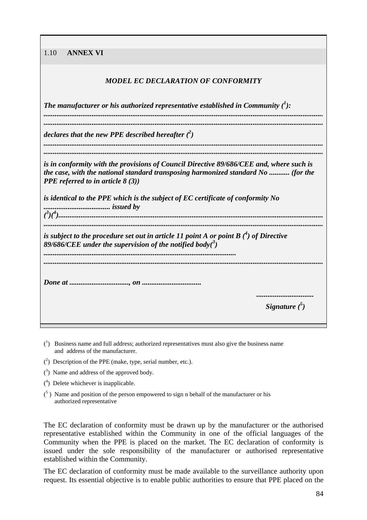# 1.10 **ANNEX VI**

### *MODEL EC DECLARATION OF CONFORMITY*

*The manufacturer or his authorized representative established in Community (<sup>1</sup> ): ....................................................................................................................................................... ....................................................................................................................................................... declares that the new PPE described hereafter (2 ) ....................................................................................................................................................... ....................................................................................................................................................... is in conformity with the provisions of Council Directive 89/686/CEE and, where such is the case, with the national standard transposing harmonized standard No ........... (for the PPE referred to in article 8 (3)) is identical to the PPE which is the subject of EC certificate of conformity No .................................... issued by ( 3 )(4 )...............................................................................................................................................* is subject to the procedure set out in article  $11$  point A or point B  $^4$ ) of Directive *89/686/CEE under the supervision of the notified body(<sup>3</sup> ) ........................................................................................................ Done at ................................, on ................................ ............................... Signature* (<sup>5</sup>)

- $(1)$  Business name and full address; authorized representatives must also give the business name and address of the manufacturer.
- $(2)$  Description of the PPE (make, type, serial number, etc.).
- $(3)$  Name and address of the approved body.
- $(4)$  Delete whichever is inapplicable.
- $(5)$  Name and position of the person empowered to sign n behalf of the manufacturer or his authorized representative

The EC declaration of conformity must be drawn up by the manufacturer or the authorised representative established within the Community in one of the official languages of the Community when the PPE is placed on the market. The EC declaration of conformity is issued under the sole responsibility of the manufacturer or authorised representative established within the Community.

The EC declaration of conformity must be made available to the surveillance authority upon request. Its essential objective is to enable public authorities to ensure that PPE placed on the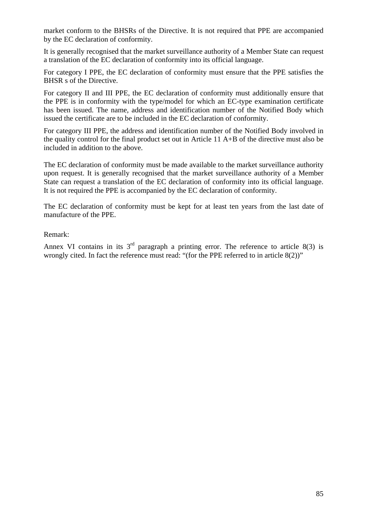market conform to the BHSRs of the Directive. It is not required that PPE are accompanied by the EC declaration of conformity.

It is generally recognised that the market surveillance authority of a Member State can request a translation of the EC declaration of conformity into its official language.

For category I PPE, the EC declaration of conformity must ensure that the PPE satisfies the BHSR s of the Directive.

For category II and III PPE, the EC declaration of conformity must additionally ensure that the PPE is in conformity with the type/model for which an EC-type examination certificate has been issued. The name, address and identification number of the Notified Body which issued the certificate are to be included in the EC declaration of conformity.

For category III PPE, the address and identification number of the Notified Body involved in the quality control for the final product set out in Article 11 A+B of the directive must also be included in addition to the above.

The EC declaration of conformity must be made available to the market surveillance authority upon request. It is generally recognised that the market surveillance authority of a Member State can request a translation of the EC declaration of conformity into its official language. It is not required the PPE is accompanied by the EC declaration of conformity.

The EC declaration of conformity must be kept for at least ten years from the last date of manufacture of the PPE.

### Remark:

Annex VI contains in its  $3<sup>rd</sup>$  paragraph a printing error. The reference to article 8(3) is wrongly cited. In fact the reference must read: "(for the PPE referred to in article 8(2))"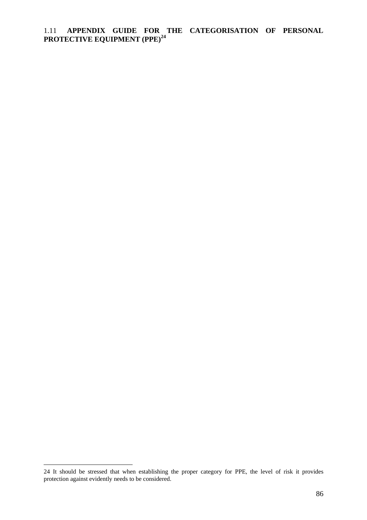1.11 **APPENDIX GUIDE FOR THE CATEGORISATION OF PERSONAL PROTECTIVE EQUIPMENT (PPE)24** 

<sup>24</sup> It should be stressed that when establishing the proper category for PPE, the level of risk it provides protection against evidently needs to be considered.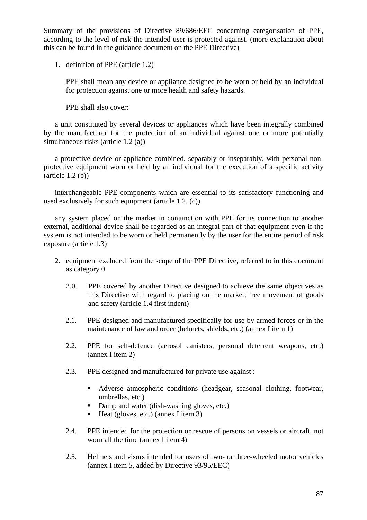Summary of the provisions of Directive 89/686/EEC concerning categorisation of PPE, according to the level of risk the intended user is protected against. (more explanation about this can be found in the guidance document on the PPE Directive)

1. definition of PPE (article 1.2)

PPE shall mean any device or appliance designed to be worn or held by an individual for protection against one or more health and safety hazards.

PPE shall also cover:

a unit constituted by several devices or appliances which have been integrally combined by the manufacturer for the protection of an individual against one or more potentially simultaneous risks (article 1.2 (a))

a protective device or appliance combined, separably or inseparably, with personal nonprotective equipment worn or held by an individual for the execution of a specific activity  $(\text{article } 1.2 \text{ (b)})$ 

interchangeable PPE components which are essential to its satisfactory functioning and used exclusively for such equipment (article 1.2. (c))

any system placed on the market in conjunction with PPE for its connection to another external, additional device shall be regarded as an integral part of that equipment even if the system is not intended to be worn or held permanently by the user for the entire period of risk exposure (article 1.3)

- 2. equipment excluded from the scope of the PPE Directive, referred to in this document as category 0
	- 2.0. PPE covered by another Directive designed to achieve the same objectives as this Directive with regard to placing on the market, free movement of goods and safety (article 1.4 first indent)
	- 2.1. PPE designed and manufactured specifically for use by armed forces or in the maintenance of law and order (helmets, shields, etc.) (annex I item 1)
	- 2.2. PPE for self-defence (aerosol canisters, personal deterrent weapons, etc.) (annex I item 2)
	- 2.3. PPE designed and manufactured for private use against :
		- Adverse atmospheric conditions (headgear, seasonal clothing, footwear, umbrellas, etc.)
		- Damp and water (dish-washing gloves, etc.)
		- $\blacksquare$  Heat (gloves, etc.) (annex I item 3)
	- 2.4. PPE intended for the protection or rescue of persons on vessels or aircraft, not worn all the time (annex I item 4)
	- 2.5. Helmets and visors intended for users of two- or three-wheeled motor vehicles (annex I item 5, added by Directive 93/95/EEC)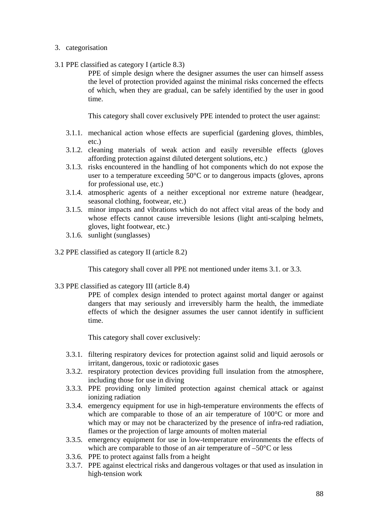### 3. categorisation

3.1 PPE classified as category I (article 8.3)

PPE of simple design where the designer assumes the user can himself assess the level of protection provided against the minimal risks concerned the effects of which, when they are gradual, can be safely identified by the user in good time.

This category shall cover exclusively PPE intended to protect the user against:

- 3.1.1. mechanical action whose effects are superficial (gardening gloves, thimbles, etc.)
- 3.1.2. cleaning materials of weak action and easily reversible effects (gloves affording protection against diluted detergent solutions, etc.)
- 3.1.3. risks encountered in the handling of hot components which do not expose the user to a temperature exceeding 50°C or to dangerous impacts (gloves, aprons for professional use, etc.)
- 3.1.4. atmospheric agents of a neither exceptional nor extreme nature (headgear, seasonal clothing, footwear, etc.)
- 3.1.5. minor impacts and vibrations which do not affect vital areas of the body and whose effects cannot cause irreversible lesions (light anti-scalping helmets, gloves, light footwear, etc.)
- 3.1.6. sunlight (sunglasses)
- 3.2 PPE classified as category II (article 8.2)

This category shall cover all PPE not mentioned under items 3.1. or 3.3.

3.3 PPE classified as category III (article 8.4)

PPE of complex design intended to protect against mortal danger or against dangers that may seriously and irreversibly harm the health, the immediate effects of which the designer assumes the user cannot identify in sufficient time.

This category shall cover exclusively:

- 3.3.1. filtering respiratory devices for protection against solid and liquid aerosols or irritant, dangerous, toxic or radiotoxic gases
- 3.3.2. respiratory protection devices providing full insulation from the atmosphere, including those for use in diving
- 3.3.3. PPE providing only limited protection against chemical attack or against ionizing radiation
- 3.3.4. emergency equipment for use in high-temperature environments the effects of which are comparable to those of an air temperature of 100°C or more and which may or may not be characterized by the presence of infra-red radiation, flames or the projection of large amounts of molten material
- 3.3.5. emergency equipment for use in low-temperature environments the effects of which are comparable to those of an air temperature of  $-50^{\circ}$ C or less
- 3.3.6. PPE to protect against falls from a height
- 3.3.7. PPE against electrical risks and dangerous voltages or that used as insulation in high-tension work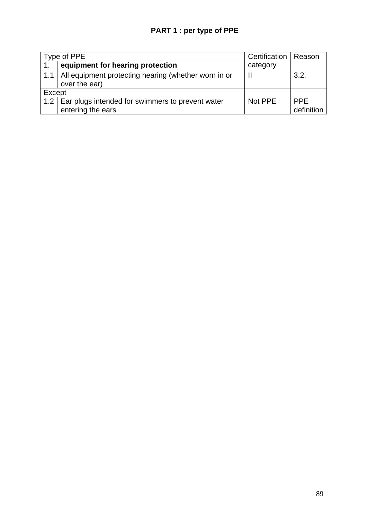# **PART 1 : per type of PPE**

| Type of PPE |                                                      | Certification | Reason     |
|-------------|------------------------------------------------------|---------------|------------|
| 1.          | equipment for hearing protection                     | category      |            |
| 1.1         | All equipment protecting hearing (whether worn in or |               | 3.2.       |
|             | over the ear)                                        |               |            |
| Except      |                                                      |               |            |
|             | Ear plugs intended for swimmers to prevent water     | Not PPE       | <b>PPE</b> |
|             | entering the ears                                    |               | definition |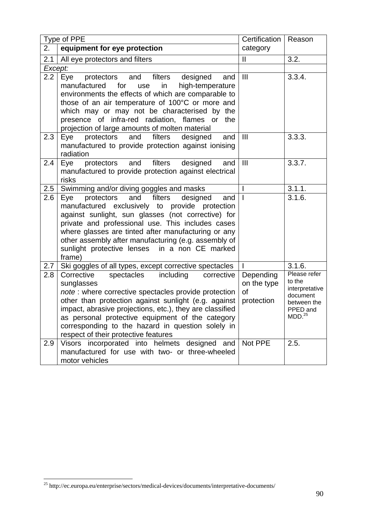|         | Type of PPE                                                                                                                                                                                                                                                                                                                                                                                     | Certification                                | Reason                                                                                                |
|---------|-------------------------------------------------------------------------------------------------------------------------------------------------------------------------------------------------------------------------------------------------------------------------------------------------------------------------------------------------------------------------------------------------|----------------------------------------------|-------------------------------------------------------------------------------------------------------|
| 2.      | equipment for eye protection                                                                                                                                                                                                                                                                                                                                                                    | category                                     |                                                                                                       |
| 2.1     | All eye protectors and filters                                                                                                                                                                                                                                                                                                                                                                  | $\mathbf{I}$                                 | 3.2.                                                                                                  |
| Except: |                                                                                                                                                                                                                                                                                                                                                                                                 |                                              |                                                                                                       |
| 2.2     | filters<br>protectors<br>and<br>designed<br>Eye<br>and<br>manufactured<br>for<br>high-temperature<br>use<br>in<br>environments the effects of which are comparable to<br>those of an air temperature of 100°C or more and<br>which may or may not be characterised by the<br>presence of infra-red radiation, flames or the<br>projection of large amounts of molten material                   | III                                          | 3.3.4.                                                                                                |
| 2.3     | filters<br>protectors<br>and<br>designed<br>Eye<br>and<br>manufactured to provide protection against ionising<br>radiation                                                                                                                                                                                                                                                                      | $\mathbf{III}$                               | 3.3.3.                                                                                                |
| 2.4     | filters<br>protectors<br>and<br>designed<br>and<br>Eye<br>manufactured to provide protection against electrical<br>risks                                                                                                                                                                                                                                                                        | III                                          | 3.3.7.                                                                                                |
| 2.5     | Swimming and/or diving goggles and masks                                                                                                                                                                                                                                                                                                                                                        |                                              | 3.1.1.                                                                                                |
| 2.6     | filters<br>protectors<br>and<br>Eye<br>designed<br>and<br>manufactured exclusively to provide protection<br>against sunlight, sun glasses (not corrective) for<br>private and professional use. This includes cases<br>where glasses are tinted after manufacturing or any<br>other assembly after manufacturing (e.g. assembly of<br>sunlight protective lenses in a non CE marked<br>frame)   |                                              | 3.1.6.                                                                                                |
| 2.7     | Ski goggles of all types, except corrective spectacles                                                                                                                                                                                                                                                                                                                                          |                                              | 3.1.6.                                                                                                |
| 2.8     | including<br>Corrective<br>spectacles<br>corrective<br>sunglasses<br>note : where corrective spectacles provide protection<br>other than protection against sunlight (e.g. against<br>impact, abrasive projections, etc.), they are classified<br>as personal protective equipment of the category<br>corresponding to the hazard in question solely in<br>respect of their protective features | Depending<br>on the type<br>of<br>protection | Please refer<br>to the<br>interpretative<br>document<br>between the<br>PPED and<br>MDD. <sup>25</sup> |
| 2.9     | Visors incorporated into helmets designed and<br>manufactured for use with two- or three-wheeled<br>motor vehicles                                                                                                                                                                                                                                                                              | Not PPE                                      | 2.5.                                                                                                  |

<sup>&</sup>lt;sup>25</sup> http://ec.europa.eu/enterprise/sectors/medical-devices/documents/interpretative-documents/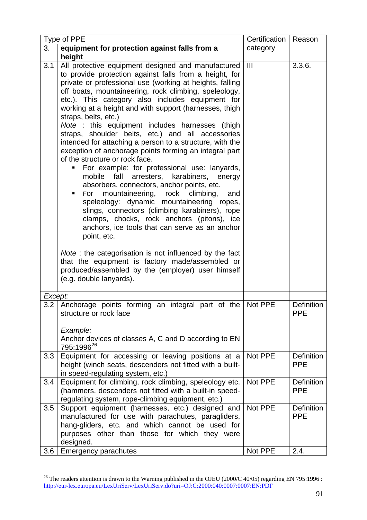|                | Type of PPE                                                                                                                                                                                                                                                                                                                                                                                                                                                                                                                                                                                                                                                                                                                                                                                                                                                                                                                                                                                                                                                                                                                                                                                                                                                  | Certification  | Reason                          |
|----------------|--------------------------------------------------------------------------------------------------------------------------------------------------------------------------------------------------------------------------------------------------------------------------------------------------------------------------------------------------------------------------------------------------------------------------------------------------------------------------------------------------------------------------------------------------------------------------------------------------------------------------------------------------------------------------------------------------------------------------------------------------------------------------------------------------------------------------------------------------------------------------------------------------------------------------------------------------------------------------------------------------------------------------------------------------------------------------------------------------------------------------------------------------------------------------------------------------------------------------------------------------------------|----------------|---------------------------------|
| 3 <sub>1</sub> | equipment for protection against falls from a                                                                                                                                                                                                                                                                                                                                                                                                                                                                                                                                                                                                                                                                                                                                                                                                                                                                                                                                                                                                                                                                                                                                                                                                                | category       |                                 |
|                | height                                                                                                                                                                                                                                                                                                                                                                                                                                                                                                                                                                                                                                                                                                                                                                                                                                                                                                                                                                                                                                                                                                                                                                                                                                                       |                |                                 |
| 3.1            | All protective equipment designed and manufactured<br>to provide protection against falls from a height, for<br>private or professional use (working at heights, falling<br>off boats, mountaineering, rock climbing, speleology,<br>etc.). This category also includes equipment for<br>working at a height and with support (harnesses, thigh<br>straps, belts, etc.)<br>Note : this equipment includes harnesses (thigh<br>straps, shoulder belts, etc.) and all accessories<br>intended for attaching a person to a structure, with the<br>exception of anchorage points forming an integral part<br>of the structure or rock face.<br>For example: for professional use: lanyards,<br>fall<br>karabiners,<br>mobile<br>arresters,<br>energy<br>absorbers, connectors, anchor points, etc.<br>For mountaineering, rock climbing,<br>and<br>٠<br>speleology: dynamic mountaineering ropes,<br>slings, connectors (climbing karabiners), rope<br>clamps, chocks, rock anchors (pitons), ice<br>anchors, ice tools that can serve as an anchor<br>point, etc.<br>Note : the categorisation is not influenced by the fact<br>that the equipment is factory made/assembled or<br>produced/assembled by the (employer) user himself<br>(e.g. double lanyards). | $\mathbf{III}$ | 3.3.6.                          |
| Except:        |                                                                                                                                                                                                                                                                                                                                                                                                                                                                                                                                                                                                                                                                                                                                                                                                                                                                                                                                                                                                                                                                                                                                                                                                                                                              |                |                                 |
|                | 3.2 Anchorage points forming an integral part of the<br>structure or rock face<br>Example:<br>Anchor devices of classes A, C and D according to EN<br>795:1996 <sup>26</sup>                                                                                                                                                                                                                                                                                                                                                                                                                                                                                                                                                                                                                                                                                                                                                                                                                                                                                                                                                                                                                                                                                 | Not PPE        | <b>Definition</b><br><b>PPE</b> |
| 3.3            | Equipment for accessing or leaving positions at a<br>height (winch seats, descenders not fitted with a built-<br>in speed-regulating system, etc.)                                                                                                                                                                                                                                                                                                                                                                                                                                                                                                                                                                                                                                                                                                                                                                                                                                                                                                                                                                                                                                                                                                           | Not PPE        | <b>Definition</b><br><b>PPE</b> |
| 3.4            | Equipment for climbing, rock climbing, speleology etc.<br>(hammers, descenders not fitted with a built-in speed-<br>regulating system, rope-climbing equipment, etc.)                                                                                                                                                                                                                                                                                                                                                                                                                                                                                                                                                                                                                                                                                                                                                                                                                                                                                                                                                                                                                                                                                        | Not PPE        | <b>Definition</b><br><b>PPE</b> |
| 3.5            | Support equipment (harnesses, etc.) designed and<br>manufactured for use with parachutes, paragliders,<br>hang-gliders, etc. and which cannot be used for<br>purposes other than those for which they were<br>designed.                                                                                                                                                                                                                                                                                                                                                                                                                                                                                                                                                                                                                                                                                                                                                                                                                                                                                                                                                                                                                                      | Not PPE        | <b>Definition</b><br><b>PPE</b> |
| 3.6            | <b>Emergency parachutes</b>                                                                                                                                                                                                                                                                                                                                                                                                                                                                                                                                                                                                                                                                                                                                                                                                                                                                                                                                                                                                                                                                                                                                                                                                                                  | Not PPE        | 2.4.                            |

 $\overline{a}$ <sup>26</sup> The readers attention is drawn to the Warning published in the OJEU (2000/C 40/05) regarding EN 795:1996 : http://eur-lex.europa.eu/LexUriServ/LexUriServ.do?uri=OJ:C:2000:040:0007:0007:EN:PDF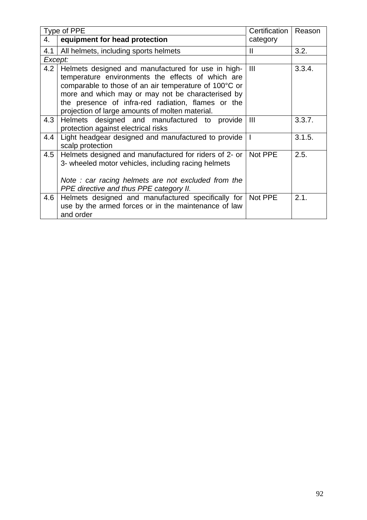|         | Type of PPE                                                                                                                                                                                                                                                                                                                    |              | Reason |
|---------|--------------------------------------------------------------------------------------------------------------------------------------------------------------------------------------------------------------------------------------------------------------------------------------------------------------------------------|--------------|--------|
| 4.      | equipment for head protection                                                                                                                                                                                                                                                                                                  | category     |        |
| 4.1     | All helmets, including sports helmets                                                                                                                                                                                                                                                                                          | $\mathbf{I}$ | 3.2.   |
| Except: |                                                                                                                                                                                                                                                                                                                                |              |        |
| 4.2     | Helmets designed and manufactured for use in high-<br>temperature environments the effects of which are<br>comparable to those of an air temperature of 100°C or<br>more and which may or may not be characterised by<br>the presence of infra-red radiation, flames or the<br>projection of large amounts of molten material. | Ш            | 3.3.4. |
| 4.3     | Helmets designed and manufactured to provide<br>protection against electrical risks                                                                                                                                                                                                                                            | Ш            | 3.3.7. |
| 4.4     | Light headgear designed and manufactured to provide<br>scalp protection                                                                                                                                                                                                                                                        |              | 3.1.5. |
| 4.5     | Helmets designed and manufactured for riders of 2- or<br>3- wheeled motor vehicles, including racing helmets<br>Note : car racing helmets are not excluded from the<br>PPE directive and thus PPE category II.                                                                                                                 | Not PPE      | 2.5.   |
| 4.6     | Helmets designed and manufactured specifically for<br>use by the armed forces or in the maintenance of law<br>and order                                                                                                                                                                                                        | Not PPE      | 2.1.   |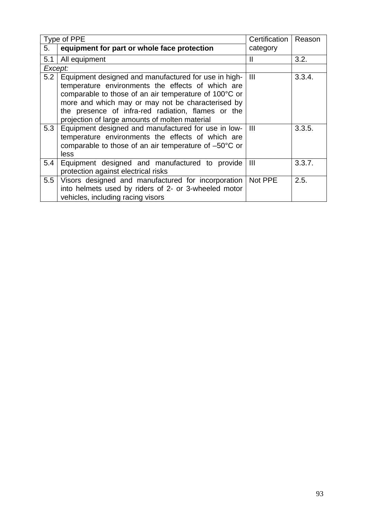| Type of PPE |                                                                                                                                                                                                                                                                                                                                 | Certification  | Reason |
|-------------|---------------------------------------------------------------------------------------------------------------------------------------------------------------------------------------------------------------------------------------------------------------------------------------------------------------------------------|----------------|--------|
| 5.          | equipment for part or whole face protection                                                                                                                                                                                                                                                                                     | category       |        |
| 5.1         | All equipment                                                                                                                                                                                                                                                                                                                   | Ш              | 3.2.   |
| Except:     |                                                                                                                                                                                                                                                                                                                                 |                |        |
| 5.2         | Equipment designed and manufactured for use in high-<br>temperature environments the effects of which are<br>comparable to those of an air temperature of 100°C or<br>more and which may or may not be characterised by<br>the presence of infra-red radiation, flames or the<br>projection of large amounts of molten material | $\mathbf{III}$ | 3.3.4. |
| 5.3         | Equipment designed and manufactured for use in low-   III<br>temperature environments the effects of which are<br>comparable to those of an air temperature of $-50^{\circ}$ C or<br>less                                                                                                                                       |                | 3.3.5. |
| 5.4         | Equipment designed and manufactured to provide<br>protection against electrical risks                                                                                                                                                                                                                                           | Ш              | 3.3.7. |
| 5.5         | Visors designed and manufactured for incorporation<br>into helmets used by riders of 2- or 3-wheeled motor<br>vehicles, including racing visors                                                                                                                                                                                 | Not PPE        | 2.5.   |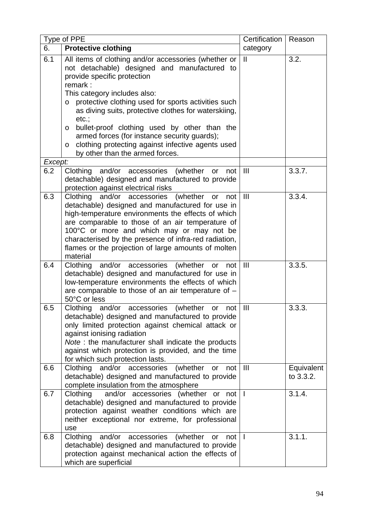|                | Type of PPE                                                                                                                                                                                                                                                                                                                                                                                                                                                                                                           | Certification  | Reason                  |
|----------------|-----------------------------------------------------------------------------------------------------------------------------------------------------------------------------------------------------------------------------------------------------------------------------------------------------------------------------------------------------------------------------------------------------------------------------------------------------------------------------------------------------------------------|----------------|-------------------------|
| 6.             | <b>Protective clothing</b>                                                                                                                                                                                                                                                                                                                                                                                                                                                                                            | category       |                         |
| 6.1<br>Except: | All items of clothing and/or accessories (whether or  <br>not detachable) designed and manufactured to<br>provide specific protection<br>remark:<br>This category includes also:<br>protective clothing used for sports activities such<br>O<br>as diving suits, protective clothes for waterskiing,<br>etc.:<br>bullet-proof clothing used by other than the<br>O<br>armed forces (for instance security guards);<br>clothing protecting against infective agents used<br>$\circ$<br>by other than the armed forces. | $\mathbf{H}$   | 3.2.                    |
| 6.2            | Clothing and/or accessories (whether<br>or<br>not                                                                                                                                                                                                                                                                                                                                                                                                                                                                     | $\mathbf{III}$ | 3.3.7.                  |
|                | detachable) designed and manufactured to provide<br>protection against electrical risks                                                                                                                                                                                                                                                                                                                                                                                                                               |                |                         |
| 6.3            | Clothing and/or accessories (whether or<br>not<br>detachable) designed and manufactured for use in<br>high-temperature environments the effects of which<br>are comparable to those of an air temperature of<br>100°C or more and which may or may not be<br>characterised by the presence of infra-red radiation,<br>flames or the projection of large amounts of molten<br>material                                                                                                                                 | III            | 3.3.4.                  |
| 6.4            | and/or accessories<br>Clothing<br>(whether<br>not<br>or<br>detachable) designed and manufactured for use in<br>low-temperature environments the effects of which<br>are comparable to those of an air temperature of -<br>50°C or less                                                                                                                                                                                                                                                                                | $\mathbf{III}$ | 3.3.5.                  |
| 6.5            | Clothing<br>and/or<br>(whether<br>accessories<br>not<br>or<br>detachable) designed and manufactured to provide<br>only limited protection against chemical attack or<br>against ionising radiation<br>Note : the manufacturer shall indicate the products<br>against which protection is provided, and the time<br>for which such protection lasts.                                                                                                                                                                   | $\mathbf{III}$ | 3.3.3.                  |
| 6.6            | Clothing and/or accessories<br>(whether<br>not<br>or<br>detachable) designed and manufactured to provide<br>complete insulation from the atmosphere                                                                                                                                                                                                                                                                                                                                                                   | $\mathbf{III}$ | Equivalent<br>to 3.3.2. |
| 6.7            | Clothing<br>and/or accessories (whether or not   I<br>detachable) designed and manufactured to provide<br>protection against weather conditions which are<br>neither exceptional nor extreme, for professional<br>use                                                                                                                                                                                                                                                                                                 |                | 3.1.4.                  |
| 6.8            | and/or accessories (whether<br>Clothing<br>or<br>$not \mid \mid$<br>detachable) designed and manufactured to provide<br>protection against mechanical action the effects of<br>which are superficial                                                                                                                                                                                                                                                                                                                  |                | 3.1.1.                  |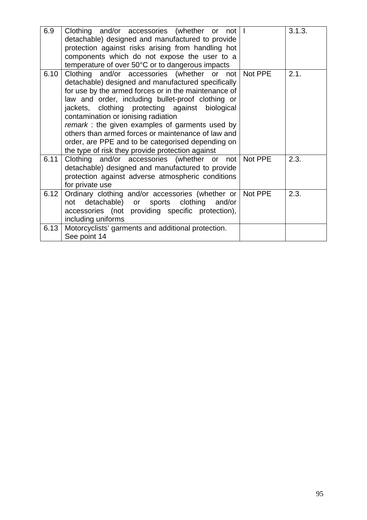| 6.9  | Clothing and/or accessories (whether or not   I<br>detachable) designed and manufactured to provide<br>protection against risks arising from handling hot<br>components which do not expose the user to a<br>temperature of over 50°C or to dangerous impacts                                                                                                                                                                                                                                                                     |         | 3.1.3. |
|------|-----------------------------------------------------------------------------------------------------------------------------------------------------------------------------------------------------------------------------------------------------------------------------------------------------------------------------------------------------------------------------------------------------------------------------------------------------------------------------------------------------------------------------------|---------|--------|
| 6.10 | Clothing and/or accessories (whether or not Not PPE<br>detachable) designed and manufactured specifically<br>for use by the armed forces or in the maintenance of<br>law and order, including bullet-proof clothing or<br>jackets, clothing protecting against biological<br>contamination or ionising radiation<br>remark: the given examples of garments used by<br>others than armed forces or maintenance of law and<br>order, are PPE and to be categorised depending on<br>the type of risk they provide protection against |         | 2.1.   |
| 6.11 | Clothing and/or accessories (whether or not<br>detachable) designed and manufactured to provide<br>protection against adverse atmospheric conditions<br>for private use                                                                                                                                                                                                                                                                                                                                                           | Not PPE | 2.3.   |
| 6.12 | Ordinary clothing and/or accessories (whether or Not PPE<br>detachable) or sports clothing and/or<br>not<br>accessories (not providing specific protection),<br>including uniforms                                                                                                                                                                                                                                                                                                                                                |         | 2.3.   |
| 6.13 | Motorcyclists' garments and additional protection.<br>See point 14                                                                                                                                                                                                                                                                                                                                                                                                                                                                |         |        |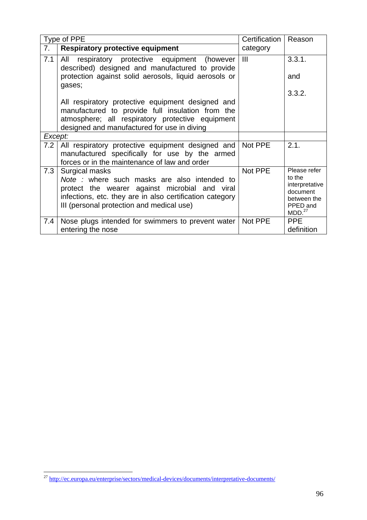|         | Type of PPE                                                                                                                                                                                                               | Certification | Reason                                                                                                |
|---------|---------------------------------------------------------------------------------------------------------------------------------------------------------------------------------------------------------------------------|---------------|-------------------------------------------------------------------------------------------------------|
| 7.      | <b>Respiratory protective equipment</b>                                                                                                                                                                                   | category      |                                                                                                       |
| 7.1     | respiratory protective equipment (however<br>All<br>described) designed and manufactured to provide                                                                                                                       | III           | 3.3.1.                                                                                                |
|         | protection against solid aerosols, liquid aerosols or<br>gases;                                                                                                                                                           |               | and                                                                                                   |
|         | All respiratory protective equipment designed and<br>manufactured to provide full insulation from the<br>atmosphere; all respiratory protective equipment<br>designed and manufactured for use in diving                  |               | 3.3.2.                                                                                                |
| Except: |                                                                                                                                                                                                                           |               |                                                                                                       |
| 7.2     | All respiratory protective equipment designed and<br>manufactured specifically for use by the armed<br>forces or in the maintenance of law and order                                                                      | Not PPE       | 2.1.                                                                                                  |
| 7.3     | Surgical masks<br>Note : where such masks are also intended to<br>protect the wearer against microbial and viral<br>infections, etc. they are in also certification category<br>III (personal protection and medical use) | Not PPE       | Please refer<br>to the<br>interpretative<br>document<br>between the<br>PPED and<br>MDD. <sup>27</sup> |
| 7.4     | Nose plugs intended for swimmers to prevent water<br>entering the nose                                                                                                                                                    | Not PPE       | PPE<br>definition                                                                                     |

<sup>&</sup>lt;sup>27</sup> http://ec.europa.eu/enterprise/sectors/medical-devices/documents/interpretative-documents/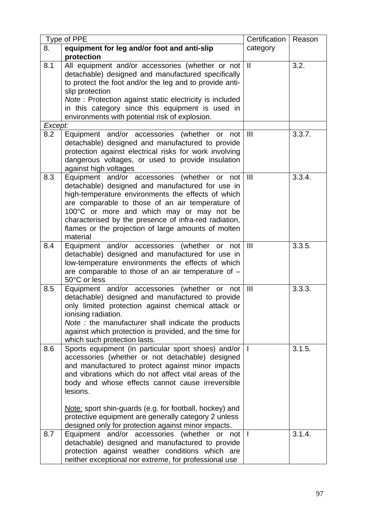|         | Type of PPE                                                                                                                                                                                                                                                                                                                                                                                                                                                         | Certification  | Reason |
|---------|---------------------------------------------------------------------------------------------------------------------------------------------------------------------------------------------------------------------------------------------------------------------------------------------------------------------------------------------------------------------------------------------------------------------------------------------------------------------|----------------|--------|
| 8.      | equipment for leg and/or foot and anti-slip                                                                                                                                                                                                                                                                                                                                                                                                                         | category       |        |
|         | protection                                                                                                                                                                                                                                                                                                                                                                                                                                                          |                |        |
| 8.1     | All equipment and/or accessories (whether or not   II<br>detachable) designed and manufactured specifically<br>to protect the foot and/or the leg and to provide anti-<br>slip protection<br>Note: Protection against static electricity is included<br>in this category since this equipment is used in<br>environments with potential risk of explosion.                                                                                                          |                | 3.2.   |
| Except: |                                                                                                                                                                                                                                                                                                                                                                                                                                                                     |                |        |
| 8.2     | Equipment and/or accessories (whether or not<br>detachable) designed and manufactured to provide<br>protection against electrical risks for work involving<br>dangerous voltages, or used to provide insulation<br>against high voltages                                                                                                                                                                                                                            | $\mathbf{III}$ | 3.3.7. |
| 8.3     | Equipment and/or accessories (whether or not<br>detachable) designed and manufactured for use in<br>high-temperature environments the effects of which<br>are comparable to those of an air temperature of<br>100°C or more and which may or may not be<br>characterised by the presence of infra-red radiation,<br>flames or the projection of large amounts of molten<br>material                                                                                 | $\mathbf{III}$ | 3.3.4. |
| 8.4     | Equipment and/or accessories (whether or not<br>detachable) designed and manufactured for use in<br>low-temperature environments the effects of which<br>are comparable to those of an air temperature of $-$<br>50°C or less                                                                                                                                                                                                                                       | III            | 3.3.5. |
| 8.5     | Equipment and/or accessories (whether or<br>not<br>detachable) designed and manufactured to provide<br>only limited protection against chemical attack or<br>ionising radiation.<br>Note : the manufacturer shall indicate the products<br>against which protection is provided, and the time for<br>which such protection lasts.                                                                                                                                   | $\mathbf{III}$ | 3.3.3. |
| 8.6     | Sports equipment (in particular sport shoes) and/or   I<br>accessories (whether or not detachable) designed<br>and manufactured to protect against minor impacts<br>and vibrations which do not affect vital areas of the<br>body and whose effects cannot cause irreversible<br>lesions.<br>Note: sport shin-guards (e.g. for football, hockey) and<br>protective equipment are generally category 2 unless<br>designed only for protection against minor impacts. |                | 3.1.5. |
| 8.7     | Equipment and/or accessories (whether or not<br>detachable) designed and manufactured to provide<br>protection against weather conditions which are<br>neither exceptional nor extreme, for professional use                                                                                                                                                                                                                                                        | $\mathbf{I}$   | 3.1.4. |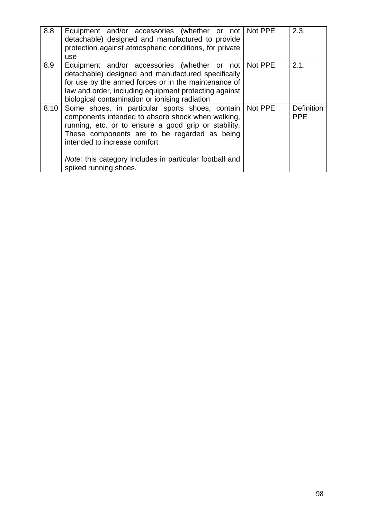| 8.8  | Equipment and/or accessories (whether or not Not PPE<br>detachable) designed and manufactured to provide<br>protection against atmospheric conditions, for private<br><b>use</b>                                                                                                                                                         | 2.3.                     |
|------|------------------------------------------------------------------------------------------------------------------------------------------------------------------------------------------------------------------------------------------------------------------------------------------------------------------------------------------|--------------------------|
| 8.9  | Equipment and/or accessories (whether or not Not PPE<br>detachable) designed and manufactured specifically<br>for use by the armed forces or in the maintenance of<br>law and order, including equipment protecting against<br>biological contamination or ionising radiation                                                            | 2.1.                     |
| 8.10 | Some shoes, in particular sports shoes, contain Not PPE<br>components intended to absorb shock when walking,<br>running, etc. or to ensure a good grip or stability.<br>These components are to be regarded as being<br>intended to increase comfort<br>Note: this category includes in particular football and<br>spiked running shoes. | Definition<br><b>PPE</b> |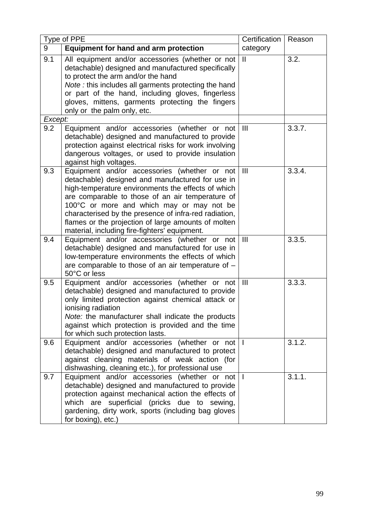|         | Type of PPE                                                                                                                                                                                                                                                                                                                                                                                                              | Certification  | Reason |
|---------|--------------------------------------------------------------------------------------------------------------------------------------------------------------------------------------------------------------------------------------------------------------------------------------------------------------------------------------------------------------------------------------------------------------------------|----------------|--------|
| 9       | <b>Equipment for hand and arm protection</b>                                                                                                                                                                                                                                                                                                                                                                             | category       |        |
| 9.1     | All equipment and/or accessories (whether or not<br>detachable) designed and manufactured specifically<br>to protect the arm and/or the hand<br>Note : this includes all garments protecting the hand<br>or part of the hand, including gloves, fingerless<br>gloves, mittens, garments protecting the fingers<br>only or the palm only, etc.                                                                            | $\mathbf{II}$  | 3.2.   |
| Except: |                                                                                                                                                                                                                                                                                                                                                                                                                          |                |        |
| 9.2     | Equipment and/or accessories (whether or not<br>detachable) designed and manufactured to provide<br>protection against electrical risks for work involving<br>dangerous voltages, or used to provide insulation<br>against high voltages.                                                                                                                                                                                | $\mathbf{III}$ | 3.3.7. |
| 9.3     | Equipment and/or accessories (whether or not<br>detachable) designed and manufactured for use in<br>high-temperature environments the effects of which<br>are comparable to those of an air temperature of<br>100°C or more and which may or may not be<br>characterised by the presence of infra-red radiation,<br>flames or the projection of large amounts of molten<br>material, including fire-fighters' equipment. | III            | 3.3.4. |
| 9.4     | Equipment and/or accessories (whether or not<br>detachable) designed and manufactured for use in<br>low-temperature environments the effects of which<br>are comparable to those of an air temperature of -<br>50°C or less                                                                                                                                                                                              | $\mathbf{III}$ | 3.3.5. |
| 9.5     | Equipment and/or accessories (whether or not<br>detachable) designed and manufactured to provide<br>only limited protection against chemical attack or<br>ionising radiation<br>Note: the manufacturer shall indicate the products<br>against which protection is provided and the time<br>for which such protection lasts.                                                                                              | $\mathbf{III}$ | 3.3.3. |
| 9.6     | Equipment and/or accessories (whether or not   I<br>detachable) designed and manufactured to protect<br>against cleaning materials of weak action (for<br>dishwashing, cleaning etc.), for professional use                                                                                                                                                                                                              |                | 3.1.2. |
| 9.7     | Equipment and/or accessories (whether or not   I<br>detachable) designed and manufactured to provide<br>protection against mechanical action the effects of<br>which are superficial (pricks due to sewing,<br>gardening, dirty work, sports (including bag gloves<br>for boxing), etc.)                                                                                                                                 |                | 3.1.1. |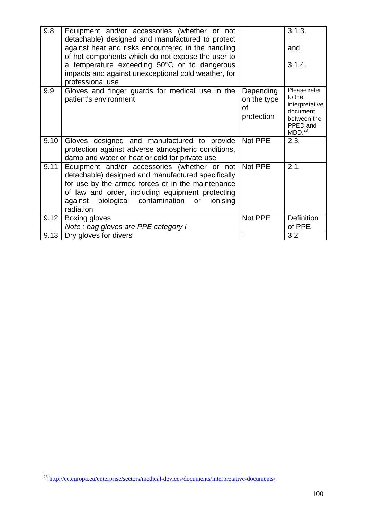| 9.8  | Equipment and/or accessories (whether or not   I<br>detachable) designed and manufactured to protect<br>against heat and risks encountered in the handling<br>of hot components which do not expose the user to<br>a temperature exceeding 50°C or to dangerous<br>impacts and against unexceptional cold weather, for<br>professional use |                                              | 3.1.3.<br>and<br>3.1.4.                                                                               |
|------|--------------------------------------------------------------------------------------------------------------------------------------------------------------------------------------------------------------------------------------------------------------------------------------------------------------------------------------------|----------------------------------------------|-------------------------------------------------------------------------------------------------------|
| 9.9  | Gloves and finger guards for medical use in the<br>patient's environment                                                                                                                                                                                                                                                                   | Depending<br>on the type<br>οf<br>protection | Please refer<br>to the<br>interpretative<br>document<br>between the<br>PPED and<br>MDD. <sup>28</sup> |
| 9.10 | Gloves designed and manufactured to provide<br>protection against adverse atmospheric conditions,<br>damp and water or heat or cold for private use                                                                                                                                                                                        | Not PPE                                      | 2.3.                                                                                                  |
| 9.11 | Equipment and/or accessories (whether or not<br>detachable) designed and manufactured specifically<br>for use by the armed forces or in the maintenance<br>of law and order, including equipment protecting<br>biological contamination<br>ionising<br>against<br>or<br>radiation                                                          | Not PPE                                      | 2.1.                                                                                                  |
| 9.12 | Boxing gloves<br>Note : bag gloves are PPE category I                                                                                                                                                                                                                                                                                      | Not PPE                                      | <b>Definition</b><br>of PPE                                                                           |
| 9.13 | Dry gloves for divers                                                                                                                                                                                                                                                                                                                      | $\mathbf{II}$                                | 3.2                                                                                                   |

<sup>&</sup>lt;sup>28</sup> http://ec.europa.eu/enterprise/sectors/medical-devices/documents/interpretative-documents/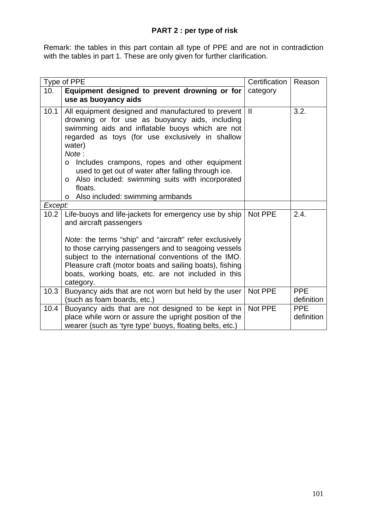# **PART 2 : per type of risk**

Remark: the tables in this part contain all type of PPE and are not in contradiction with the tables in part 1. These are only given for further clarification.

| Type of PPE |                                                                                                                                                                                                                                                                                                                                                                                                                                                        | Certification | Reason                   |
|-------------|--------------------------------------------------------------------------------------------------------------------------------------------------------------------------------------------------------------------------------------------------------------------------------------------------------------------------------------------------------------------------------------------------------------------------------------------------------|---------------|--------------------------|
| 10.         | Equipment designed to prevent drowning or for<br>use as buoyancy aids                                                                                                                                                                                                                                                                                                                                                                                  | category      |                          |
| 10.1        | All equipment designed and manufactured to prevent<br>drowning or for use as buoyancy aids, including<br>swimming aids and inflatable buoys which are not<br>regarded as toys (for use exclusively in shallow<br>water)<br>Note:<br>o Includes crampons, ropes and other equipment<br>used to get out of water after falling through ice.<br>Also included: swimming suits with incorporated<br>$\circ$<br>floats.<br>Also included: swimming armbands | $\mathbf{H}$  | 3.2.                     |
| Except:     |                                                                                                                                                                                                                                                                                                                                                                                                                                                        |               |                          |
| 10.2        | Life-buoys and life-jackets for emergency use by ship<br>and aircraft passengers<br><i>Note:</i> the terms "ship" and "aircraft" refer exclusively<br>to those carrying passengers and to seagoing vessels<br>subject to the international conventions of the IMO.<br>Pleasure craft (motor boats and sailing boats), fishing<br>boats, working boats, etc. are not included in this<br>category.                                                      | Not PPE       | 2.4.                     |
| 10.3        | Buoyancy aids that are not worn but held by the user<br>(such as foam boards, etc.)                                                                                                                                                                                                                                                                                                                                                                    | Not PPE       | <b>PPE</b><br>definition |
| 10.4        | Buoyancy aids that are not designed to be kept in<br>place while worn or assure the upright position of the<br>wearer (such as 'tyre type' buoys, floating belts, etc.)                                                                                                                                                                                                                                                                                | Not PPE       | <b>PPE</b><br>definition |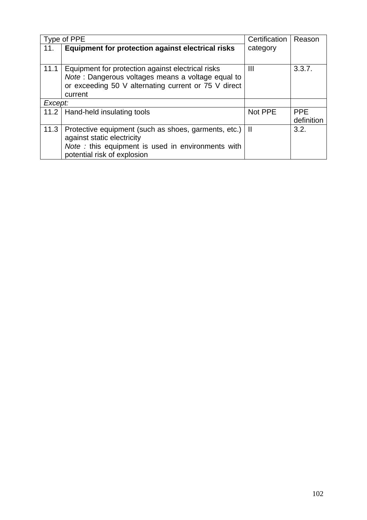| Type of PPE |                                                          | Certification | Reason     |
|-------------|----------------------------------------------------------|---------------|------------|
| 11.         | <b>Equipment for protection against electrical risks</b> | category      |            |
|             |                                                          |               |            |
| 11.1        | Equipment for protection against electrical risks        | Ш             | 3.3.7.     |
|             | Note: Dangerous voltages means a voltage equal to        |               |            |
|             | or exceeding 50 V alternating current or 75 V direct     |               |            |
|             | current                                                  |               |            |
| Except:     |                                                          |               |            |
| 11.2        | Hand-held insulating tools                               | Not PPE       | <b>PPE</b> |
|             |                                                          |               | definition |
| 11.3        | Protective equipment (such as shoes, garments, etc.)     | - II          | 3.2.       |
|             | against static electricity                               |               |            |
|             | Note : this equipment is used in environments with       |               |            |
|             | potential risk of explosion                              |               |            |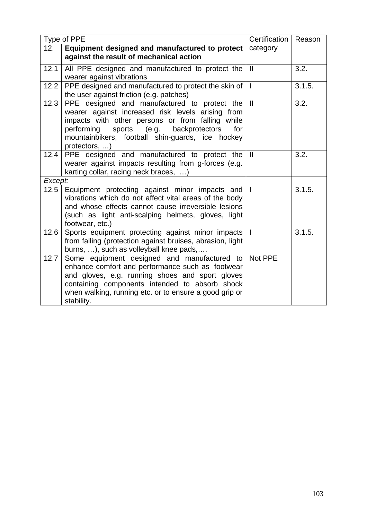| Type of PPE |                                                                                                                                                                                                                                                                                | Certification   Reason |        |
|-------------|--------------------------------------------------------------------------------------------------------------------------------------------------------------------------------------------------------------------------------------------------------------------------------|------------------------|--------|
| 12.         | Equipment designed and manufactured to protect<br>against the result of mechanical action                                                                                                                                                                                      | category               |        |
| 12.1        | All PPE designed and manufactured to protect the<br>wearer against vibrations                                                                                                                                                                                                  | $\mathbf{H}$           | 3.2.   |
| 12.2        | PPE designed and manufactured to protect the skin of<br>the user against friction (e.g. patches)                                                                                                                                                                               | $\blacksquare$         | 3.1.5. |
| 12.3        | PPE designed and manufactured to protect the<br>wearer against increased risk levels arising from<br>impacts with other persons or from falling while<br>sports (e.g. backprotectors<br>performing<br>for<br>mountainbikers, football shin-guards, ice hockey<br>protectors, ) | $\mathbf{I}$           | 3.2.   |
| 12.4        | PPE designed and manufactured to protect the<br>wearer against impacts resulting from g-forces (e.g.<br>karting collar, racing neck braces, )                                                                                                                                  | $\mathbf{H}$           | 3.2.   |
| Except:     |                                                                                                                                                                                                                                                                                |                        |        |
| 12.5        | Equipment protecting against minor impacts and<br>vibrations which do not affect vital areas of the body<br>and whose effects cannot cause irreversible lesions<br>(such as light anti-scalping helmets, gloves, light<br>footwear, etc.)                                      |                        | 3.1.5. |
| 12.6        | Sports equipment protecting against minor impacts<br>from falling (protection against bruises, abrasion, light<br>burns, ), such as volleyball knee pads,                                                                                                                      |                        | 3.1.5. |
| 12.7        | Some equipment designed and manufactured to<br>enhance comfort and performance such as footwear<br>and gloves, e.g. running shoes and sport gloves<br>containing components intended to absorb shock<br>when walking, running etc. or to ensure a good grip or<br>stability.   | Not PPE                |        |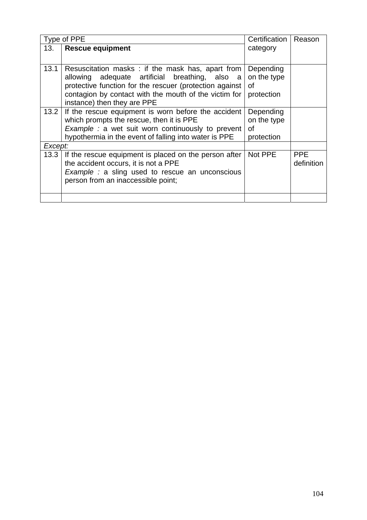| Type of PPE |                                                                                      | Certification | Reason     |
|-------------|--------------------------------------------------------------------------------------|---------------|------------|
| 13.         | <b>Rescue equipment</b>                                                              | category      |            |
|             |                                                                                      |               |            |
| 13.1        | Resuscitation masks: if the mask has, apart from                                     | Depending     |            |
|             | allowing adequate artificial breathing, also a                                       | on the type   |            |
|             | protective function for the rescuer (protection against                              | οf            |            |
|             | contagion by contact with the mouth of the victim for<br>instance) then they are PPE | protection    |            |
|             |                                                                                      |               |            |
|             | 13.2 If the rescue equipment is worn before the accident                             | Depending     |            |
|             | which prompts the rescue, then it is PPE                                             | on the type   |            |
|             | Example : a wet suit worn continuously to prevent                                    | οf            |            |
|             | hypothermia in the event of falling into water is PPE                                | protection    |            |
| Except:     |                                                                                      |               |            |
| $13.3$      | If the rescue equipment is placed on the person after                                | Not PPE       | <b>PPE</b> |
|             | the accident occurs, it is not a PPE                                                 |               | definition |
|             | <i>Example : a sling used to rescue an unconscious</i>                               |               |            |
|             | person from an inaccessible point;                                                   |               |            |
|             |                                                                                      |               |            |
|             |                                                                                      |               |            |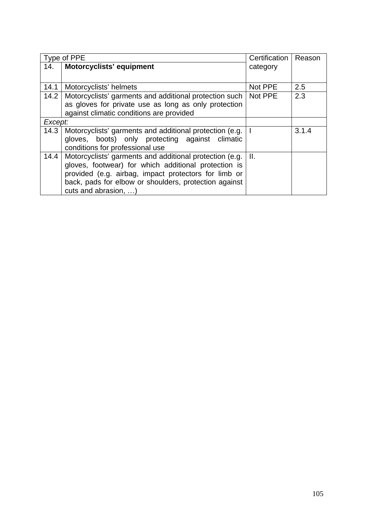|         | Type of PPE                                                   | Certification | Reason |
|---------|---------------------------------------------------------------|---------------|--------|
| 14.     | <b>Motorcyclists' equipment</b>                               | category      |        |
|         |                                                               |               |        |
| 14.1    | Motorcyclists' helmets                                        | Not PPE       | 2.5    |
|         | 14.2   Motorcyclists' garments and additional protection such | Not PPE       | 2.3    |
|         | as gloves for private use as long as only protection          |               |        |
|         | against climatic conditions are provided                      |               |        |
| Except: |                                                               |               |        |
| 14.3    | Motorcyclists' garments and additional protection (e.g.   I   |               | 3.1.4  |
|         | gloves, boots) only protecting against climatic               |               |        |
|         | conditions for professional use                               |               |        |
| 14.4    | Motorcyclists' garments and additional protection (e.g.   II. |               |        |
|         | gloves, footwear) for which additional protection is          |               |        |
|         | provided (e.g. airbag, impact protectors for limb or          |               |        |
|         | back, pads for elbow or shoulders, protection against         |               |        |
|         | cuts and abrasion, )                                          |               |        |